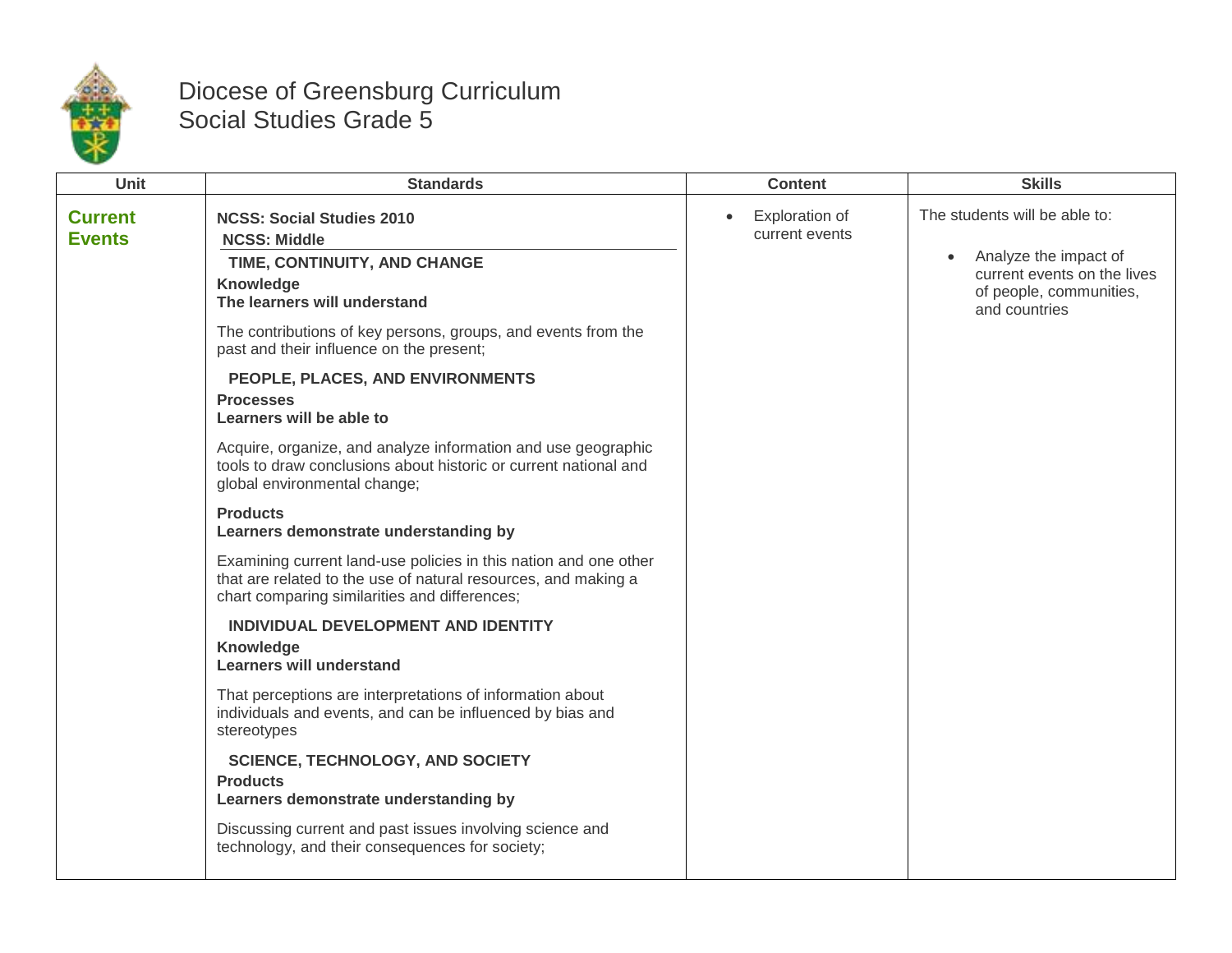

## Diocese of Greensburg Curriculum Social Studies Grade 5

| Unit<br><b>Skills</b><br><b>Standards</b><br><b>Content</b>                                                                                                                                                                                                                                                                                                                                                                                                                                                                                                                                                                                                                                                                                                                                                                                                                                                                                                                                                                                                                                                                                                                                                                                                             |
|-------------------------------------------------------------------------------------------------------------------------------------------------------------------------------------------------------------------------------------------------------------------------------------------------------------------------------------------------------------------------------------------------------------------------------------------------------------------------------------------------------------------------------------------------------------------------------------------------------------------------------------------------------------------------------------------------------------------------------------------------------------------------------------------------------------------------------------------------------------------------------------------------------------------------------------------------------------------------------------------------------------------------------------------------------------------------------------------------------------------------------------------------------------------------------------------------------------------------------------------------------------------------|
| The students will be able to:<br>Exploration of<br><b>Current</b><br><b>NCSS: Social Studies 2010</b><br>current events<br><b>Events</b><br><b>NCSS: Middle</b><br>Analyze the impact of<br>TIME, CONTINUITY, AND CHANGE<br>current events on the lives<br>Knowledge<br>of people, communities,<br>The learners will understand<br>and countries<br>The contributions of key persons, groups, and events from the<br>past and their influence on the present;<br>PEOPLE, PLACES, AND ENVIRONMENTS<br><b>Processes</b><br>Learners will be able to<br>Acquire, organize, and analyze information and use geographic<br>tools to draw conclusions about historic or current national and<br>global environmental change;<br><b>Products</b><br>Learners demonstrate understanding by<br>Examining current land-use policies in this nation and one other<br>that are related to the use of natural resources, and making a<br>chart comparing similarities and differences;<br>INDIVIDUAL DEVELOPMENT AND IDENTITY<br>Knowledge<br><b>Learners will understand</b><br>That perceptions are interpretations of information about<br>individuals and events, and can be influenced by bias and<br>stereotypes<br><b>SCIENCE, TECHNOLOGY, AND SOCIETY</b><br><b>Products</b> |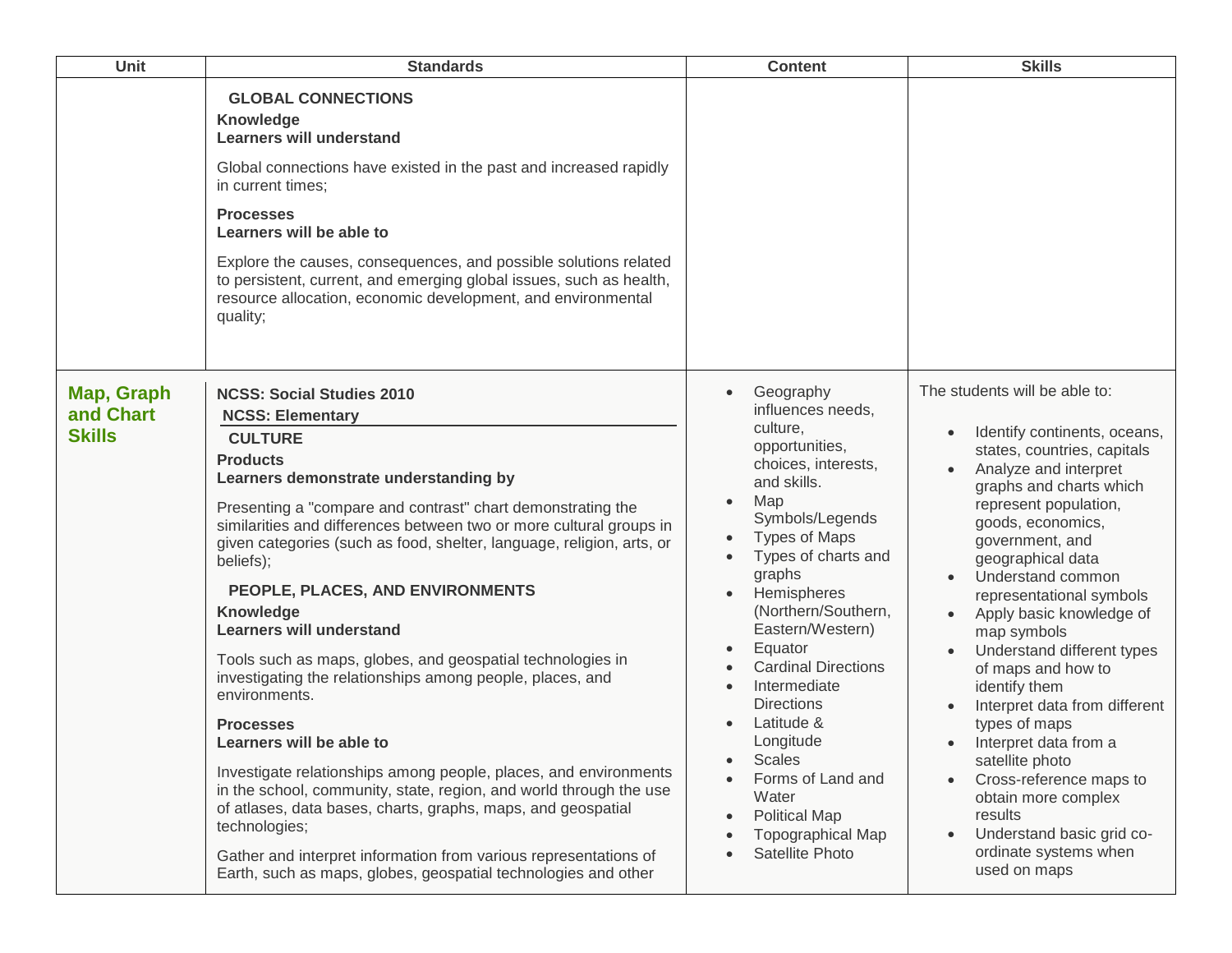| Unit                                     | <b>Standards</b>                                                                                                                                                                                                                                                                                                                                                                                                                                                                                                                                                                                                                                                                                                                                                                                                                                                                                                                                                                                                       | <b>Content</b>                                                                                                                                                                                                                                                                                                                                                                                                                                                                              | <b>Skills</b>                                                                                                                                                                                                                                                                                                                                                                                                                                                                                                                                                                                                                                         |
|------------------------------------------|------------------------------------------------------------------------------------------------------------------------------------------------------------------------------------------------------------------------------------------------------------------------------------------------------------------------------------------------------------------------------------------------------------------------------------------------------------------------------------------------------------------------------------------------------------------------------------------------------------------------------------------------------------------------------------------------------------------------------------------------------------------------------------------------------------------------------------------------------------------------------------------------------------------------------------------------------------------------------------------------------------------------|---------------------------------------------------------------------------------------------------------------------------------------------------------------------------------------------------------------------------------------------------------------------------------------------------------------------------------------------------------------------------------------------------------------------------------------------------------------------------------------------|-------------------------------------------------------------------------------------------------------------------------------------------------------------------------------------------------------------------------------------------------------------------------------------------------------------------------------------------------------------------------------------------------------------------------------------------------------------------------------------------------------------------------------------------------------------------------------------------------------------------------------------------------------|
|                                          | <b>GLOBAL CONNECTIONS</b><br><b>Knowledge</b><br><b>Learners will understand</b><br>Global connections have existed in the past and increased rapidly<br>in current times;<br><b>Processes</b><br>Learners will be able to<br>Explore the causes, consequences, and possible solutions related<br>to persistent, current, and emerging global issues, such as health,<br>resource allocation, economic development, and environmental<br>quality;                                                                                                                                                                                                                                                                                                                                                                                                                                                                                                                                                                      |                                                                                                                                                                                                                                                                                                                                                                                                                                                                                             |                                                                                                                                                                                                                                                                                                                                                                                                                                                                                                                                                                                                                                                       |
| Map, Graph<br>and Chart<br><b>Skills</b> | <b>NCSS: Social Studies 2010</b><br><b>NCSS: Elementary</b><br><b>CULTURE</b><br><b>Products</b><br>Learners demonstrate understanding by<br>Presenting a "compare and contrast" chart demonstrating the<br>similarities and differences between two or more cultural groups in<br>given categories (such as food, shelter, language, religion, arts, or<br>beliefs);<br>PEOPLE, PLACES, AND ENVIRONMENTS<br>Knowledge<br><b>Learners will understand</b><br>Tools such as maps, globes, and geospatial technologies in<br>investigating the relationships among people, places, and<br>environments.<br><b>Processes</b><br>Learners will be able to<br>Investigate relationships among people, places, and environments<br>in the school, community, state, region, and world through the use<br>of atlases, data bases, charts, graphs, maps, and geospatial<br>technologies;<br>Gather and interpret information from various representations of<br>Earth, such as maps, globes, geospatial technologies and other | Geography<br>influences needs,<br>culture,<br>opportunities,<br>choices, interests,<br>and skills.<br>Map<br>Symbols/Legends<br><b>Types of Maps</b><br>Types of charts and<br>graphs<br>Hemispheres<br>(Northern/Southern,<br>Eastern/Western)<br>Equator<br><b>Cardinal Directions</b><br>Intermediate<br><b>Directions</b><br>Latitude &<br>Longitude<br><b>Scales</b><br>$\bullet$<br>Forms of Land and<br>Water<br><b>Political Map</b><br><b>Topographical Map</b><br>Satellite Photo | The students will be able to:<br>Identify continents, oceans,<br>states, countries, capitals<br>Analyze and interpret<br>graphs and charts which<br>represent population,<br>goods, economics,<br>government, and<br>geographical data<br>Understand common<br>representational symbols<br>Apply basic knowledge of<br>map symbols<br>Understand different types<br>of maps and how to<br>identify them<br>Interpret data from different<br>types of maps<br>Interpret data from a<br>satellite photo<br>Cross-reference maps to<br>obtain more complex<br>results<br>Understand basic grid co-<br>$\bullet$<br>ordinate systems when<br>used on maps |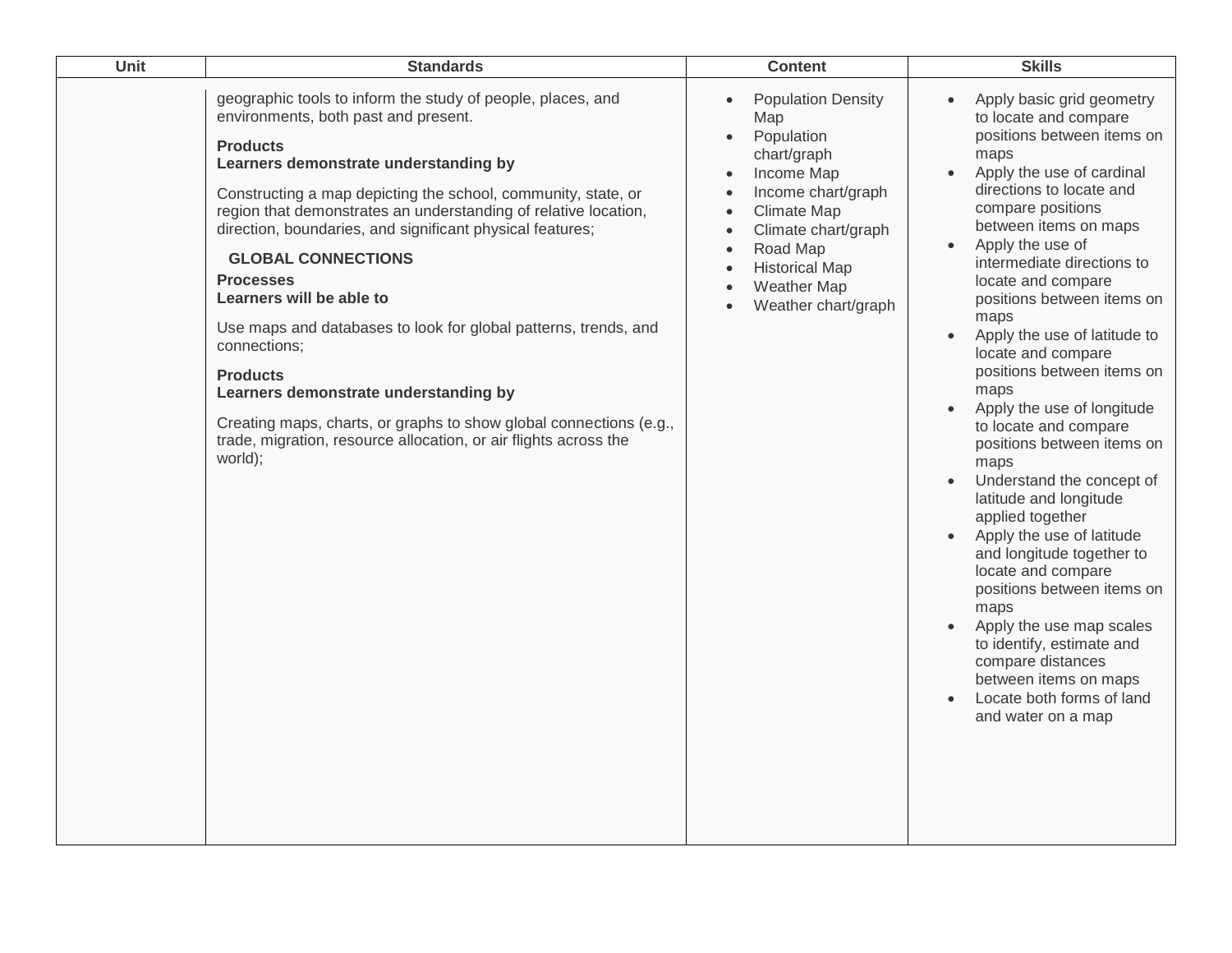| Unit | <b>Standards</b>                                                                                                                                                                                                                                                                                                                                                                                                                                                                                                                                                                                                                                                                                                                                  | <b>Content</b>                                                                                                                                                                                                                                                                       | <b>Skills</b>                                                                                                                                                                                                                                                                                                                                                                                                                                                                                                                                                                                                                                                                                                                                                                                                                                                                                                                      |
|------|---------------------------------------------------------------------------------------------------------------------------------------------------------------------------------------------------------------------------------------------------------------------------------------------------------------------------------------------------------------------------------------------------------------------------------------------------------------------------------------------------------------------------------------------------------------------------------------------------------------------------------------------------------------------------------------------------------------------------------------------------|--------------------------------------------------------------------------------------------------------------------------------------------------------------------------------------------------------------------------------------------------------------------------------------|------------------------------------------------------------------------------------------------------------------------------------------------------------------------------------------------------------------------------------------------------------------------------------------------------------------------------------------------------------------------------------------------------------------------------------------------------------------------------------------------------------------------------------------------------------------------------------------------------------------------------------------------------------------------------------------------------------------------------------------------------------------------------------------------------------------------------------------------------------------------------------------------------------------------------------|
|      | geographic tools to inform the study of people, places, and<br>environments, both past and present.<br><b>Products</b><br>Learners demonstrate understanding by<br>Constructing a map depicting the school, community, state, or<br>region that demonstrates an understanding of relative location,<br>direction, boundaries, and significant physical features;<br><b>GLOBAL CONNECTIONS</b><br><b>Processes</b><br>Learners will be able to<br>Use maps and databases to look for global patterns, trends, and<br>connections;<br><b>Products</b><br>Learners demonstrate understanding by<br>Creating maps, charts, or graphs to show global connections (e.g.,<br>trade, migration, resource allocation, or air flights across the<br>world); | <b>Population Density</b><br>$\bullet$<br>Map<br>Population<br>$\bullet$<br>chart/graph<br>Income Map<br>$\bullet$<br>Income chart/graph<br>$\bullet$<br><b>Climate Map</b><br>Climate chart/graph<br>Road Map<br><b>Historical Map</b><br><b>Weather Map</b><br>Weather chart/graph | Apply basic grid geometry<br>$\bullet$<br>to locate and compare<br>positions between items on<br>maps<br>Apply the use of cardinal<br>$\bullet$<br>directions to locate and<br>compare positions<br>between items on maps<br>Apply the use of<br>$\bullet$<br>intermediate directions to<br>locate and compare<br>positions between items on<br>maps<br>Apply the use of latitude to<br>$\bullet$<br>locate and compare<br>positions between items on<br>maps<br>Apply the use of longitude<br>to locate and compare<br>positions between items on<br>maps<br>Understand the concept of<br>$\bullet$<br>latitude and longitude<br>applied together<br>Apply the use of latitude<br>and longitude together to<br>locate and compare<br>positions between items on<br>maps<br>Apply the use map scales<br>to identify, estimate and<br>compare distances<br>between items on maps<br>Locate both forms of land<br>and water on a map |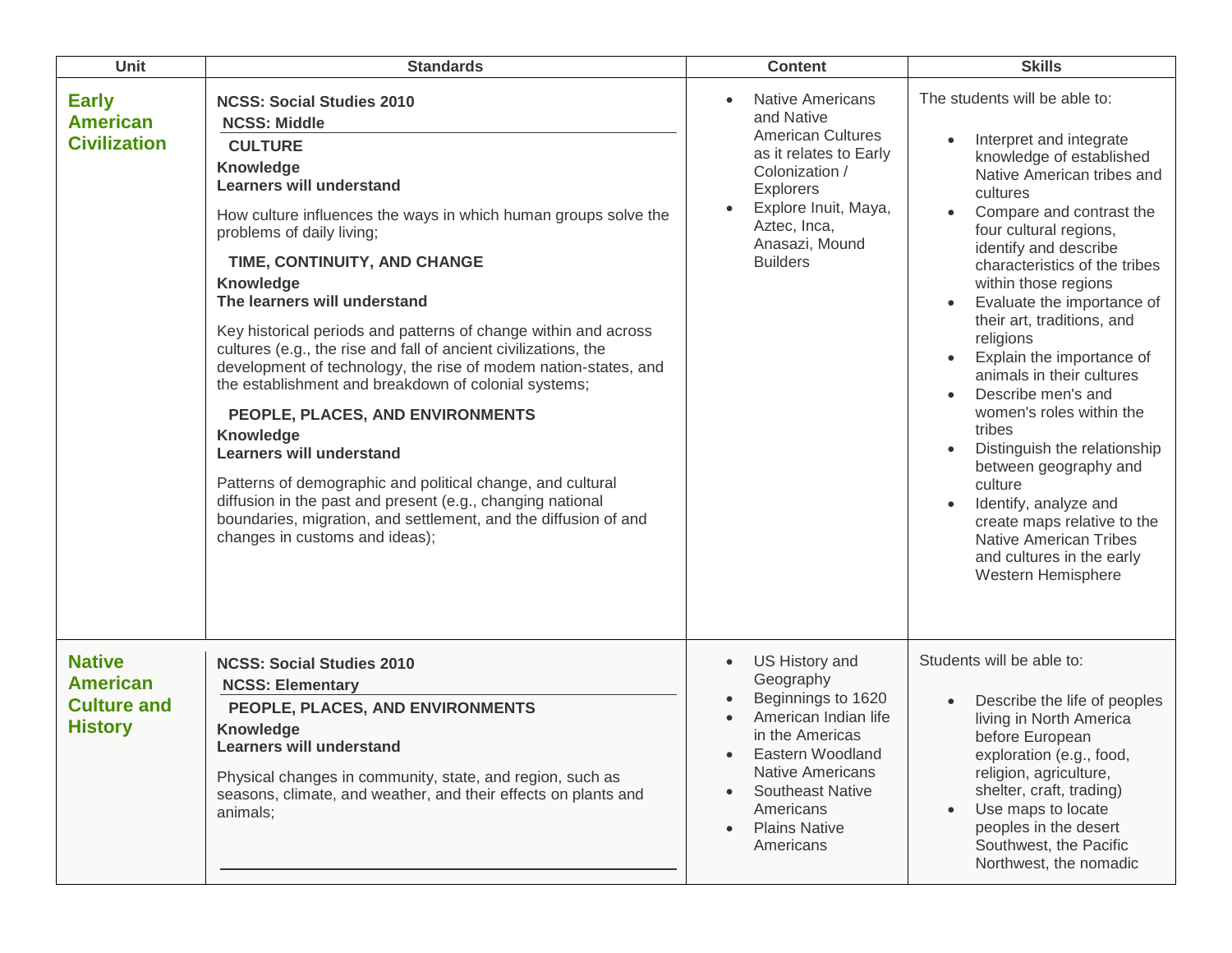| <b>Unit</b>                                                              | <b>Standards</b>                                                                                                                                                                                                                                                                                                                                                                                                                                                                                                                                                                                                                                                                                                                                                                                                                                                                                    | <b>Content</b>                                                                                                                                                                                                                                     | <b>Skills</b>                                                                                                                                                                                                                                                                                                                                                                                                                                                                                                                                                                                                                                                                                                   |
|--------------------------------------------------------------------------|-----------------------------------------------------------------------------------------------------------------------------------------------------------------------------------------------------------------------------------------------------------------------------------------------------------------------------------------------------------------------------------------------------------------------------------------------------------------------------------------------------------------------------------------------------------------------------------------------------------------------------------------------------------------------------------------------------------------------------------------------------------------------------------------------------------------------------------------------------------------------------------------------------|----------------------------------------------------------------------------------------------------------------------------------------------------------------------------------------------------------------------------------------------------|-----------------------------------------------------------------------------------------------------------------------------------------------------------------------------------------------------------------------------------------------------------------------------------------------------------------------------------------------------------------------------------------------------------------------------------------------------------------------------------------------------------------------------------------------------------------------------------------------------------------------------------------------------------------------------------------------------------------|
| <b>Early</b><br><b>American</b><br><b>Civilization</b>                   | <b>NCSS: Social Studies 2010</b><br><b>NCSS: Middle</b><br><b>CULTURE</b><br>Knowledge<br><b>Learners will understand</b><br>How culture influences the ways in which human groups solve the<br>problems of daily living;<br>TIME, CONTINUITY, AND CHANGE<br><b>Knowledge</b><br>The learners will understand<br>Key historical periods and patterns of change within and across<br>cultures (e.g., the rise and fall of ancient civilizations, the<br>development of technology, the rise of modem nation-states, and<br>the establishment and breakdown of colonial systems;<br>PEOPLE, PLACES, AND ENVIRONMENTS<br>Knowledge<br><b>Learners will understand</b><br>Patterns of demographic and political change, and cultural<br>diffusion in the past and present (e.g., changing national<br>boundaries, migration, and settlement, and the diffusion of and<br>changes in customs and ideas); | <b>Native Americans</b><br>and Native<br><b>American Cultures</b><br>as it relates to Early<br>Colonization /<br><b>Explorers</b><br>Explore Inuit, Maya,<br>Aztec, Inca,<br>Anasazi, Mound<br><b>Builders</b>                                     | The students will be able to:<br>Interpret and integrate<br>knowledge of established<br>Native American tribes and<br>cultures<br>Compare and contrast the<br>four cultural regions,<br>identify and describe<br>characteristics of the tribes<br>within those regions<br>Evaluate the importance of<br>$\bullet$<br>their art, traditions, and<br>religions<br>Explain the importance of<br>animals in their cultures<br>Describe men's and<br>women's roles within the<br>tribes<br>Distinguish the relationship<br>$\bullet$<br>between geography and<br>culture<br>Identify, analyze and<br>create maps relative to the<br><b>Native American Tribes</b><br>and cultures in the early<br>Western Hemisphere |
| <b>Native</b><br><b>American</b><br><b>Culture and</b><br><b>History</b> | <b>NCSS: Social Studies 2010</b><br><b>NCSS: Elementary</b><br>PEOPLE, PLACES, AND ENVIRONMENTS<br>Knowledge<br><b>Learners will understand</b><br>Physical changes in community, state, and region, such as<br>seasons, climate, and weather, and their effects on plants and<br>animals;                                                                                                                                                                                                                                                                                                                                                                                                                                                                                                                                                                                                          | US History and<br>$\bullet$<br>Geography<br>Beginnings to 1620<br>American Indian life<br>in the Americas<br>Eastern Woodland<br><b>Native Americans</b><br><b>Southeast Native</b><br>Americans<br><b>Plains Native</b><br>$\bullet$<br>Americans | Students will be able to:<br>Describe the life of peoples<br>$\bullet$<br>living in North America<br>before European<br>exploration (e.g., food,<br>religion, agriculture,<br>shelter, craft, trading)<br>Use maps to locate<br>peoples in the desert<br>Southwest, the Pacific<br>Northwest, the nomadic                                                                                                                                                                                                                                                                                                                                                                                                       |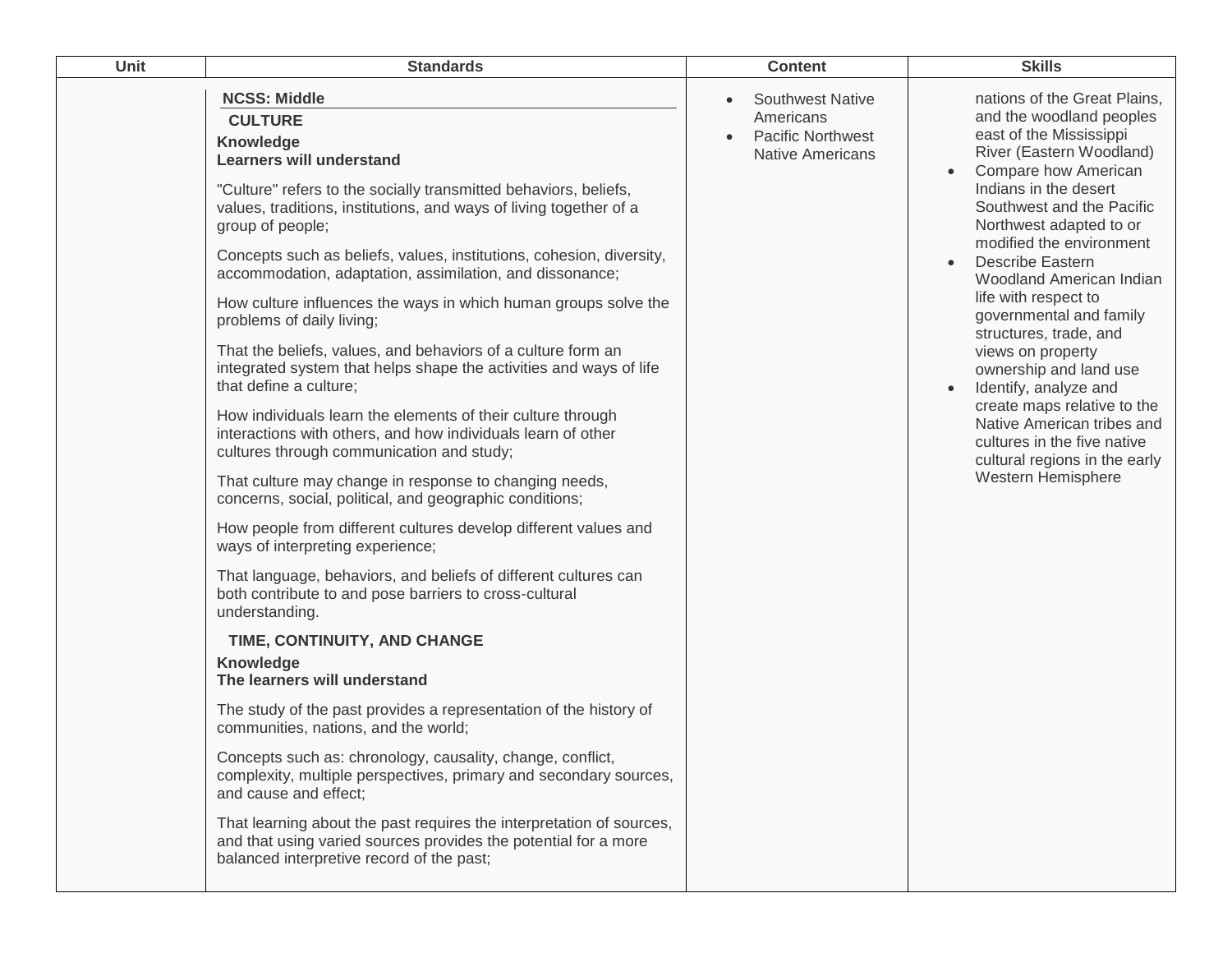| <b>Unit</b> | <b>Standards</b>                                                                                                                                                                                                                                                                                                                                                                                                                                                                                                                                                                                                                                                                                                                                                                                                                                                                              | <b>Content</b>                                                                                                        | <b>Skills</b>                                                                                                                                                                                                                                                                                                                                                                                                                                                                                                                                                                                                       |
|-------------|-----------------------------------------------------------------------------------------------------------------------------------------------------------------------------------------------------------------------------------------------------------------------------------------------------------------------------------------------------------------------------------------------------------------------------------------------------------------------------------------------------------------------------------------------------------------------------------------------------------------------------------------------------------------------------------------------------------------------------------------------------------------------------------------------------------------------------------------------------------------------------------------------|-----------------------------------------------------------------------------------------------------------------------|---------------------------------------------------------------------------------------------------------------------------------------------------------------------------------------------------------------------------------------------------------------------------------------------------------------------------------------------------------------------------------------------------------------------------------------------------------------------------------------------------------------------------------------------------------------------------------------------------------------------|
|             | <b>NCSS: Middle</b><br><b>CULTURE</b><br>Knowledge<br><b>Learners will understand</b><br>"Culture" refers to the socially transmitted behaviors, beliefs,<br>values, traditions, institutions, and ways of living together of a<br>group of people;<br>Concepts such as beliefs, values, institutions, cohesion, diversity,<br>accommodation, adaptation, assimilation, and dissonance;<br>How culture influences the ways in which human groups solve the<br>problems of daily living;<br>That the beliefs, values, and behaviors of a culture form an<br>integrated system that helps shape the activities and ways of life<br>that define a culture;<br>How individuals learn the elements of their culture through<br>interactions with others, and how individuals learn of other<br>cultures through communication and study;<br>That culture may change in response to changing needs, | <b>Southwest Native</b><br>$\bullet$<br>Americans<br><b>Pacific Northwest</b><br>$\bullet$<br><b>Native Americans</b> | nations of the Great Plains,<br>and the woodland peoples<br>east of the Mississippi<br>River (Eastern Woodland)<br>Compare how American<br>Indians in the desert<br>Southwest and the Pacific<br>Northwest adapted to or<br>modified the environment<br><b>Describe Eastern</b><br>Woodland American Indian<br>life with respect to<br>governmental and family<br>structures, trade, and<br>views on property<br>ownership and land use<br>Identify, analyze and<br>create maps relative to the<br>Native American tribes and<br>cultures in the five native<br>cultural regions in the early<br>Western Hemisphere |
|             | concerns, social, political, and geographic conditions;<br>How people from different cultures develop different values and<br>ways of interpreting experience;<br>That language, behaviors, and beliefs of different cultures can<br>both contribute to and pose barriers to cross-cultural<br>understanding.                                                                                                                                                                                                                                                                                                                                                                                                                                                                                                                                                                                 |                                                                                                                       |                                                                                                                                                                                                                                                                                                                                                                                                                                                                                                                                                                                                                     |
|             | TIME, CONTINUITY, AND CHANGE<br>Knowledge<br>The learners will understand                                                                                                                                                                                                                                                                                                                                                                                                                                                                                                                                                                                                                                                                                                                                                                                                                     |                                                                                                                       |                                                                                                                                                                                                                                                                                                                                                                                                                                                                                                                                                                                                                     |
|             | The study of the past provides a representation of the history of<br>communities, nations, and the world;                                                                                                                                                                                                                                                                                                                                                                                                                                                                                                                                                                                                                                                                                                                                                                                     |                                                                                                                       |                                                                                                                                                                                                                                                                                                                                                                                                                                                                                                                                                                                                                     |
|             | Concepts such as: chronology, causality, change, conflict,<br>complexity, multiple perspectives, primary and secondary sources,<br>and cause and effect:                                                                                                                                                                                                                                                                                                                                                                                                                                                                                                                                                                                                                                                                                                                                      |                                                                                                                       |                                                                                                                                                                                                                                                                                                                                                                                                                                                                                                                                                                                                                     |
|             | That learning about the past requires the interpretation of sources,<br>and that using varied sources provides the potential for a more<br>balanced interpretive record of the past;                                                                                                                                                                                                                                                                                                                                                                                                                                                                                                                                                                                                                                                                                                          |                                                                                                                       |                                                                                                                                                                                                                                                                                                                                                                                                                                                                                                                                                                                                                     |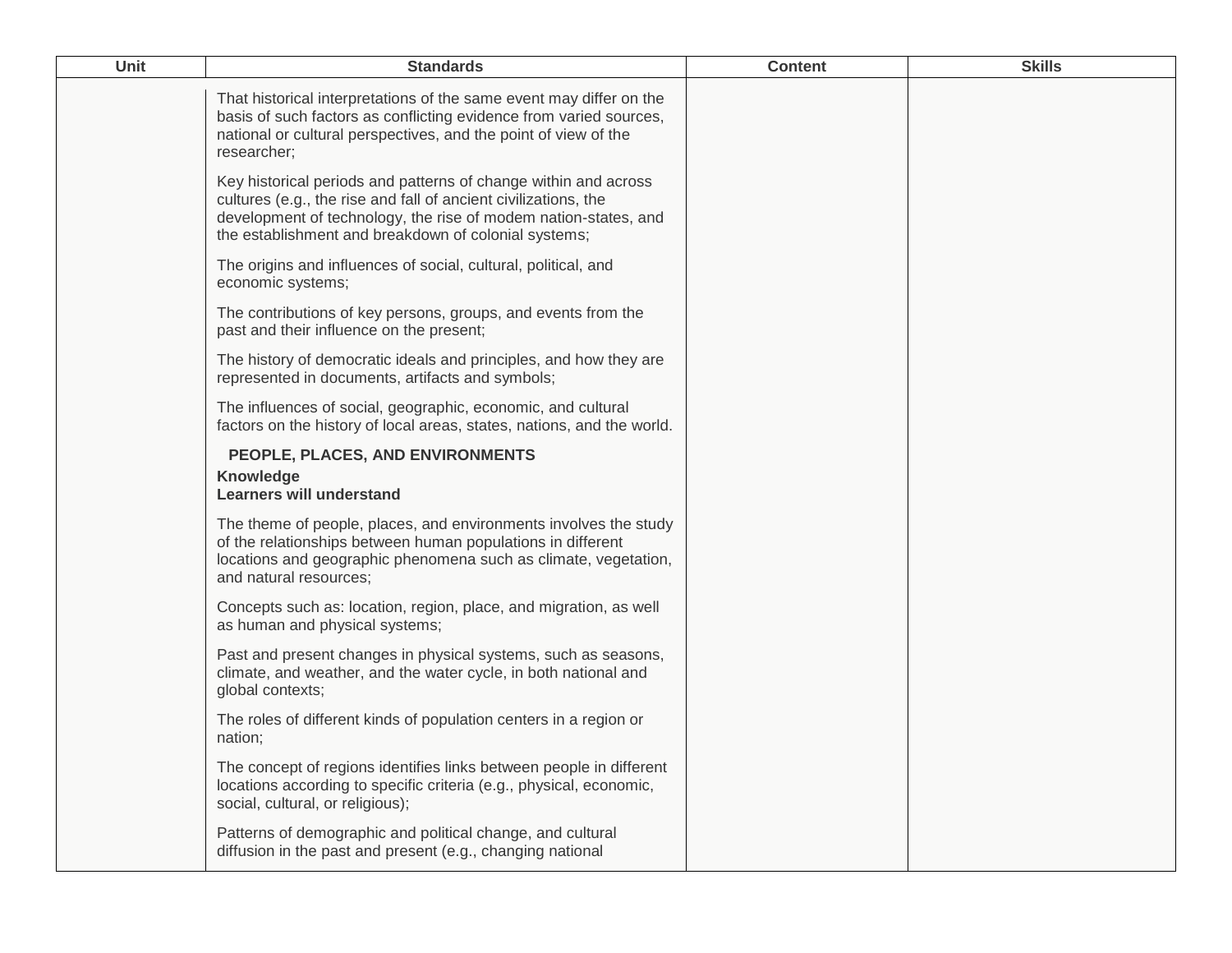| <b>Unit</b> | <b>Standards</b>                                                                                                                                                                                                                                                | <b>Content</b> | <b>Skills</b> |
|-------------|-----------------------------------------------------------------------------------------------------------------------------------------------------------------------------------------------------------------------------------------------------------------|----------------|---------------|
|             | That historical interpretations of the same event may differ on the<br>basis of such factors as conflicting evidence from varied sources,<br>national or cultural perspectives, and the point of view of the<br>researcher;                                     |                |               |
|             | Key historical periods and patterns of change within and across<br>cultures (e.g., the rise and fall of ancient civilizations, the<br>development of technology, the rise of modem nation-states, and<br>the establishment and breakdown of colonial systems;   |                |               |
|             | The origins and influences of social, cultural, political, and<br>economic systems;                                                                                                                                                                             |                |               |
|             | The contributions of key persons, groups, and events from the<br>past and their influence on the present;                                                                                                                                                       |                |               |
|             | The history of democratic ideals and principles, and how they are<br>represented in documents, artifacts and symbols;                                                                                                                                           |                |               |
|             | The influences of social, geographic, economic, and cultural<br>factors on the history of local areas, states, nations, and the world.                                                                                                                          |                |               |
|             | PEOPLE, PLACES, AND ENVIRONMENTS<br>Knowledge                                                                                                                                                                                                                   |                |               |
|             | <b>Learners will understand</b><br>The theme of people, places, and environments involves the study<br>of the relationships between human populations in different<br>locations and geographic phenomena such as climate, vegetation,<br>and natural resources; |                |               |
|             | Concepts such as: location, region, place, and migration, as well<br>as human and physical systems;                                                                                                                                                             |                |               |
|             | Past and present changes in physical systems, such as seasons,<br>climate, and weather, and the water cycle, in both national and<br>global contexts;                                                                                                           |                |               |
|             | The roles of different kinds of population centers in a region or<br>nation;                                                                                                                                                                                    |                |               |
|             | The concept of regions identifies links between people in different<br>locations according to specific criteria (e.g., physical, economic,<br>social, cultural, or religious);                                                                                  |                |               |
|             | Patterns of demographic and political change, and cultural<br>diffusion in the past and present (e.g., changing national                                                                                                                                        |                |               |
|             |                                                                                                                                                                                                                                                                 |                |               |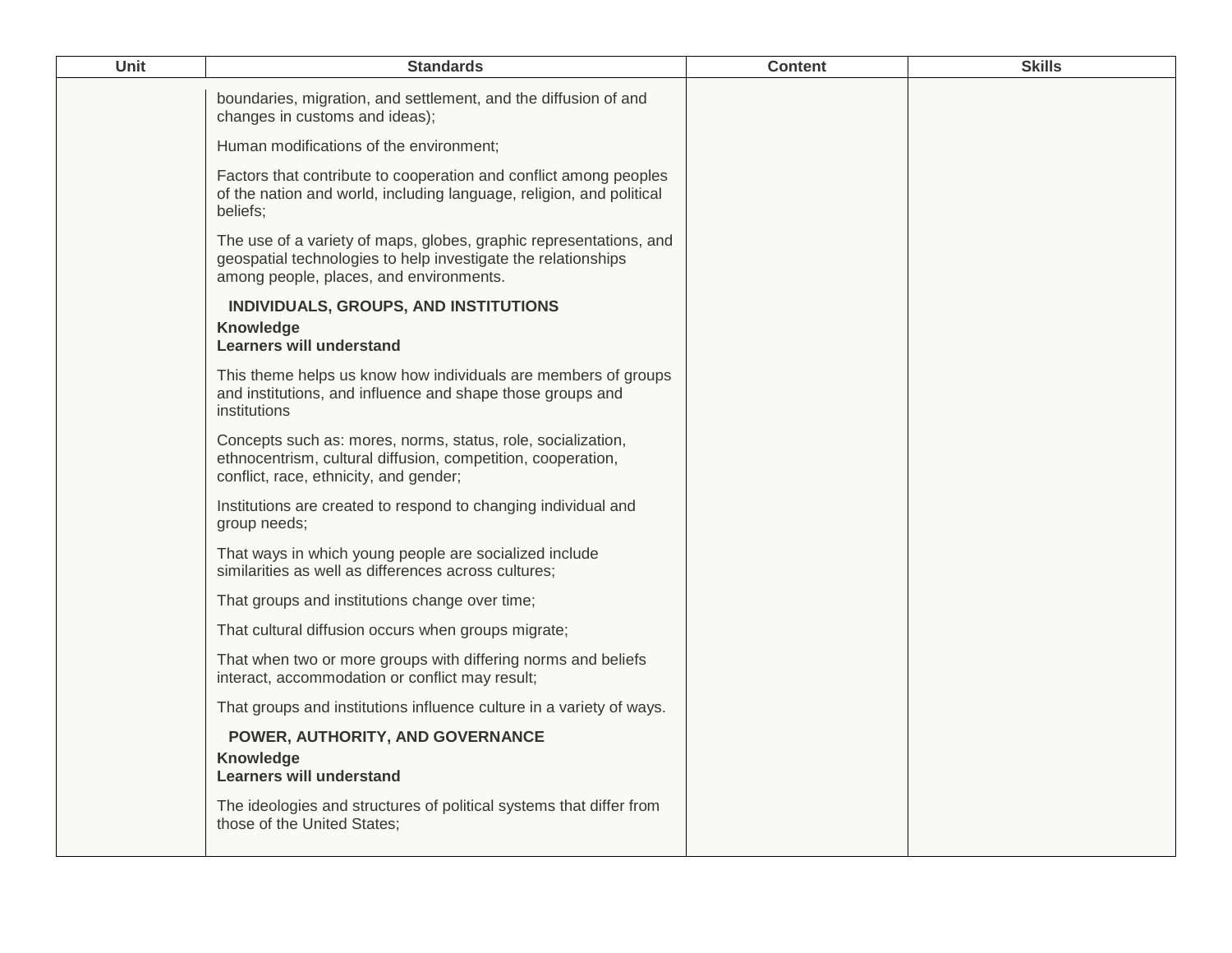| Unit | <b>Standards</b>                                                                                                                                                               | <b>Content</b> | <b>Skills</b> |
|------|--------------------------------------------------------------------------------------------------------------------------------------------------------------------------------|----------------|---------------|
|      | boundaries, migration, and settlement, and the diffusion of and<br>changes in customs and ideas);                                                                              |                |               |
|      | Human modifications of the environment;                                                                                                                                        |                |               |
|      | Factors that contribute to cooperation and conflict among peoples<br>of the nation and world, including language, religion, and political<br>beliefs;                          |                |               |
|      | The use of a variety of maps, globes, graphic representations, and<br>geospatial technologies to help investigate the relationships<br>among people, places, and environments. |                |               |
|      | INDIVIDUALS, GROUPS, AND INSTITUTIONS                                                                                                                                          |                |               |
|      | Knowledge<br><b>Learners will understand</b>                                                                                                                                   |                |               |
|      | This theme helps us know how individuals are members of groups<br>and institutions, and influence and shape those groups and<br>institutions                                   |                |               |
|      | Concepts such as: mores, norms, status, role, socialization,<br>ethnocentrism, cultural diffusion, competition, cooperation,<br>conflict, race, ethnicity, and gender;         |                |               |
|      | Institutions are created to respond to changing individual and<br>group needs;                                                                                                 |                |               |
|      | That ways in which young people are socialized include<br>similarities as well as differences across cultures;                                                                 |                |               |
|      | That groups and institutions change over time;                                                                                                                                 |                |               |
|      | That cultural diffusion occurs when groups migrate;                                                                                                                            |                |               |
|      | That when two or more groups with differing norms and beliefs<br>interact, accommodation or conflict may result;                                                               |                |               |
|      | That groups and institutions influence culture in a variety of ways.                                                                                                           |                |               |
|      | POWER, AUTHORITY, AND GOVERNANCE                                                                                                                                               |                |               |
|      | Knowledge<br><b>Learners will understand</b>                                                                                                                                   |                |               |
|      | The ideologies and structures of political systems that differ from<br>those of the United States;                                                                             |                |               |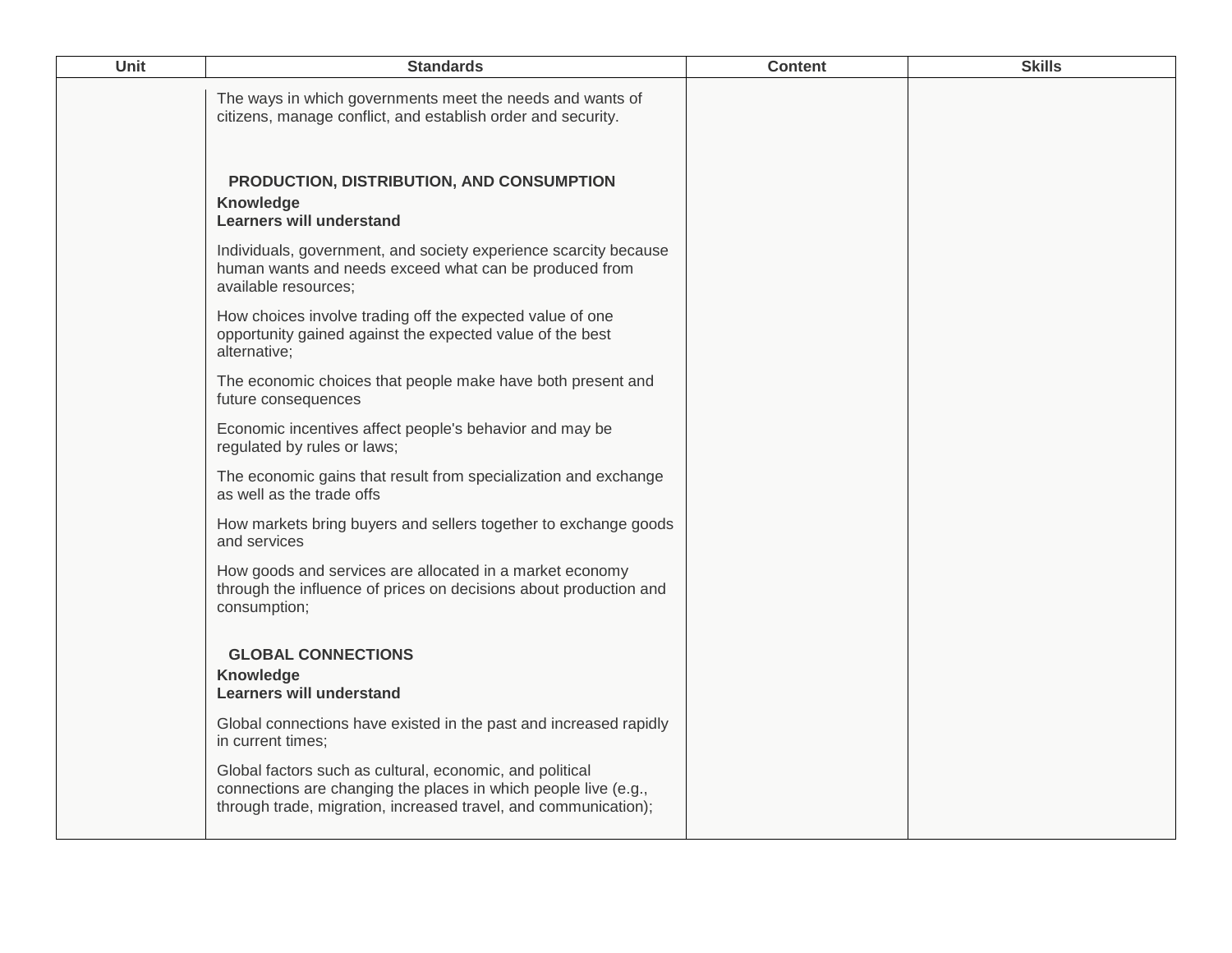| <b>Unit</b> | <b>Standards</b>                                                                                                                                                                               | <b>Content</b> | <b>Skills</b> |
|-------------|------------------------------------------------------------------------------------------------------------------------------------------------------------------------------------------------|----------------|---------------|
|             | The ways in which governments meet the needs and wants of<br>citizens, manage conflict, and establish order and security.                                                                      |                |               |
|             | PRODUCTION, DISTRIBUTION, AND CONSUMPTION<br><b>Knowledge</b><br>Learners will understand                                                                                                      |                |               |
|             | Individuals, government, and society experience scarcity because<br>human wants and needs exceed what can be produced from<br>available resources;                                             |                |               |
|             | How choices involve trading off the expected value of one<br>opportunity gained against the expected value of the best<br>alternative;                                                         |                |               |
|             | The economic choices that people make have both present and<br>future consequences                                                                                                             |                |               |
|             | Economic incentives affect people's behavior and may be<br>regulated by rules or laws;                                                                                                         |                |               |
|             | The economic gains that result from specialization and exchange<br>as well as the trade offs                                                                                                   |                |               |
|             | How markets bring buyers and sellers together to exchange goods<br>and services                                                                                                                |                |               |
|             | How goods and services are allocated in a market economy<br>through the influence of prices on decisions about production and<br>consumption;                                                  |                |               |
|             | <b>GLOBAL CONNECTIONS</b><br>Knowledge<br><b>Learners will understand</b>                                                                                                                      |                |               |
|             | Global connections have existed in the past and increased rapidly<br>in current times;                                                                                                         |                |               |
|             | Global factors such as cultural, economic, and political<br>connections are changing the places in which people live (e.g.,<br>through trade, migration, increased travel, and communication); |                |               |
|             |                                                                                                                                                                                                |                |               |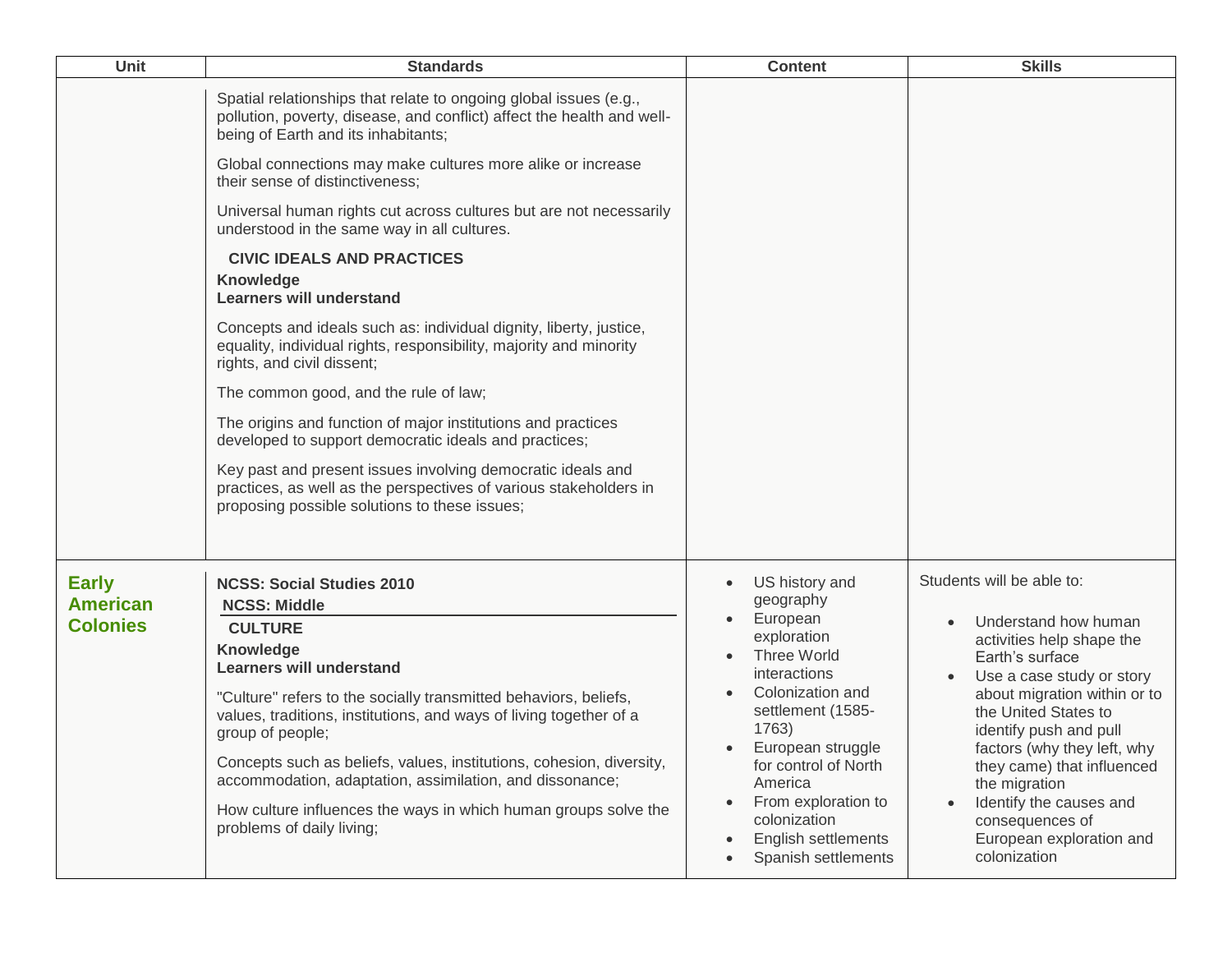| Unit                                               | <b>Standards</b>                                                                                                                                                                                                                                                                                                                                                                                                                                                                                                                                                                                                                                                         | <b>Content</b>                                                                                                                                                                                                                                                                                                              | <b>Skills</b>                                                                                                                                                                                                                                                                                                                                                                            |
|----------------------------------------------------|--------------------------------------------------------------------------------------------------------------------------------------------------------------------------------------------------------------------------------------------------------------------------------------------------------------------------------------------------------------------------------------------------------------------------------------------------------------------------------------------------------------------------------------------------------------------------------------------------------------------------------------------------------------------------|-----------------------------------------------------------------------------------------------------------------------------------------------------------------------------------------------------------------------------------------------------------------------------------------------------------------------------|------------------------------------------------------------------------------------------------------------------------------------------------------------------------------------------------------------------------------------------------------------------------------------------------------------------------------------------------------------------------------------------|
|                                                    | Spatial relationships that relate to ongoing global issues (e.g.,<br>pollution, poverty, disease, and conflict) affect the health and well-<br>being of Earth and its inhabitants;<br>Global connections may make cultures more alike or increase<br>their sense of distinctiveness;<br>Universal human rights cut across cultures but are not necessarily<br>understood in the same way in all cultures.<br><b>CIVIC IDEALS AND PRACTICES</b><br>Knowledge<br><b>Learners will understand</b><br>Concepts and ideals such as: individual dignity, liberty, justice,<br>equality, individual rights, responsibility, majority and minority<br>rights, and civil dissent; |                                                                                                                                                                                                                                                                                                                             |                                                                                                                                                                                                                                                                                                                                                                                          |
|                                                    | The common good, and the rule of law;<br>The origins and function of major institutions and practices                                                                                                                                                                                                                                                                                                                                                                                                                                                                                                                                                                    |                                                                                                                                                                                                                                                                                                                             |                                                                                                                                                                                                                                                                                                                                                                                          |
|                                                    | developed to support democratic ideals and practices;                                                                                                                                                                                                                                                                                                                                                                                                                                                                                                                                                                                                                    |                                                                                                                                                                                                                                                                                                                             |                                                                                                                                                                                                                                                                                                                                                                                          |
|                                                    | Key past and present issues involving democratic ideals and<br>practices, as well as the perspectives of various stakeholders in<br>proposing possible solutions to these issues;                                                                                                                                                                                                                                                                                                                                                                                                                                                                                        |                                                                                                                                                                                                                                                                                                                             |                                                                                                                                                                                                                                                                                                                                                                                          |
| <b>Early</b><br><b>American</b><br><b>Colonies</b> | <b>NCSS: Social Studies 2010</b><br><b>NCSS: Middle</b><br><b>CULTURE</b><br>Knowledge<br><b>Learners will understand</b><br>"Culture" refers to the socially transmitted behaviors, beliefs,<br>values, traditions, institutions, and ways of living together of a<br>group of people;<br>Concepts such as beliefs, values, institutions, cohesion, diversity,<br>accommodation, adaptation, assimilation, and dissonance;<br>How culture influences the ways in which human groups solve the<br>problems of daily living;                                                                                                                                              | US history and<br>$\bullet$<br>geography<br>European<br>$\bullet$<br>exploration<br>Three World<br>interactions<br>Colonization and<br>settlement (1585-<br>1763)<br>European struggle<br>for control of North<br>America<br>From exploration to<br>colonization<br>English settlements<br>$\bullet$<br>Spanish settlements | Students will be able to:<br>Understand how human<br>activities help shape the<br>Earth's surface<br>Use a case study or story<br>about migration within or to<br>the United States to<br>identify push and pull<br>factors (why they left, why<br>they came) that influenced<br>the migration<br>Identify the causes and<br>consequences of<br>European exploration and<br>colonization |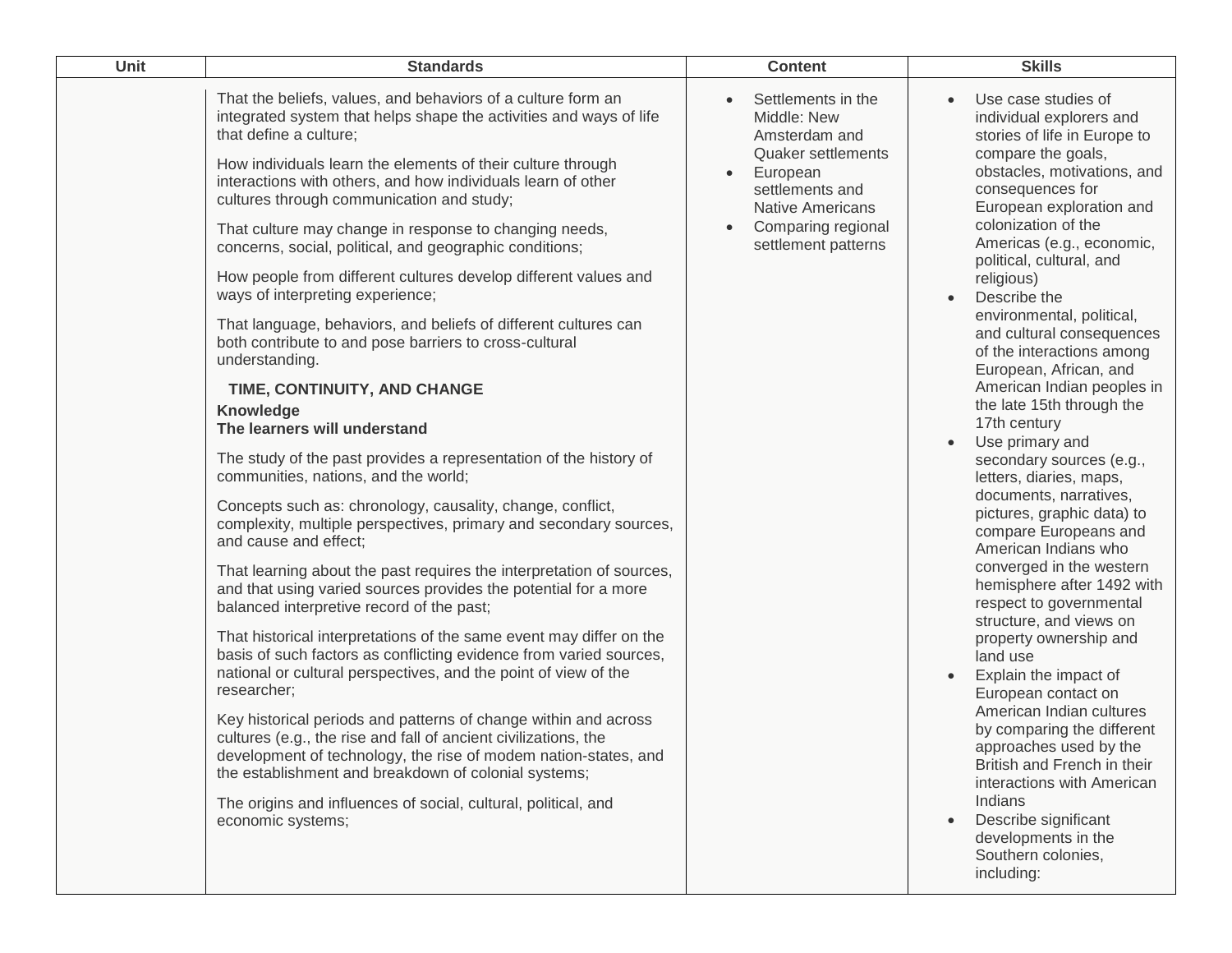| Unit | <b>Standards</b>                                                                                                                                                                                                                                                                                                                                                                                                                                                                                                                                                                                                                                                                                                                                                                                                                                                                                                                                                                                                                                                                                                                                                                                                                                                                                                                                                                                                                                                                                                                                                                                                                                                                                                                                                                                                                                         | <b>Content</b>                                                                                                                                                                                                   | <b>Skills</b>                                                                                                                                                                                                                                                                                                                                                                                                                                                                                                                                                                                                                                                                                                                                                                                                                                                                                                                                                                                                                                                                                                                          |
|------|----------------------------------------------------------------------------------------------------------------------------------------------------------------------------------------------------------------------------------------------------------------------------------------------------------------------------------------------------------------------------------------------------------------------------------------------------------------------------------------------------------------------------------------------------------------------------------------------------------------------------------------------------------------------------------------------------------------------------------------------------------------------------------------------------------------------------------------------------------------------------------------------------------------------------------------------------------------------------------------------------------------------------------------------------------------------------------------------------------------------------------------------------------------------------------------------------------------------------------------------------------------------------------------------------------------------------------------------------------------------------------------------------------------------------------------------------------------------------------------------------------------------------------------------------------------------------------------------------------------------------------------------------------------------------------------------------------------------------------------------------------------------------------------------------------------------------------------------------------|------------------------------------------------------------------------------------------------------------------------------------------------------------------------------------------------------------------|----------------------------------------------------------------------------------------------------------------------------------------------------------------------------------------------------------------------------------------------------------------------------------------------------------------------------------------------------------------------------------------------------------------------------------------------------------------------------------------------------------------------------------------------------------------------------------------------------------------------------------------------------------------------------------------------------------------------------------------------------------------------------------------------------------------------------------------------------------------------------------------------------------------------------------------------------------------------------------------------------------------------------------------------------------------------------------------------------------------------------------------|
|      | That the beliefs, values, and behaviors of a culture form an<br>integrated system that helps shape the activities and ways of life<br>that define a culture;<br>How individuals learn the elements of their culture through<br>interactions with others, and how individuals learn of other<br>cultures through communication and study;<br>That culture may change in response to changing needs,<br>concerns, social, political, and geographic conditions;<br>How people from different cultures develop different values and<br>ways of interpreting experience;<br>That language, behaviors, and beliefs of different cultures can<br>both contribute to and pose barriers to cross-cultural<br>understanding.<br>TIME, CONTINUITY, AND CHANGE<br>Knowledge<br>The learners will understand<br>The study of the past provides a representation of the history of<br>communities, nations, and the world;<br>Concepts such as: chronology, causality, change, conflict,<br>complexity, multiple perspectives, primary and secondary sources,<br>and cause and effect;<br>That learning about the past requires the interpretation of sources,<br>and that using varied sources provides the potential for a more<br>balanced interpretive record of the past;<br>That historical interpretations of the same event may differ on the<br>basis of such factors as conflicting evidence from varied sources,<br>national or cultural perspectives, and the point of view of the<br>researcher;<br>Key historical periods and patterns of change within and across<br>cultures (e.g., the rise and fall of ancient civilizations, the<br>development of technology, the rise of modem nation-states, and<br>the establishment and breakdown of colonial systems;<br>The origins and influences of social, cultural, political, and<br>economic systems; | Settlements in the<br>Middle: New<br>Amsterdam and<br><b>Quaker settlements</b><br>European<br>$\bullet$<br>settlements and<br><b>Native Americans</b><br>Comparing regional<br>$\bullet$<br>settlement patterns | Use case studies of<br>individual explorers and<br>stories of life in Europe to<br>compare the goals,<br>obstacles, motivations, and<br>consequences for<br>European exploration and<br>colonization of the<br>Americas (e.g., economic,<br>political, cultural, and<br>religious)<br>Describe the<br>environmental, political,<br>and cultural consequences<br>of the interactions among<br>European, African, and<br>American Indian peoples in<br>the late 15th through the<br>17th century<br>Use primary and<br>secondary sources (e.g.,<br>letters, diaries, maps,<br>documents, narratives,<br>pictures, graphic data) to<br>compare Europeans and<br>American Indians who<br>converged in the western<br>hemisphere after 1492 with<br>respect to governmental<br>structure, and views on<br>property ownership and<br>land use<br>Explain the impact of<br>European contact on<br>American Indian cultures<br>by comparing the different<br>approaches used by the<br>British and French in their<br>interactions with American<br>Indians<br>Describe significant<br>developments in the<br>Southern colonies,<br>including: |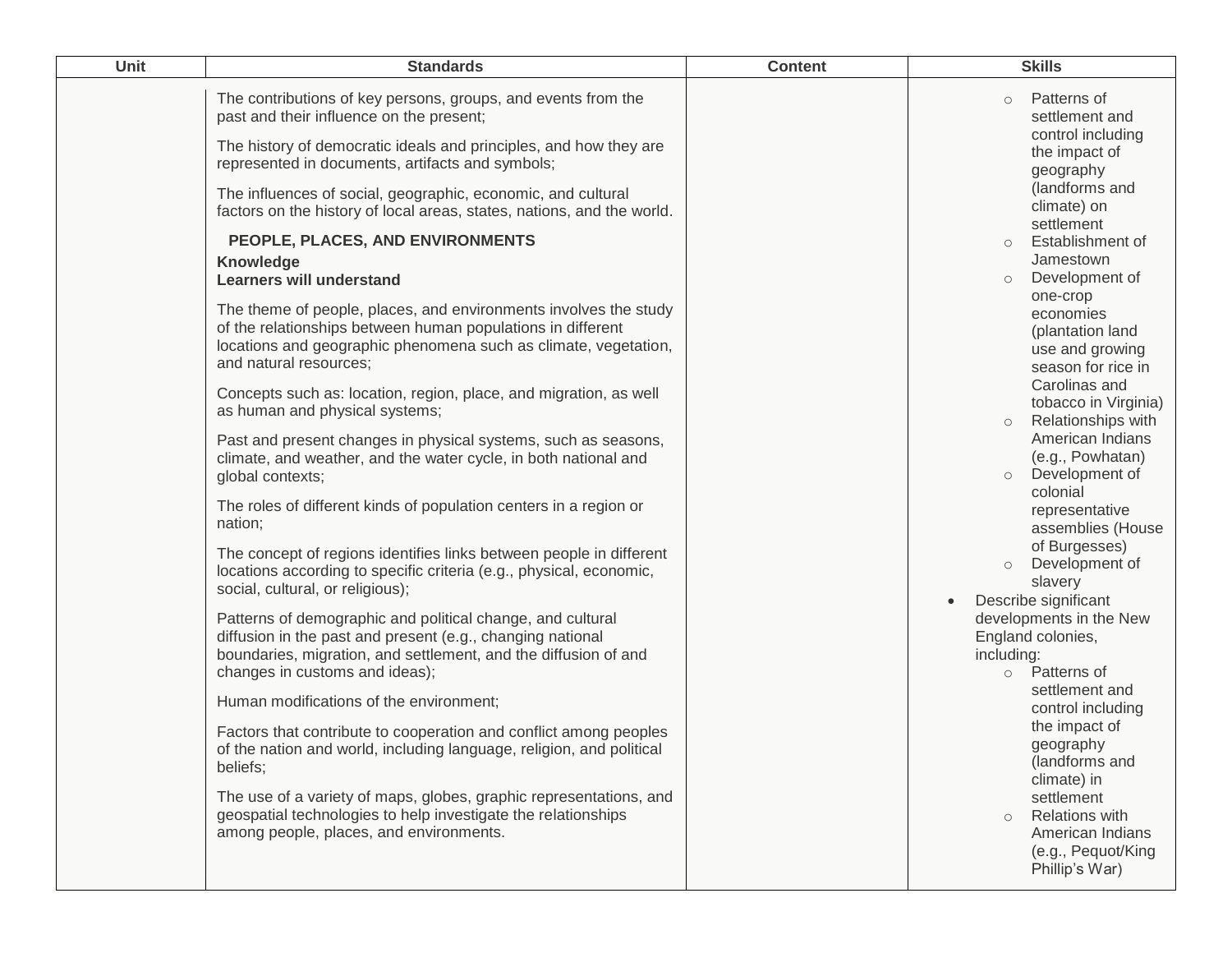| Unit | <b>Standards</b>                                                                                                                                                                                                                                                                                                                                                                                                                                                                                                                                                                                                                                                                                                                                                                                                                                                                                                                                                                                                                                                                                                                                                                                                                                                                                                                                                                                                                                                                                                                                                                                                                                                                                                                                                                                                                                                 | <b>Content</b> | <b>Skills</b>                                                                                                                                                                                                                                                                                                                                                                                                                                                                                                                                                                                                                                                                                                                                                                                                                                                                                                     |
|------|------------------------------------------------------------------------------------------------------------------------------------------------------------------------------------------------------------------------------------------------------------------------------------------------------------------------------------------------------------------------------------------------------------------------------------------------------------------------------------------------------------------------------------------------------------------------------------------------------------------------------------------------------------------------------------------------------------------------------------------------------------------------------------------------------------------------------------------------------------------------------------------------------------------------------------------------------------------------------------------------------------------------------------------------------------------------------------------------------------------------------------------------------------------------------------------------------------------------------------------------------------------------------------------------------------------------------------------------------------------------------------------------------------------------------------------------------------------------------------------------------------------------------------------------------------------------------------------------------------------------------------------------------------------------------------------------------------------------------------------------------------------------------------------------------------------------------------------------------------------|----------------|-------------------------------------------------------------------------------------------------------------------------------------------------------------------------------------------------------------------------------------------------------------------------------------------------------------------------------------------------------------------------------------------------------------------------------------------------------------------------------------------------------------------------------------------------------------------------------------------------------------------------------------------------------------------------------------------------------------------------------------------------------------------------------------------------------------------------------------------------------------------------------------------------------------------|
|      | The contributions of key persons, groups, and events from the<br>past and their influence on the present;<br>The history of democratic ideals and principles, and how they are<br>represented in documents, artifacts and symbols;<br>The influences of social, geographic, economic, and cultural<br>factors on the history of local areas, states, nations, and the world.<br>PEOPLE, PLACES, AND ENVIRONMENTS<br><b>Knowledge</b><br><b>Learners will understand</b><br>The theme of people, places, and environments involves the study<br>of the relationships between human populations in different<br>locations and geographic phenomena such as climate, vegetation,<br>and natural resources;<br>Concepts such as: location, region, place, and migration, as well<br>as human and physical systems;<br>Past and present changes in physical systems, such as seasons,<br>climate, and weather, and the water cycle, in both national and<br>global contexts;<br>The roles of different kinds of population centers in a region or<br>nation;<br>The concept of regions identifies links between people in different<br>locations according to specific criteria (e.g., physical, economic,<br>social, cultural, or religious);<br>Patterns of demographic and political change, and cultural<br>diffusion in the past and present (e.g., changing national<br>boundaries, migration, and settlement, and the diffusion of and<br>changes in customs and ideas);<br>Human modifications of the environment;<br>Factors that contribute to cooperation and conflict among peoples<br>of the nation and world, including language, religion, and political<br>beliefs;<br>The use of a variety of maps, globes, graphic representations, and<br>geospatial technologies to help investigate the relationships<br>among people, places, and environments. |                | Patterns of<br>$\circ$<br>settlement and<br>control including<br>the impact of<br>geography<br>(landforms and<br>climate) on<br>settlement<br>Establishment of<br>$\circ$<br>Jamestown<br>Development of<br>$\circ$<br>one-crop<br>economies<br>(plantation land<br>use and growing<br>season for rice in<br>Carolinas and<br>tobacco in Virginia)<br><b>Relationships with</b><br>American Indians<br>(e.g., Powhatan)<br>Development of<br>$\circ$<br>colonial<br>representative<br>assemblies (House<br>of Burgesses)<br>Development of<br>$\circ$<br>slavery<br>Describe significant<br>$\bullet$<br>developments in the New<br>England colonies,<br>including:<br>Patterns of<br>$\circ$<br>settlement and<br>control including<br>the impact of<br>geography<br>(landforms and<br>climate) in<br>settlement<br><b>Relations with</b><br>$\circ$<br>American Indians<br>(e.g., Pequot/King<br>Phillip's War) |
|      |                                                                                                                                                                                                                                                                                                                                                                                                                                                                                                                                                                                                                                                                                                                                                                                                                                                                                                                                                                                                                                                                                                                                                                                                                                                                                                                                                                                                                                                                                                                                                                                                                                                                                                                                                                                                                                                                  |                |                                                                                                                                                                                                                                                                                                                                                                                                                                                                                                                                                                                                                                                                                                                                                                                                                                                                                                                   |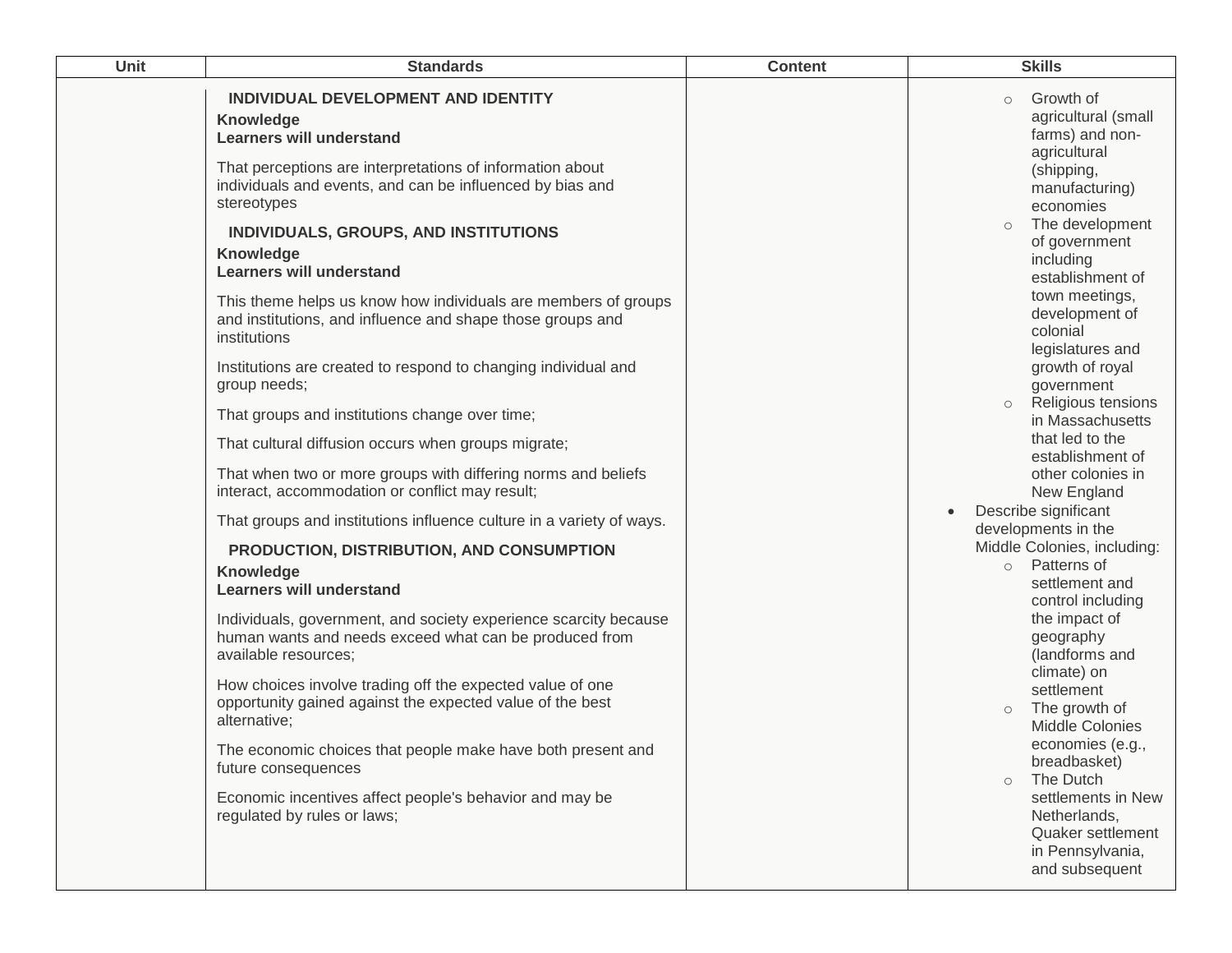| Unit | <b>Standards</b>                                                                                                                                                                                                                                                                                                                                                                                                                                                                                                                                                                                                                                                                                                                                                                                                                                                                                                                                                                                                                                                                                                       | <b>Content</b> | <b>Skills</b>                                                                                                                                                                                                                                                                                                                                                                                                                                                                                                                                                                                                                          |
|------|------------------------------------------------------------------------------------------------------------------------------------------------------------------------------------------------------------------------------------------------------------------------------------------------------------------------------------------------------------------------------------------------------------------------------------------------------------------------------------------------------------------------------------------------------------------------------------------------------------------------------------------------------------------------------------------------------------------------------------------------------------------------------------------------------------------------------------------------------------------------------------------------------------------------------------------------------------------------------------------------------------------------------------------------------------------------------------------------------------------------|----------------|----------------------------------------------------------------------------------------------------------------------------------------------------------------------------------------------------------------------------------------------------------------------------------------------------------------------------------------------------------------------------------------------------------------------------------------------------------------------------------------------------------------------------------------------------------------------------------------------------------------------------------------|
|      | INDIVIDUAL DEVELOPMENT AND IDENTITY<br>Knowledge<br><b>Learners will understand</b><br>That perceptions are interpretations of information about<br>individuals and events, and can be influenced by bias and<br>stereotypes<br>INDIVIDUALS, GROUPS, AND INSTITUTIONS<br><b>Knowledge</b><br><b>Learners will understand</b><br>This theme helps us know how individuals are members of groups<br>and institutions, and influence and shape those groups and<br>institutions<br>Institutions are created to respond to changing individual and<br>group needs;<br>That groups and institutions change over time;<br>That cultural diffusion occurs when groups migrate;<br>That when two or more groups with differing norms and beliefs<br>interact, accommodation or conflict may result;<br>That groups and institutions influence culture in a variety of ways.<br>PRODUCTION, DISTRIBUTION, AND CONSUMPTION<br>Knowledge<br><b>Learners will understand</b><br>Individuals, government, and society experience scarcity because<br>human wants and needs exceed what can be produced from<br>available resources; |                | Growth of<br>$\circ$<br>agricultural (small<br>farms) and non-<br>agricultural<br>(shipping,<br>manufacturing)<br>economies<br>The development<br>$\circ$<br>of government<br>including<br>establishment of<br>town meetings,<br>development of<br>colonial<br>legislatures and<br>growth of royal<br>government<br>Religious tensions<br>$\circ$<br>in Massachusetts<br>that led to the<br>establishment of<br>other colonies in<br>New England<br>Describe significant<br>developments in the<br>Middle Colonies, including:<br>o Patterns of<br>settlement and<br>control including<br>the impact of<br>geography<br>(landforms and |
|      | How choices involve trading off the expected value of one<br>opportunity gained against the expected value of the best<br>alternative;<br>The economic choices that people make have both present and<br>future consequences                                                                                                                                                                                                                                                                                                                                                                                                                                                                                                                                                                                                                                                                                                                                                                                                                                                                                           |                | climate) on<br>settlement<br>The growth of<br>Middle Colonies<br>economies (e.g.<br>breadbasket)                                                                                                                                                                                                                                                                                                                                                                                                                                                                                                                                       |
|      | Economic incentives affect people's behavior and may be<br>regulated by rules or laws;                                                                                                                                                                                                                                                                                                                                                                                                                                                                                                                                                                                                                                                                                                                                                                                                                                                                                                                                                                                                                                 |                | The Dutch<br>$\circ$<br>settlements in New<br>Netherlands,<br>Quaker settlement<br>in Pennsylvania,<br>and subsequent                                                                                                                                                                                                                                                                                                                                                                                                                                                                                                                  |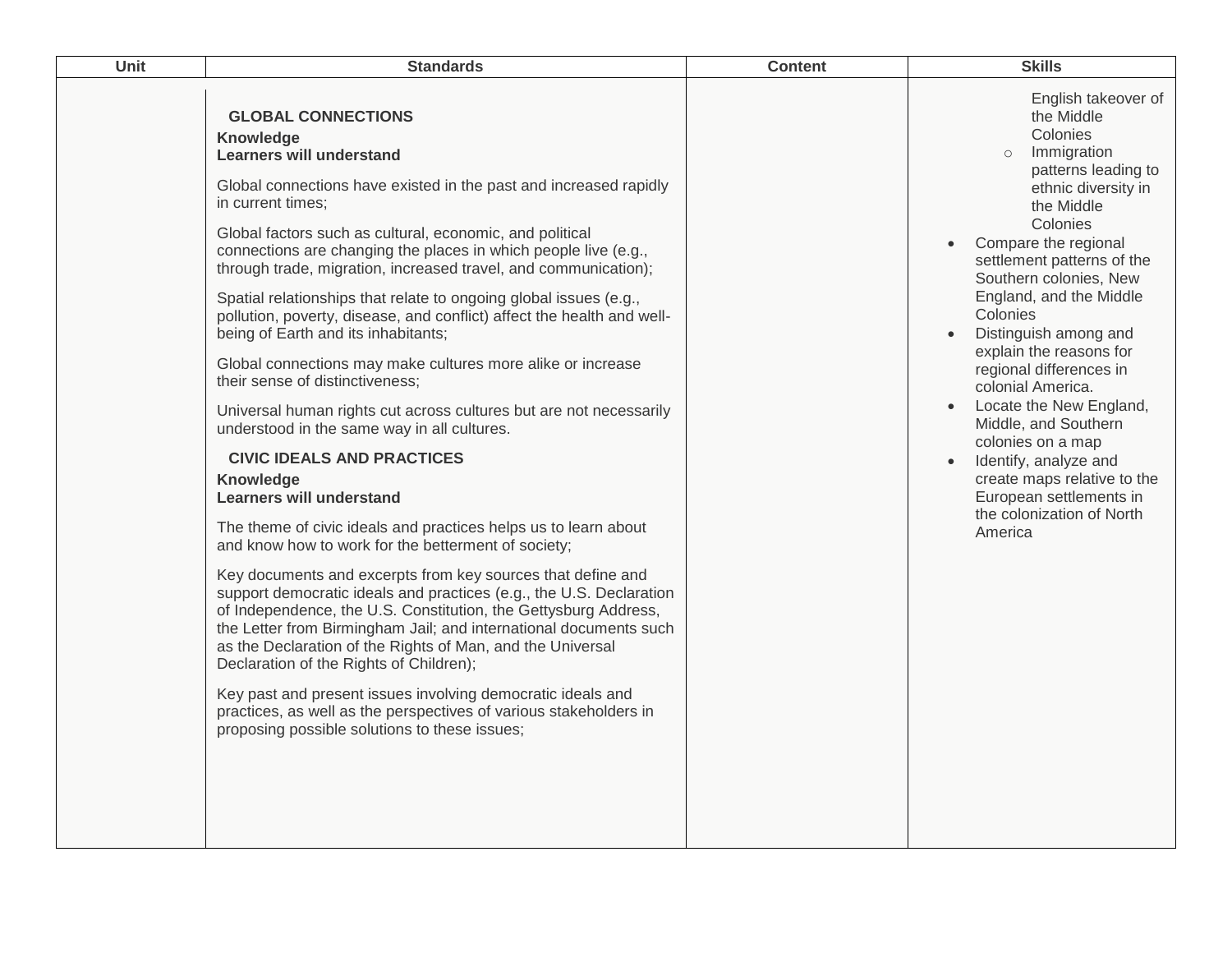| Unit | <b>Standards</b>                                                                                                                                                                                                                                                                                                                                                                                                                                                                                                                                                                                                                                                                                                                                                                                                                                                                                                                                                                                                                                                                                                                                                                                                                                                                                                                                                                                                                                                                                                                                                              | <b>Content</b> | <b>Skills</b>                                                                                                                                                                                                                                                                                                                                                                                                                                                                                                                                                                              |
|------|-------------------------------------------------------------------------------------------------------------------------------------------------------------------------------------------------------------------------------------------------------------------------------------------------------------------------------------------------------------------------------------------------------------------------------------------------------------------------------------------------------------------------------------------------------------------------------------------------------------------------------------------------------------------------------------------------------------------------------------------------------------------------------------------------------------------------------------------------------------------------------------------------------------------------------------------------------------------------------------------------------------------------------------------------------------------------------------------------------------------------------------------------------------------------------------------------------------------------------------------------------------------------------------------------------------------------------------------------------------------------------------------------------------------------------------------------------------------------------------------------------------------------------------------------------------------------------|----------------|--------------------------------------------------------------------------------------------------------------------------------------------------------------------------------------------------------------------------------------------------------------------------------------------------------------------------------------------------------------------------------------------------------------------------------------------------------------------------------------------------------------------------------------------------------------------------------------------|
|      | <b>GLOBAL CONNECTIONS</b><br>Knowledge<br><b>Learners will understand</b><br>Global connections have existed in the past and increased rapidly<br>in current times;<br>Global factors such as cultural, economic, and political<br>connections are changing the places in which people live (e.g.,<br>through trade, migration, increased travel, and communication);<br>Spatial relationships that relate to ongoing global issues (e.g.,<br>pollution, poverty, disease, and conflict) affect the health and well-<br>being of Earth and its inhabitants;<br>Global connections may make cultures more alike or increase<br>their sense of distinctiveness;<br>Universal human rights cut across cultures but are not necessarily<br>understood in the same way in all cultures.<br><b>CIVIC IDEALS AND PRACTICES</b><br>Knowledge<br><b>Learners will understand</b><br>The theme of civic ideals and practices helps us to learn about<br>and know how to work for the betterment of society;<br>Key documents and excerpts from key sources that define and<br>support democratic ideals and practices (e.g., the U.S. Declaration<br>of Independence, the U.S. Constitution, the Gettysburg Address,<br>the Letter from Birmingham Jail; and international documents such<br>as the Declaration of the Rights of Man, and the Universal<br>Declaration of the Rights of Children);<br>Key past and present issues involving democratic ideals and<br>practices, as well as the perspectives of various stakeholders in<br>proposing possible solutions to these issues; |                | English takeover of<br>the Middle<br>Colonies<br>Immigration<br>$\circ$<br>patterns leading to<br>ethnic diversity in<br>the Middle<br>Colonies<br>Compare the regional<br>$\bullet$<br>settlement patterns of the<br>Southern colonies, New<br>England, and the Middle<br>Colonies<br>Distinguish among and<br>explain the reasons for<br>regional differences in<br>colonial America.<br>Locate the New England,<br>Middle, and Southern<br>colonies on a map<br>Identify, analyze and<br>create maps relative to the<br>European settlements in<br>the colonization of North<br>America |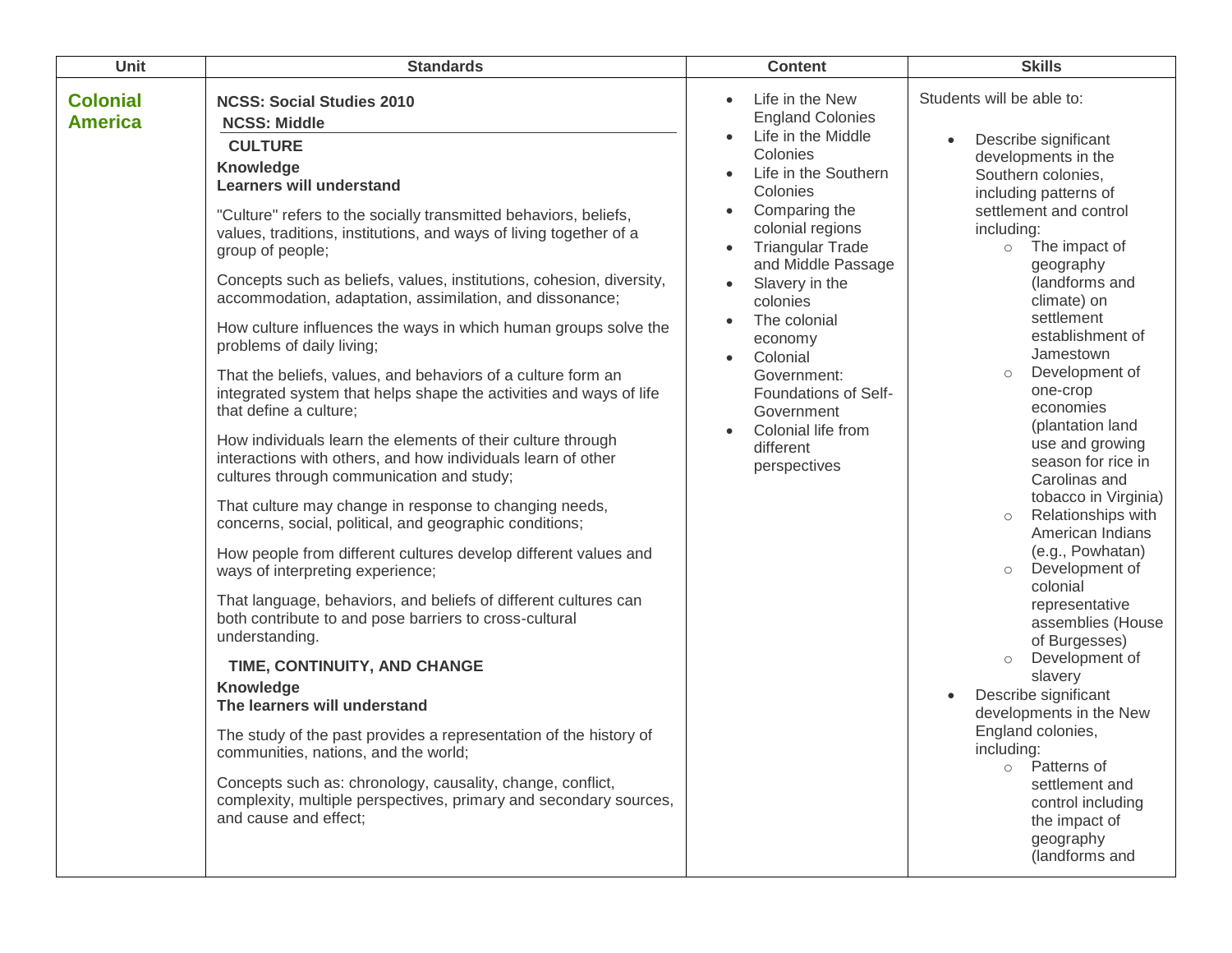| Unit                              | <b>Standards</b>                                                                                                                                                                                                                                                                                                                                                                                                                                                                                                                                                                                                                                                                                                                                                                                                                                                                                                                                                                                                                                                                                                                                                                                                                                                                                                                                                                                                                                                                                                                                                                                                       | <b>Content</b>                                                                                                                                                                                                                                                                                                                                                                                   | <b>Skills</b>                                                                                                                                                                                                                                                                                                                                                                                                                                                                                                                                                                                                                                                                                                                                                                                                                                                                                |
|-----------------------------------|------------------------------------------------------------------------------------------------------------------------------------------------------------------------------------------------------------------------------------------------------------------------------------------------------------------------------------------------------------------------------------------------------------------------------------------------------------------------------------------------------------------------------------------------------------------------------------------------------------------------------------------------------------------------------------------------------------------------------------------------------------------------------------------------------------------------------------------------------------------------------------------------------------------------------------------------------------------------------------------------------------------------------------------------------------------------------------------------------------------------------------------------------------------------------------------------------------------------------------------------------------------------------------------------------------------------------------------------------------------------------------------------------------------------------------------------------------------------------------------------------------------------------------------------------------------------------------------------------------------------|--------------------------------------------------------------------------------------------------------------------------------------------------------------------------------------------------------------------------------------------------------------------------------------------------------------------------------------------------------------------------------------------------|----------------------------------------------------------------------------------------------------------------------------------------------------------------------------------------------------------------------------------------------------------------------------------------------------------------------------------------------------------------------------------------------------------------------------------------------------------------------------------------------------------------------------------------------------------------------------------------------------------------------------------------------------------------------------------------------------------------------------------------------------------------------------------------------------------------------------------------------------------------------------------------------|
| <b>Colonial</b><br><b>America</b> | <b>NCSS: Social Studies 2010</b><br><b>NCSS: Middle</b><br><b>CULTURE</b><br><b>Knowledge</b><br><b>Learners will understand</b><br>"Culture" refers to the socially transmitted behaviors, beliefs,<br>values, traditions, institutions, and ways of living together of a<br>group of people;<br>Concepts such as beliefs, values, institutions, cohesion, diversity,<br>accommodation, adaptation, assimilation, and dissonance;<br>How culture influences the ways in which human groups solve the<br>problems of daily living;<br>That the beliefs, values, and behaviors of a culture form an<br>integrated system that helps shape the activities and ways of life<br>that define a culture;<br>How individuals learn the elements of their culture through<br>interactions with others, and how individuals learn of other<br>cultures through communication and study;<br>That culture may change in response to changing needs,<br>concerns, social, political, and geographic conditions;<br>How people from different cultures develop different values and<br>ways of interpreting experience;<br>That language, behaviors, and beliefs of different cultures can<br>both contribute to and pose barriers to cross-cultural<br>understanding.<br>TIME, CONTINUITY, AND CHANGE<br><b>Knowledge</b><br>The learners will understand<br>The study of the past provides a representation of the history of<br>communities, nations, and the world;<br>Concepts such as: chronology, causality, change, conflict,<br>complexity, multiple perspectives, primary and secondary sources,<br>and cause and effect; | Life in the New<br><b>England Colonies</b><br>Life in the Middle<br>Colonies<br>Life in the Southern<br>Colonies<br>Comparing the<br>colonial regions<br><b>Triangular Trade</b><br>and Middle Passage<br>Slavery in the<br>colonies<br>The colonial<br>economy<br>Colonial<br>$\bullet$<br>Government:<br>Foundations of Self-<br>Government<br>Colonial life from<br>different<br>perspectives | Students will be able to:<br>Describe significant<br>developments in the<br>Southern colonies,<br>including patterns of<br>settlement and control<br>including:<br>The impact of<br>$\circ$<br>geography<br>(landforms and<br>climate) on<br>settlement<br>establishment of<br>Jamestown<br>Development of<br>$\circlearrowright$<br>one-crop<br>economies<br>(plantation land<br>use and growing<br>season for rice in<br>Carolinas and<br>tobacco in Virginia)<br>Relationships with<br>$\circ$<br>American Indians<br>(e.g., Powhatan)<br>Development of<br>$\circ$<br>colonial<br>representative<br>assemblies (House<br>of Burgesses)<br>Development of<br>$\circlearrowright$<br>slavery<br>Describe significant<br>developments in the New<br>England colonies,<br>including:<br>o Patterns of<br>settlement and<br>control including<br>the impact of<br>geography<br>(landforms and |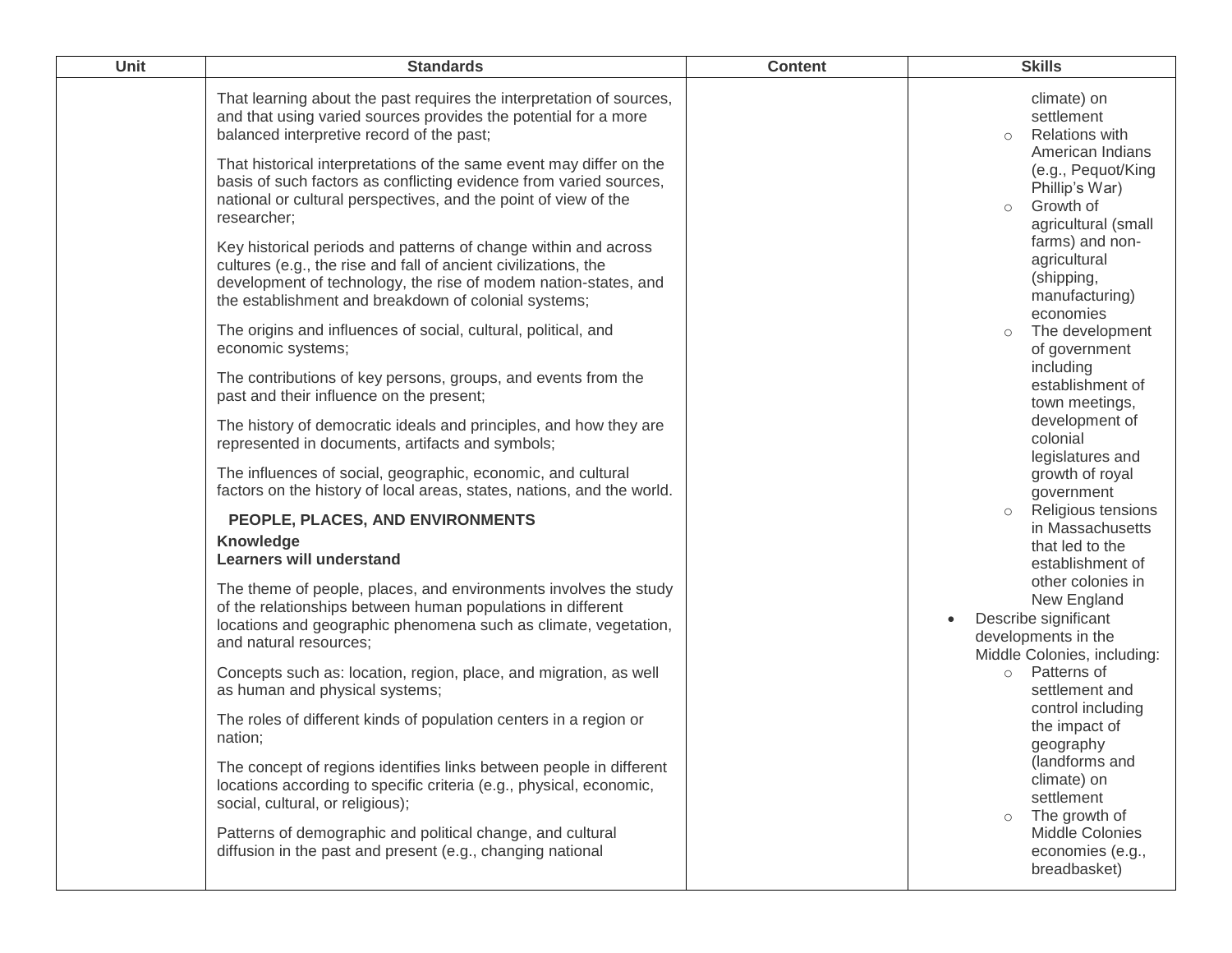| Unit | <b>Standards</b>                                                                                                                                                                                                                                              | <b>Content</b> | <b>Skills</b>                                                                                                  |
|------|---------------------------------------------------------------------------------------------------------------------------------------------------------------------------------------------------------------------------------------------------------------|----------------|----------------------------------------------------------------------------------------------------------------|
|      | That learning about the past requires the interpretation of sources,<br>and that using varied sources provides the potential for a more<br>balanced interpretive record of the past;                                                                          |                | climate) on<br>settlement<br><b>Relations with</b><br>$\circ$                                                  |
|      | That historical interpretations of the same event may differ on the<br>basis of such factors as conflicting evidence from varied sources,<br>national or cultural perspectives, and the point of view of the<br>researcher;                                   |                | American Indians<br>(e.g., Pequot/King<br>Phillip's War)<br>Growth of<br>$\circ$<br>agricultural (small        |
|      | Key historical periods and patterns of change within and across<br>cultures (e.g., the rise and fall of ancient civilizations, the<br>development of technology, the rise of modem nation-states, and<br>the establishment and breakdown of colonial systems; |                | farms) and non-<br>agricultural<br>(shipping,<br>manufacturing)<br>economies                                   |
|      | The origins and influences of social, cultural, political, and<br>economic systems;                                                                                                                                                                           |                | The development<br>$\circ$<br>of government                                                                    |
|      | The contributions of key persons, groups, and events from the<br>past and their influence on the present;                                                                                                                                                     |                | including<br>establishment of<br>town meetings,                                                                |
|      | The history of democratic ideals and principles, and how they are<br>represented in documents, artifacts and symbols;                                                                                                                                         |                | development of<br>colonial<br>legislatures and                                                                 |
|      | The influences of social, geographic, economic, and cultural<br>factors on the history of local areas, states, nations, and the world.                                                                                                                        |                | growth of royal<br>government<br>Religious tensions<br>$\circ$                                                 |
|      | PEOPLE, PLACES, AND ENVIRONMENTS<br>Knowledge<br><b>Learners will understand</b>                                                                                                                                                                              |                | in Massachusetts<br>that led to the<br>establishment of                                                        |
|      | The theme of people, places, and environments involves the study<br>of the relationships between human populations in different<br>locations and geographic phenomena such as climate, vegetation,<br>and natural resources;                                  |                | other colonies in<br>New England<br>Describe significant<br>developments in the<br>Middle Colonies, including: |
|      | Concepts such as: location, region, place, and migration, as well<br>as human and physical systems;                                                                                                                                                           |                | Patterns of<br>$\circ$<br>settlement and<br>control including                                                  |
|      | The roles of different kinds of population centers in a region or<br>nation;                                                                                                                                                                                  |                | the impact of<br>geography                                                                                     |
|      | The concept of regions identifies links between people in different<br>locations according to specific criteria (e.g., physical, economic,<br>social, cultural, or religious);                                                                                |                | (landforms and<br>climate) on<br>settlement<br>The growth of<br>$\circ$                                        |
|      | Patterns of demographic and political change, and cultural<br>diffusion in the past and present (e.g., changing national                                                                                                                                      |                | Middle Colonies<br>economies (e.g.,<br>breadbasket)                                                            |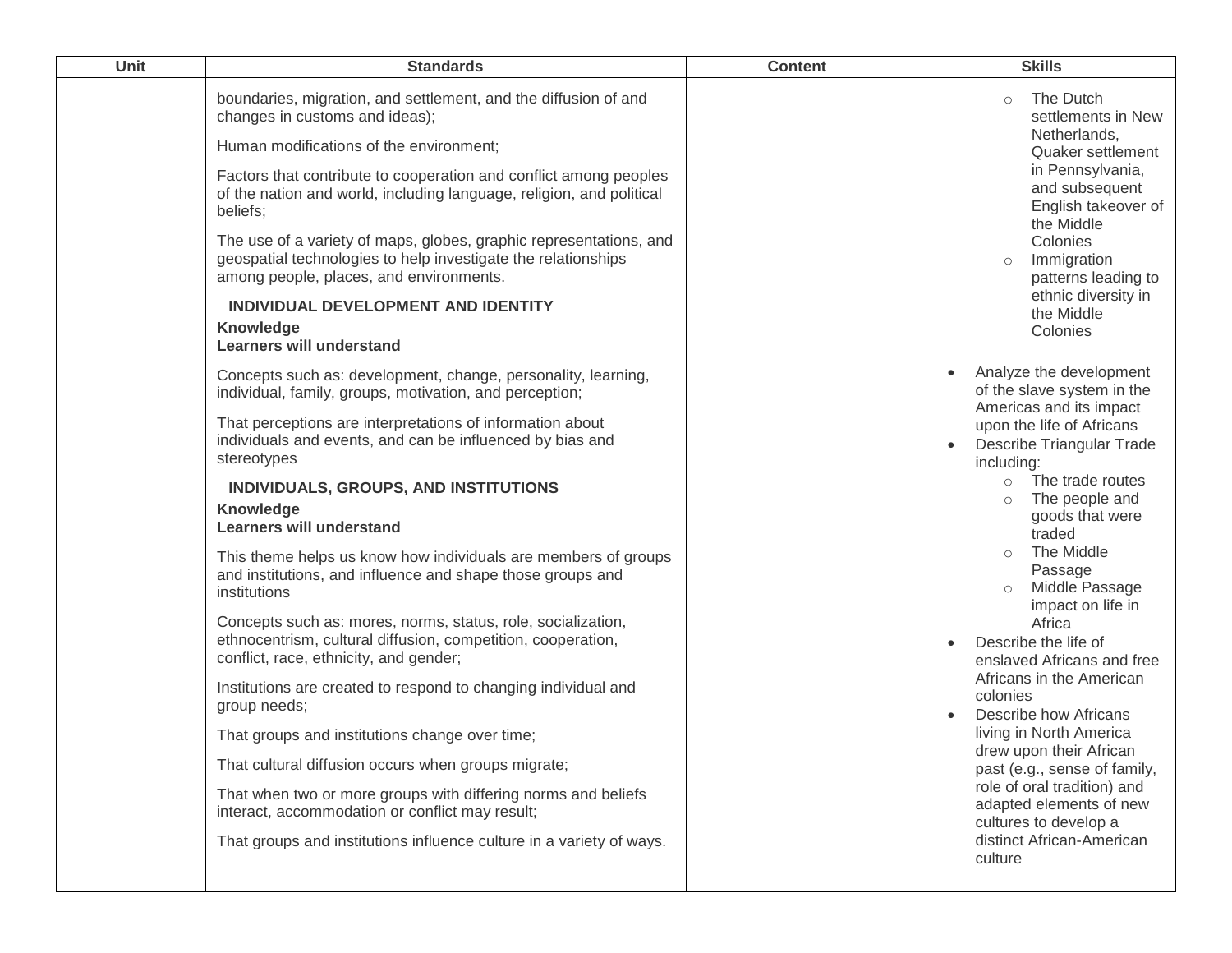| Unit | <b>Standards</b>                                                                                                                                                                                                                                                                                                                                                                                                                                                                                                                                                                                                                                                                                                                                                                                                                                                                                                                                                                                                                                                            | <b>Content</b> | <b>Skills</b>                                                                                                                                                                                                                                                                                                                                                                                                                                                                                                                                                                                                                                                                         |
|------|-----------------------------------------------------------------------------------------------------------------------------------------------------------------------------------------------------------------------------------------------------------------------------------------------------------------------------------------------------------------------------------------------------------------------------------------------------------------------------------------------------------------------------------------------------------------------------------------------------------------------------------------------------------------------------------------------------------------------------------------------------------------------------------------------------------------------------------------------------------------------------------------------------------------------------------------------------------------------------------------------------------------------------------------------------------------------------|----------------|---------------------------------------------------------------------------------------------------------------------------------------------------------------------------------------------------------------------------------------------------------------------------------------------------------------------------------------------------------------------------------------------------------------------------------------------------------------------------------------------------------------------------------------------------------------------------------------------------------------------------------------------------------------------------------------|
|      | boundaries, migration, and settlement, and the diffusion of and<br>changes in customs and ideas);<br>Human modifications of the environment;<br>Factors that contribute to cooperation and conflict among peoples<br>of the nation and world, including language, religion, and political<br>beliefs;                                                                                                                                                                                                                                                                                                                                                                                                                                                                                                                                                                                                                                                                                                                                                                       |                | The Dutch<br>$\circ$<br>settlements in New<br>Netherlands,<br>Quaker settlement<br>in Pennsylvania,<br>and subsequent<br>English takeover of                                                                                                                                                                                                                                                                                                                                                                                                                                                                                                                                          |
|      | The use of a variety of maps, globes, graphic representations, and<br>geospatial technologies to help investigate the relationships<br>among people, places, and environments.<br>INDIVIDUAL DEVELOPMENT AND IDENTITY<br><b>Knowledge</b><br><b>Learners will understand</b>                                                                                                                                                                                                                                                                                                                                                                                                                                                                                                                                                                                                                                                                                                                                                                                                |                | the Middle<br>Colonies<br>Immigration<br>$\circ$<br>patterns leading to<br>ethnic diversity in<br>the Middle<br>Colonies                                                                                                                                                                                                                                                                                                                                                                                                                                                                                                                                                              |
|      | Concepts such as: development, change, personality, learning,<br>individual, family, groups, motivation, and perception;<br>That perceptions are interpretations of information about<br>individuals and events, and can be influenced by bias and<br>stereotypes<br>INDIVIDUALS, GROUPS, AND INSTITUTIONS<br>Knowledge<br><b>Learners will understand</b><br>This theme helps us know how individuals are members of groups<br>and institutions, and influence and shape those groups and<br>institutions<br>Concepts such as: mores, norms, status, role, socialization,<br>ethnocentrism, cultural diffusion, competition, cooperation,<br>conflict, race, ethnicity, and gender;<br>Institutions are created to respond to changing individual and<br>group needs;<br>That groups and institutions change over time;<br>That cultural diffusion occurs when groups migrate;<br>That when two or more groups with differing norms and beliefs<br>interact, accommodation or conflict may result;<br>That groups and institutions influence culture in a variety of ways. |                | Analyze the development<br>of the slave system in the<br>Americas and its impact<br>upon the life of Africans<br><b>Describe Triangular Trade</b><br>including:<br>The trade routes<br>$\circ$<br>The people and<br>$\circ$<br>goods that were<br>traded<br>The Middle<br>$\circ$<br>Passage<br>Middle Passage<br>impact on life in<br>Africa<br>Describe the life of<br>enslaved Africans and free<br>Africans in the American<br>colonies<br>Describe how Africans<br>living in North America<br>drew upon their African<br>past (e.g., sense of family,<br>role of oral tradition) and<br>adapted elements of new<br>cultures to develop a<br>distinct African-American<br>culture |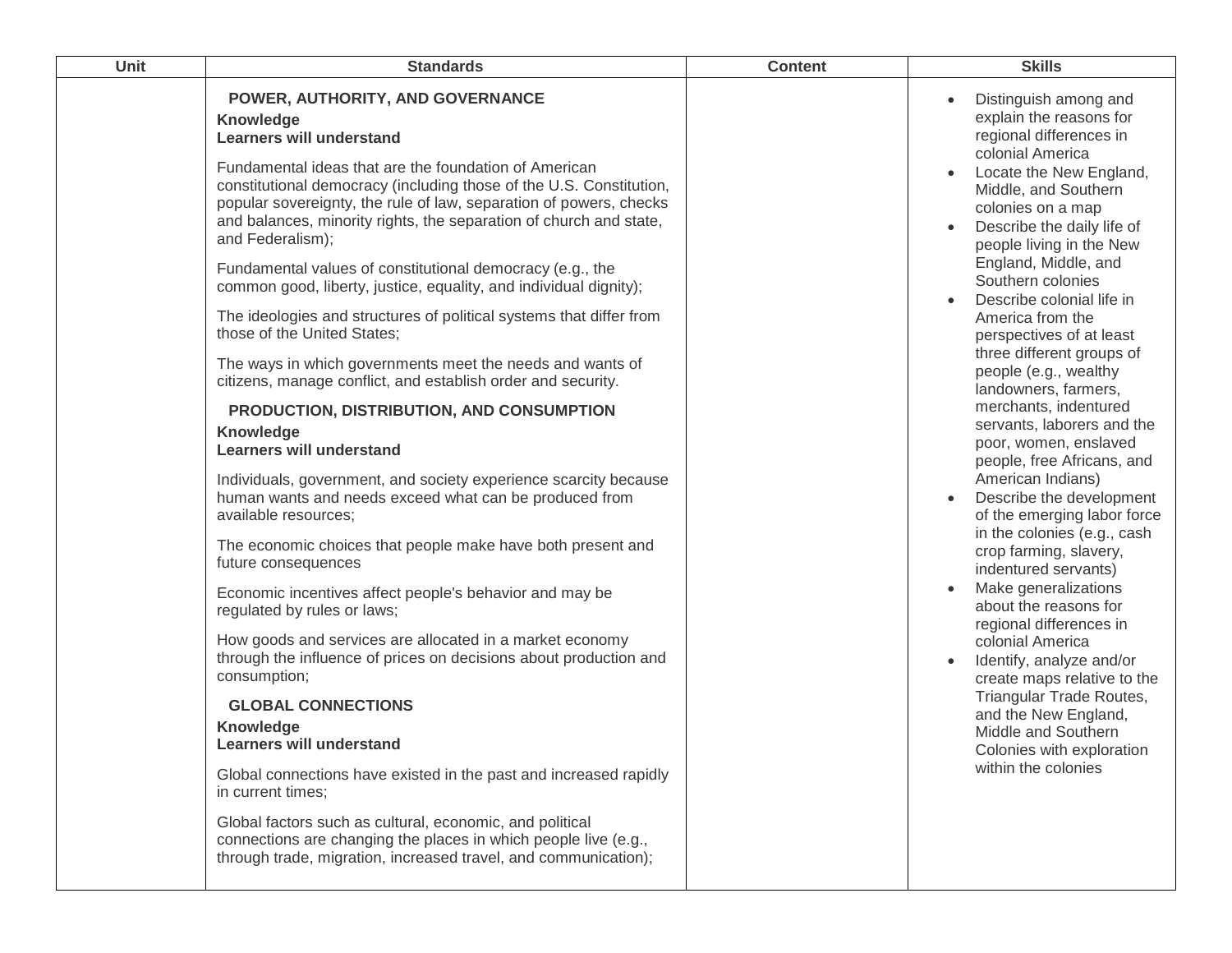| POWER, AUTHORITY, AND GOVERNANCE<br>Distinguish among and<br>explain the reasons for<br>Knowledge<br>regional differences in<br><b>Learners will understand</b><br>colonial America<br>Fundamental ideas that are the foundation of American<br>Locate the New England,<br>constitutional democracy (including those of the U.S. Constitution,<br>Middle, and Southern<br>popular sovereignty, the rule of law, separation of powers, checks<br>colonies on a map<br>and balances, minority rights, the separation of church and state,<br>Describe the daily life of<br>and Federalism);<br>people living in the New<br>England, Middle, and<br>Fundamental values of constitutional democracy (e.g., the<br>Southern colonies<br>common good, liberty, justice, equality, and individual dignity);<br>Describe colonial life in<br>The ideologies and structures of political systems that differ from<br>America from the<br>those of the United States;<br>perspectives of at least<br>three different groups of<br>The ways in which governments meet the needs and wants of<br>people (e.g., wealthy<br>citizens, manage conflict, and establish order and security.<br>landowners, farmers,<br>merchants, indentured<br>PRODUCTION, DISTRIBUTION, AND CONSUMPTION<br>servants, laborers and the<br>Knowledge<br>poor, women, enslaved<br><b>Learners will understand</b><br>people, free Africans, and<br>American Indians)<br>Individuals, government, and society experience scarcity because<br>Describe the development<br>human wants and needs exceed what can be produced from<br>of the emerging labor force<br>available resources;<br>in the colonies (e.g., cash<br>The economic choices that people make have both present and<br>crop farming, slavery,<br>future consequences<br>indentured servants)<br>Make generalizations<br>Economic incentives affect people's behavior and may be<br>about the reasons for<br>regulated by rules or laws;<br>regional differences in<br>How goods and services are allocated in a market economy<br>colonial America<br>through the influence of prices on decisions about production and<br>Identify, analyze and/or<br>consumption;<br>create maps relative to the<br>Triangular Trade Routes,<br><b>GLOBAL CONNECTIONS</b><br>and the New England,<br>Knowledge<br>Middle and Southern<br><b>Learners will understand</b><br>Colonies with exploration<br>within the colonies<br>Global connections have existed in the past and increased rapidly<br>in current times;<br>Global factors such as cultural, economic, and political<br>connections are changing the places in which people live (e.g.,<br>through trade, migration, increased travel, and communication); | Unit | <b>Standards</b> | <b>Content</b> | <b>Skills</b> |
|------------------------------------------------------------------------------------------------------------------------------------------------------------------------------------------------------------------------------------------------------------------------------------------------------------------------------------------------------------------------------------------------------------------------------------------------------------------------------------------------------------------------------------------------------------------------------------------------------------------------------------------------------------------------------------------------------------------------------------------------------------------------------------------------------------------------------------------------------------------------------------------------------------------------------------------------------------------------------------------------------------------------------------------------------------------------------------------------------------------------------------------------------------------------------------------------------------------------------------------------------------------------------------------------------------------------------------------------------------------------------------------------------------------------------------------------------------------------------------------------------------------------------------------------------------------------------------------------------------------------------------------------------------------------------------------------------------------------------------------------------------------------------------------------------------------------------------------------------------------------------------------------------------------------------------------------------------------------------------------------------------------------------------------------------------------------------------------------------------------------------------------------------------------------------------------------------------------------------------------------------------------------------------------------------------------------------------------------------------------------------------------------------------------------------------------------------------------------------------------------------------------------------------------------------------------------------------------------------------------------------------------------------------------------------------------------------------------------------------------|------|------------------|----------------|---------------|
|                                                                                                                                                                                                                                                                                                                                                                                                                                                                                                                                                                                                                                                                                                                                                                                                                                                                                                                                                                                                                                                                                                                                                                                                                                                                                                                                                                                                                                                                                                                                                                                                                                                                                                                                                                                                                                                                                                                                                                                                                                                                                                                                                                                                                                                                                                                                                                                                                                                                                                                                                                                                                                                                                                                                          |      |                  |                |               |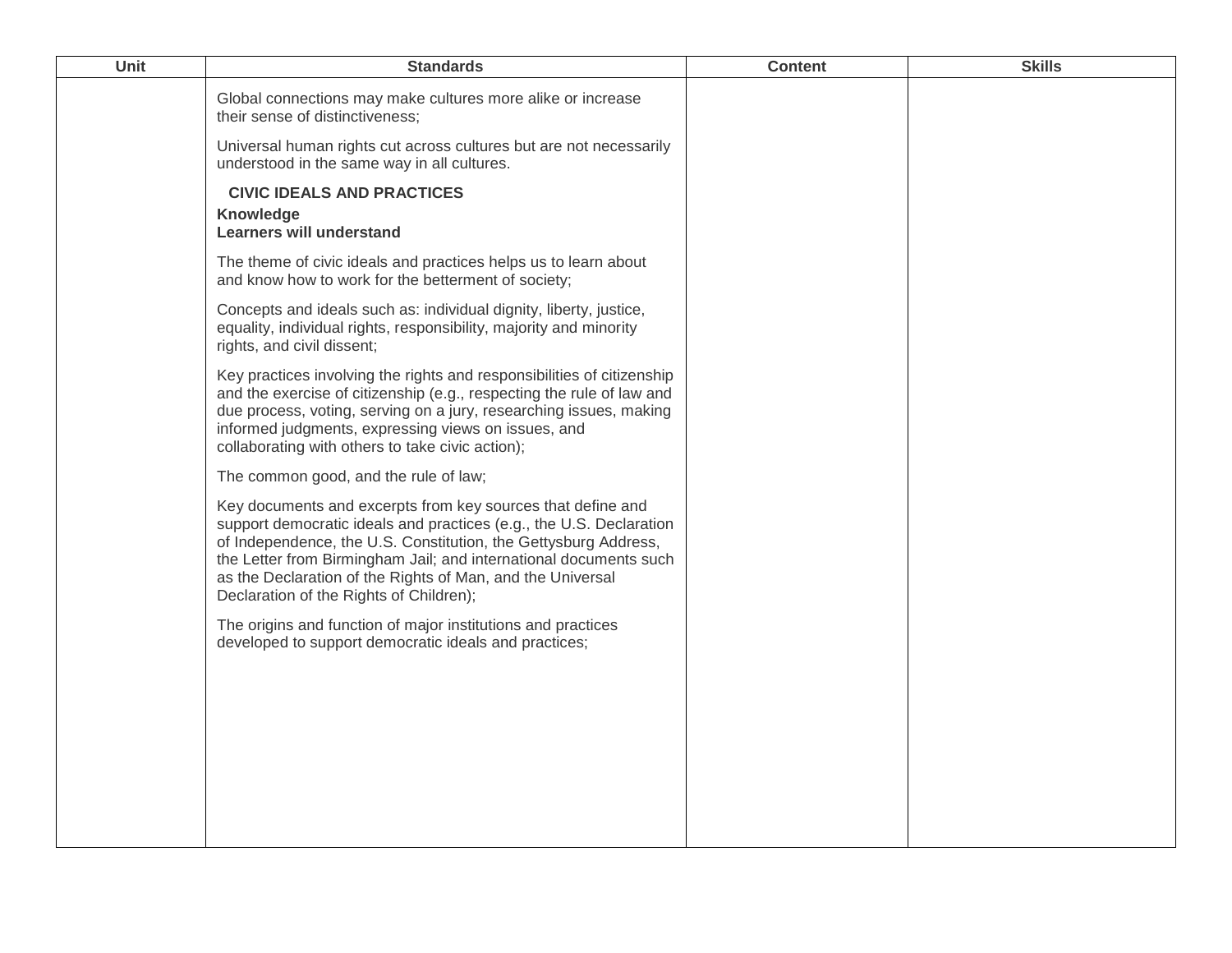| Unit | <b>Standards</b>                                                                                                                                                                                                                                                                                                                                                                    | <b>Content</b> | <b>Skills</b> |
|------|-------------------------------------------------------------------------------------------------------------------------------------------------------------------------------------------------------------------------------------------------------------------------------------------------------------------------------------------------------------------------------------|----------------|---------------|
|      | Global connections may make cultures more alike or increase<br>their sense of distinctiveness;                                                                                                                                                                                                                                                                                      |                |               |
|      | Universal human rights cut across cultures but are not necessarily<br>understood in the same way in all cultures.                                                                                                                                                                                                                                                                   |                |               |
|      | <b>CIVIC IDEALS AND PRACTICES</b><br>Knowledge<br><b>Learners will understand</b>                                                                                                                                                                                                                                                                                                   |                |               |
|      | The theme of civic ideals and practices helps us to learn about<br>and know how to work for the betterment of society;                                                                                                                                                                                                                                                              |                |               |
|      | Concepts and ideals such as: individual dignity, liberty, justice,<br>equality, individual rights, responsibility, majority and minority<br>rights, and civil dissent;                                                                                                                                                                                                              |                |               |
|      | Key practices involving the rights and responsibilities of citizenship<br>and the exercise of citizenship (e.g., respecting the rule of law and<br>due process, voting, serving on a jury, researching issues, making<br>informed judgments, expressing views on issues, and<br>collaborating with others to take civic action);                                                    |                |               |
|      | The common good, and the rule of law;                                                                                                                                                                                                                                                                                                                                               |                |               |
|      | Key documents and excerpts from key sources that define and<br>support democratic ideals and practices (e.g., the U.S. Declaration<br>of Independence, the U.S. Constitution, the Gettysburg Address,<br>the Letter from Birmingham Jail; and international documents such<br>as the Declaration of the Rights of Man, and the Universal<br>Declaration of the Rights of Children); |                |               |
|      | The origins and function of major institutions and practices<br>developed to support democratic ideals and practices;                                                                                                                                                                                                                                                               |                |               |
|      |                                                                                                                                                                                                                                                                                                                                                                                     |                |               |
|      |                                                                                                                                                                                                                                                                                                                                                                                     |                |               |
|      |                                                                                                                                                                                                                                                                                                                                                                                     |                |               |
|      |                                                                                                                                                                                                                                                                                                                                                                                     |                |               |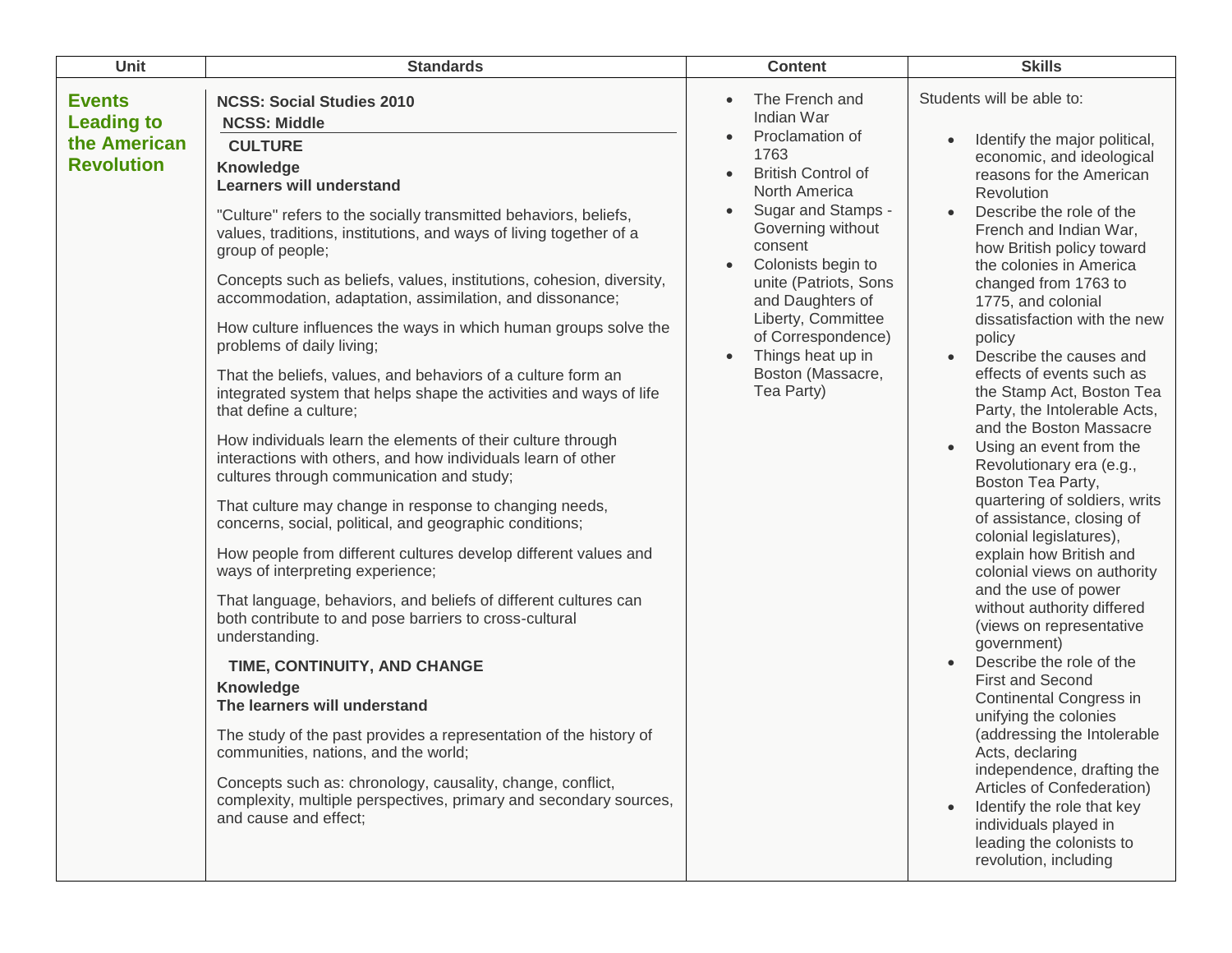| Unit                                                                    | <b>Standards</b>                                                                                                                                                                                                                                                                                                                                                                                                                                                                                                                                                                                                                                                                                                                                                                                                                                                                                                                                                                                                                                                                                                                                                                                                                                                                                                                                                                                                                                                                                                                                                                                         | <b>Content</b>                                                                                                                                                                                                                                                                                                                     | <b>Skills</b>                                                                                                                                                                                                                                                                                                                                                                                                                                                                                                                                                                                                                                                                                                                                                                                                                                                                                                                                                                                                                                                                                                                                                |
|-------------------------------------------------------------------------|----------------------------------------------------------------------------------------------------------------------------------------------------------------------------------------------------------------------------------------------------------------------------------------------------------------------------------------------------------------------------------------------------------------------------------------------------------------------------------------------------------------------------------------------------------------------------------------------------------------------------------------------------------------------------------------------------------------------------------------------------------------------------------------------------------------------------------------------------------------------------------------------------------------------------------------------------------------------------------------------------------------------------------------------------------------------------------------------------------------------------------------------------------------------------------------------------------------------------------------------------------------------------------------------------------------------------------------------------------------------------------------------------------------------------------------------------------------------------------------------------------------------------------------------------------------------------------------------------------|------------------------------------------------------------------------------------------------------------------------------------------------------------------------------------------------------------------------------------------------------------------------------------------------------------------------------------|--------------------------------------------------------------------------------------------------------------------------------------------------------------------------------------------------------------------------------------------------------------------------------------------------------------------------------------------------------------------------------------------------------------------------------------------------------------------------------------------------------------------------------------------------------------------------------------------------------------------------------------------------------------------------------------------------------------------------------------------------------------------------------------------------------------------------------------------------------------------------------------------------------------------------------------------------------------------------------------------------------------------------------------------------------------------------------------------------------------------------------------------------------------|
| <b>Events</b><br><b>Leading to</b><br>the American<br><b>Revolution</b> | <b>NCSS: Social Studies 2010</b><br><b>NCSS: Middle</b><br><b>CULTURE</b><br>Knowledge<br><b>Learners will understand</b><br>"Culture" refers to the socially transmitted behaviors, beliefs,<br>values, traditions, institutions, and ways of living together of a<br>group of people;<br>Concepts such as beliefs, values, institutions, cohesion, diversity,<br>accommodation, adaptation, assimilation, and dissonance;<br>How culture influences the ways in which human groups solve the<br>problems of daily living;<br>That the beliefs, values, and behaviors of a culture form an<br>integrated system that helps shape the activities and ways of life<br>that define a culture;<br>How individuals learn the elements of their culture through<br>interactions with others, and how individuals learn of other<br>cultures through communication and study;<br>That culture may change in response to changing needs,<br>concerns, social, political, and geographic conditions;<br>How people from different cultures develop different values and<br>ways of interpreting experience;<br>That language, behaviors, and beliefs of different cultures can<br>both contribute to and pose barriers to cross-cultural<br>understanding.<br>TIME, CONTINUITY, AND CHANGE<br>Knowledge<br>The learners will understand<br>The study of the past provides a representation of the history of<br>communities, nations, and the world;<br>Concepts such as: chronology, causality, change, conflict,<br>complexity, multiple perspectives, primary and secondary sources,<br>and cause and effect; | The French and<br>Indian War<br>Proclamation of<br>1763<br><b>British Control of</b><br>North America<br>Sugar and Stamps -<br>Governing without<br>consent<br>Colonists begin to<br>unite (Patriots, Sons<br>and Daughters of<br>Liberty, Committee<br>of Correspondence)<br>Things heat up in<br>Boston (Massacre,<br>Tea Party) | Students will be able to:<br>Identify the major political,<br>economic, and ideological<br>reasons for the American<br>Revolution<br>Describe the role of the<br>French and Indian War,<br>how British policy toward<br>the colonies in America<br>changed from 1763 to<br>1775, and colonial<br>dissatisfaction with the new<br>policy<br>Describe the causes and<br>effects of events such as<br>the Stamp Act, Boston Tea<br>Party, the Intolerable Acts,<br>and the Boston Massacre<br>Using an event from the<br>Revolutionary era (e.g.,<br>Boston Tea Party,<br>quartering of soldiers, writs<br>of assistance, closing of<br>colonial legislatures),<br>explain how British and<br>colonial views on authority<br>and the use of power<br>without authority differed<br>(views on representative<br>government)<br>Describe the role of the<br><b>First and Second</b><br>Continental Congress in<br>unifying the colonies<br>(addressing the Intolerable<br>Acts, declaring<br>independence, drafting the<br>Articles of Confederation)<br>Identify the role that key<br>individuals played in<br>leading the colonists to<br>revolution, including |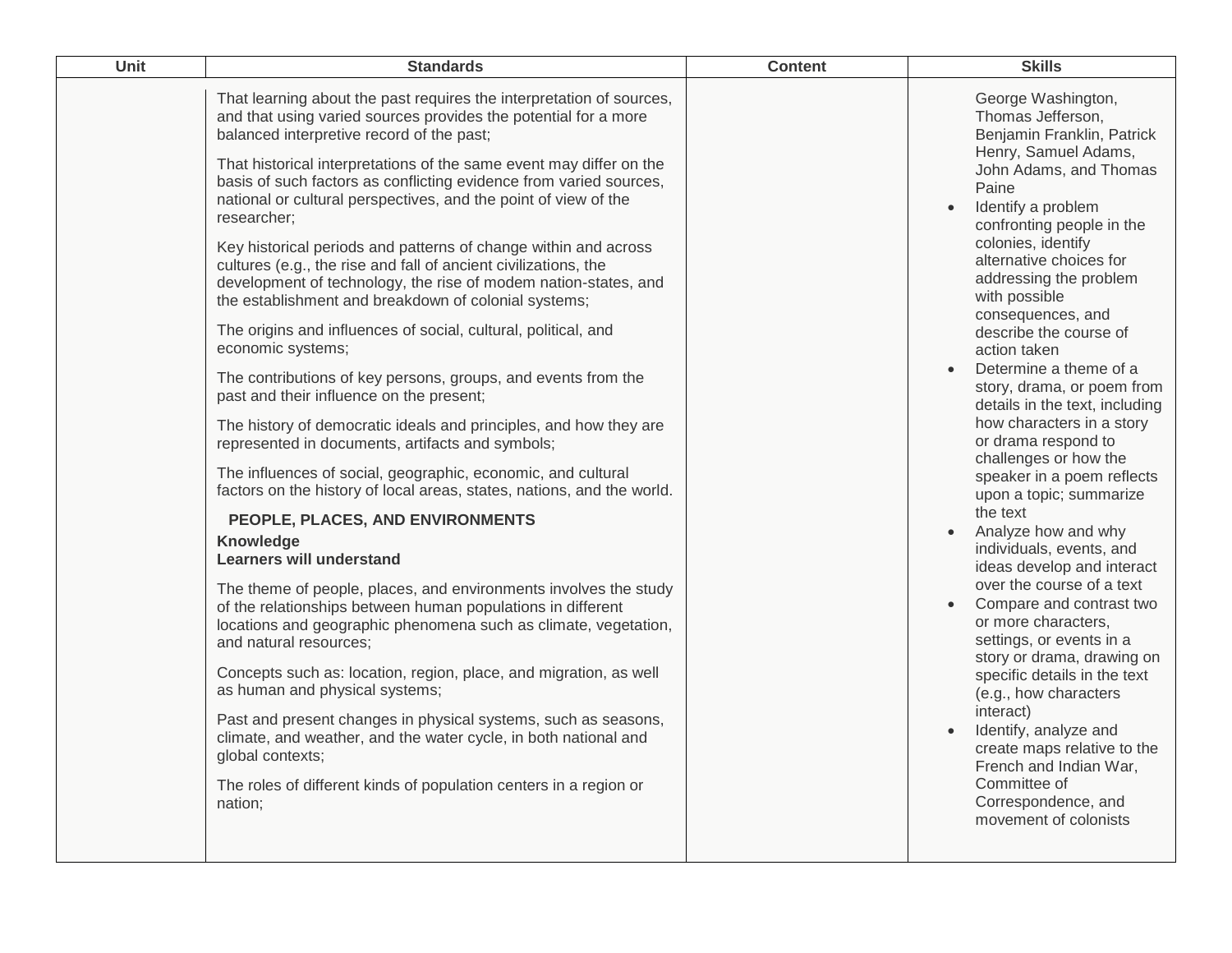| <b>Unit</b> | <b>Standards</b>                                                                                                                                                                                                                                                                                                                                                                                                                                                                                                                                                                                                                                                                                                                                                                                                                                                                                                                                                                                                                                                                                                                                                                                                                                                                                                                                                                                                                                                                                                                                                                                                                                                                                                                                                                                                                       | <b>Content</b> | <b>Skills</b>                                                                                                                                                                                                                                                                                                                                                                                                                                                                                                                                                                                                                                                                                                                                                                                                                                                                                                                                                                                                                                 |
|-------------|----------------------------------------------------------------------------------------------------------------------------------------------------------------------------------------------------------------------------------------------------------------------------------------------------------------------------------------------------------------------------------------------------------------------------------------------------------------------------------------------------------------------------------------------------------------------------------------------------------------------------------------------------------------------------------------------------------------------------------------------------------------------------------------------------------------------------------------------------------------------------------------------------------------------------------------------------------------------------------------------------------------------------------------------------------------------------------------------------------------------------------------------------------------------------------------------------------------------------------------------------------------------------------------------------------------------------------------------------------------------------------------------------------------------------------------------------------------------------------------------------------------------------------------------------------------------------------------------------------------------------------------------------------------------------------------------------------------------------------------------------------------------------------------------------------------------------------------|----------------|-----------------------------------------------------------------------------------------------------------------------------------------------------------------------------------------------------------------------------------------------------------------------------------------------------------------------------------------------------------------------------------------------------------------------------------------------------------------------------------------------------------------------------------------------------------------------------------------------------------------------------------------------------------------------------------------------------------------------------------------------------------------------------------------------------------------------------------------------------------------------------------------------------------------------------------------------------------------------------------------------------------------------------------------------|
|             | That learning about the past requires the interpretation of sources,<br>and that using varied sources provides the potential for a more<br>balanced interpretive record of the past;<br>That historical interpretations of the same event may differ on the<br>basis of such factors as conflicting evidence from varied sources,<br>national or cultural perspectives, and the point of view of the<br>researcher;<br>Key historical periods and patterns of change within and across<br>cultures (e.g., the rise and fall of ancient civilizations, the<br>development of technology, the rise of modem nation-states, and<br>the establishment and breakdown of colonial systems;<br>The origins and influences of social, cultural, political, and<br>economic systems;<br>The contributions of key persons, groups, and events from the<br>past and their influence on the present;<br>The history of democratic ideals and principles, and how they are<br>represented in documents, artifacts and symbols;<br>The influences of social, geographic, economic, and cultural<br>factors on the history of local areas, states, nations, and the world.<br>PEOPLE, PLACES, AND ENVIRONMENTS<br><b>Knowledge</b><br><b>Learners will understand</b><br>The theme of people, places, and environments involves the study<br>of the relationships between human populations in different<br>locations and geographic phenomena such as climate, vegetation,<br>and natural resources;<br>Concepts such as: location, region, place, and migration, as well<br>as human and physical systems;<br>Past and present changes in physical systems, such as seasons,<br>climate, and weather, and the water cycle, in both national and<br>global contexts;<br>The roles of different kinds of population centers in a region or<br>nation; |                | George Washington,<br>Thomas Jefferson,<br>Benjamin Franklin, Patrick<br>Henry, Samuel Adams,<br>John Adams, and Thomas<br>Paine<br>Identify a problem<br>confronting people in the<br>colonies, identify<br>alternative choices for<br>addressing the problem<br>with possible<br>consequences, and<br>describe the course of<br>action taken<br>Determine a theme of a<br>story, drama, or poem from<br>details in the text, including<br>how characters in a story<br>or drama respond to<br>challenges or how the<br>speaker in a poem reflects<br>upon a topic; summarize<br>the text<br>Analyze how and why<br>individuals, events, and<br>ideas develop and interact<br>over the course of a text<br>Compare and contrast two<br>or more characters,<br>settings, or events in a<br>story or drama, drawing on<br>specific details in the text<br>(e.g., how characters<br>interact)<br>Identify, analyze and<br>create maps relative to the<br>French and Indian War,<br>Committee of<br>Correspondence, and<br>movement of colonists |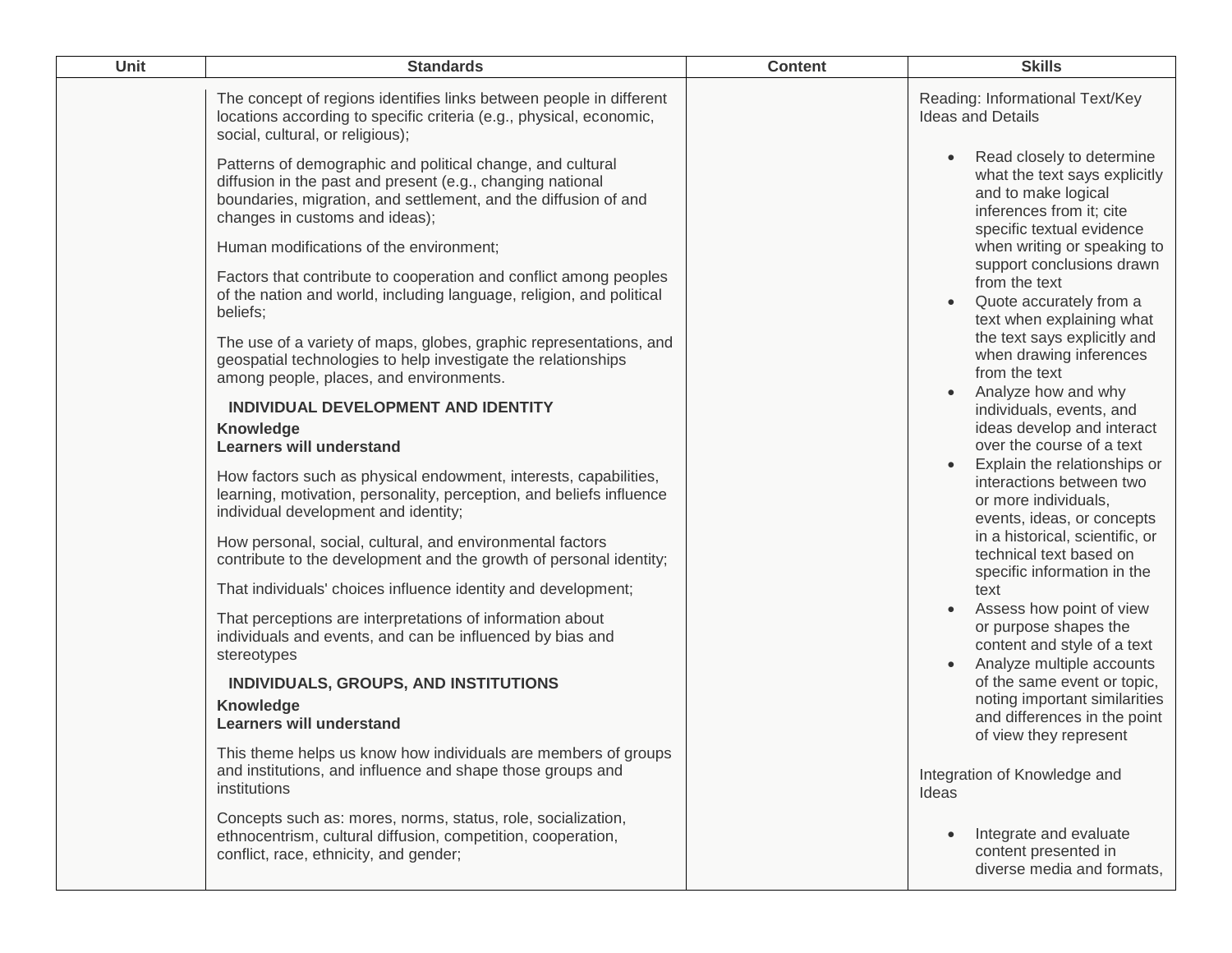| Unit | <b>Standards</b>                                                                                                                                                                                                                                                                                                                                                                                                                                                                                                                                                                                                                                                                                                                                                                                                                                                                                                                                                                                                                                                                                                                                                                                                                                                                                                                                                                                                                                                                                                                                                                                                     | <b>Content</b> | <b>Skills</b>                                                                                                                                                                                                                                                                                                                                                                                                                                                                                                                                                                                                                                                                                                                                                                                                                                                                                                                                                                                                  |
|------|----------------------------------------------------------------------------------------------------------------------------------------------------------------------------------------------------------------------------------------------------------------------------------------------------------------------------------------------------------------------------------------------------------------------------------------------------------------------------------------------------------------------------------------------------------------------------------------------------------------------------------------------------------------------------------------------------------------------------------------------------------------------------------------------------------------------------------------------------------------------------------------------------------------------------------------------------------------------------------------------------------------------------------------------------------------------------------------------------------------------------------------------------------------------------------------------------------------------------------------------------------------------------------------------------------------------------------------------------------------------------------------------------------------------------------------------------------------------------------------------------------------------------------------------------------------------------------------------------------------------|----------------|----------------------------------------------------------------------------------------------------------------------------------------------------------------------------------------------------------------------------------------------------------------------------------------------------------------------------------------------------------------------------------------------------------------------------------------------------------------------------------------------------------------------------------------------------------------------------------------------------------------------------------------------------------------------------------------------------------------------------------------------------------------------------------------------------------------------------------------------------------------------------------------------------------------------------------------------------------------------------------------------------------------|
|      | The concept of regions identifies links between people in different<br>locations according to specific criteria (e.g., physical, economic,<br>social, cultural, or religious);                                                                                                                                                                                                                                                                                                                                                                                                                                                                                                                                                                                                                                                                                                                                                                                                                                                                                                                                                                                                                                                                                                                                                                                                                                                                                                                                                                                                                                       |                | Reading: Informational Text/Key<br><b>Ideas and Details</b>                                                                                                                                                                                                                                                                                                                                                                                                                                                                                                                                                                                                                                                                                                                                                                                                                                                                                                                                                    |
|      | Patterns of demographic and political change, and cultural<br>diffusion in the past and present (e.g., changing national<br>boundaries, migration, and settlement, and the diffusion of and<br>changes in customs and ideas);<br>Human modifications of the environment;<br>Factors that contribute to cooperation and conflict among peoples<br>of the nation and world, including language, religion, and political<br>beliefs;<br>The use of a variety of maps, globes, graphic representations, and<br>geospatial technologies to help investigate the relationships<br>among people, places, and environments.<br>INDIVIDUAL DEVELOPMENT AND IDENTITY<br>Knowledge<br><b>Learners will understand</b><br>How factors such as physical endowment, interests, capabilities,<br>learning, motivation, personality, perception, and beliefs influence<br>individual development and identity;<br>How personal, social, cultural, and environmental factors<br>contribute to the development and the growth of personal identity;<br>That individuals' choices influence identity and development;<br>That perceptions are interpretations of information about<br>individuals and events, and can be influenced by bias and<br>stereotypes<br>INDIVIDUALS, GROUPS, AND INSTITUTIONS<br>Knowledge<br><b>Learners will understand</b><br>This theme helps us know how individuals are members of groups<br>and institutions, and influence and shape those groups and<br>institutions<br>Concepts such as: mores, norms, status, role, socialization,<br>ethnocentrism, cultural diffusion, competition, cooperation, |                | Read closely to determine<br>what the text says explicitly<br>and to make logical<br>inferences from it; cite<br>specific textual evidence<br>when writing or speaking to<br>support conclusions drawn<br>from the text<br>Quote accurately from a<br>text when explaining what<br>the text says explicitly and<br>when drawing inferences<br>from the text<br>Analyze how and why<br>individuals, events, and<br>ideas develop and interact<br>over the course of a text<br>Explain the relationships or<br>interactions between two<br>or more individuals,<br>events, ideas, or concepts<br>in a historical, scientific, or<br>technical text based on<br>specific information in the<br>text<br>Assess how point of view<br>or purpose shapes the<br>content and style of a text<br>Analyze multiple accounts<br>of the same event or topic,<br>noting important similarities<br>and differences in the point<br>of view they represent<br>Integration of Knowledge and<br>Ideas<br>Integrate and evaluate |
|      | conflict, race, ethnicity, and gender;                                                                                                                                                                                                                                                                                                                                                                                                                                                                                                                                                                                                                                                                                                                                                                                                                                                                                                                                                                                                                                                                                                                                                                                                                                                                                                                                                                                                                                                                                                                                                                               |                | content presented in<br>diverse media and formats,                                                                                                                                                                                                                                                                                                                                                                                                                                                                                                                                                                                                                                                                                                                                                                                                                                                                                                                                                             |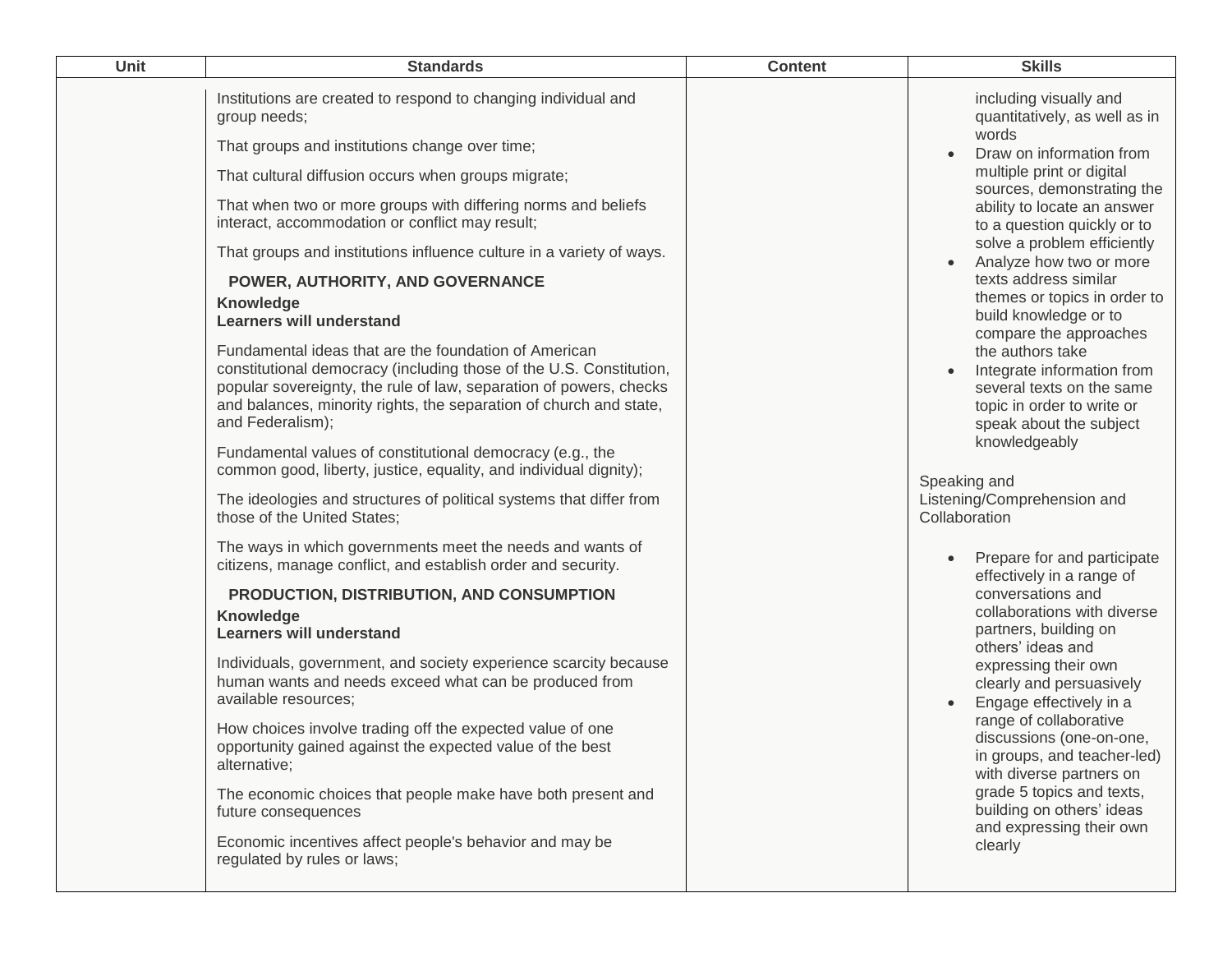| Unit | <b>Standards</b>                                                                                                                                                                                                                                                                             | <b>Content</b> | <b>Skills</b>                                                                                                                        |
|------|----------------------------------------------------------------------------------------------------------------------------------------------------------------------------------------------------------------------------------------------------------------------------------------------|----------------|--------------------------------------------------------------------------------------------------------------------------------------|
|      | Institutions are created to respond to changing individual and<br>group needs;                                                                                                                                                                                                               |                | including visually and<br>quantitatively, as well as in                                                                              |
|      | That groups and institutions change over time;                                                                                                                                                                                                                                               |                | words<br>Draw on information from<br>$\bullet$                                                                                       |
|      | That cultural diffusion occurs when groups migrate;                                                                                                                                                                                                                                          |                | multiple print or digital<br>sources, demonstrating the                                                                              |
|      | That when two or more groups with differing norms and beliefs<br>interact, accommodation or conflict may result;                                                                                                                                                                             |                | ability to locate an answer<br>to a question quickly or to                                                                           |
|      | That groups and institutions influence culture in a variety of ways.                                                                                                                                                                                                                         |                | solve a problem efficiently<br>Analyze how two or more                                                                               |
|      | POWER, AUTHORITY, AND GOVERNANCE<br>Knowledge<br><b>Learners will understand</b>                                                                                                                                                                                                             |                | texts address similar<br>themes or topics in order to<br>build knowledge or to<br>compare the approaches                             |
|      | Fundamental ideas that are the foundation of American<br>constitutional democracy (including those of the U.S. Constitution,<br>popular sovereignty, the rule of law, separation of powers, checks<br>and balances, minority rights, the separation of church and state,<br>and Federalism); |                | the authors take<br>Integrate information from<br>several texts on the same<br>topic in order to write or<br>speak about the subject |
|      | Fundamental values of constitutional democracy (e.g., the<br>common good, liberty, justice, equality, and individual dignity);                                                                                                                                                               |                | knowledgeably<br>Speaking and                                                                                                        |
|      | The ideologies and structures of political systems that differ from<br>those of the United States;                                                                                                                                                                                           |                | Listening/Comprehension and<br>Collaboration                                                                                         |
|      | The ways in which governments meet the needs and wants of<br>citizens, manage conflict, and establish order and security.                                                                                                                                                                    |                | Prepare for and participate<br>effectively in a range of                                                                             |
|      | PRODUCTION, DISTRIBUTION, AND CONSUMPTION<br>Knowledge<br><b>Learners will understand</b>                                                                                                                                                                                                    |                | conversations and<br>collaborations with diverse<br>partners, building on<br>others' ideas and                                       |
|      | Individuals, government, and society experience scarcity because<br>human wants and needs exceed what can be produced from<br>available resources;                                                                                                                                           |                | expressing their own<br>clearly and persuasively<br>Engage effectively in a                                                          |
|      | How choices involve trading off the expected value of one<br>opportunity gained against the expected value of the best<br>alternative;                                                                                                                                                       |                | range of collaborative<br>discussions (one-on-one,<br>in groups, and teacher-led)<br>with diverse partners on                        |
|      | The economic choices that people make have both present and<br>future consequences                                                                                                                                                                                                           |                | grade 5 topics and texts,<br>building on others' ideas                                                                               |
|      | Economic incentives affect people's behavior and may be<br>regulated by rules or laws;                                                                                                                                                                                                       |                | and expressing their own<br>clearly                                                                                                  |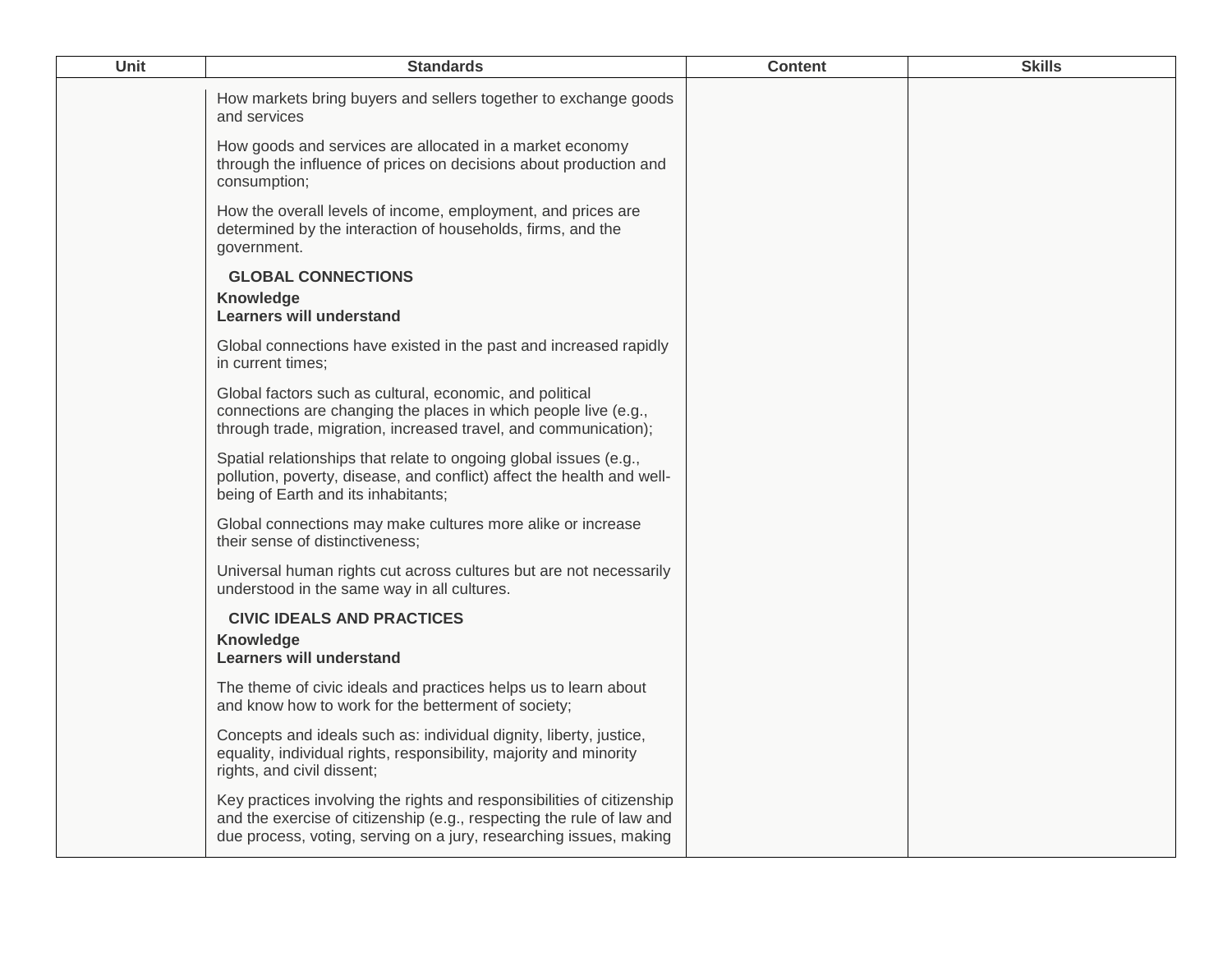| <b>Unit</b> | <b>Standards</b>                                                                                                                                                                                                      | <b>Content</b> | <b>Skills</b> |
|-------------|-----------------------------------------------------------------------------------------------------------------------------------------------------------------------------------------------------------------------|----------------|---------------|
|             | How markets bring buyers and sellers together to exchange goods<br>and services                                                                                                                                       |                |               |
|             | How goods and services are allocated in a market economy<br>through the influence of prices on decisions about production and<br>consumption;                                                                         |                |               |
|             | How the overall levels of income, employment, and prices are<br>determined by the interaction of households, firms, and the<br>government.                                                                            |                |               |
|             | <b>GLOBAL CONNECTIONS</b>                                                                                                                                                                                             |                |               |
|             | Knowledge<br><b>Learners will understand</b>                                                                                                                                                                          |                |               |
|             | Global connections have existed in the past and increased rapidly<br>in current times;                                                                                                                                |                |               |
|             | Global factors such as cultural, economic, and political<br>connections are changing the places in which people live (e.g.,<br>through trade, migration, increased travel, and communication);                        |                |               |
|             | Spatial relationships that relate to ongoing global issues (e.g.,<br>pollution, poverty, disease, and conflict) affect the health and well-<br>being of Earth and its inhabitants;                                    |                |               |
|             | Global connections may make cultures more alike or increase<br>their sense of distinctiveness;                                                                                                                        |                |               |
|             | Universal human rights cut across cultures but are not necessarily<br>understood in the same way in all cultures.                                                                                                     |                |               |
|             | <b>CIVIC IDEALS AND PRACTICES</b>                                                                                                                                                                                     |                |               |
|             | Knowledge<br><b>Learners will understand</b>                                                                                                                                                                          |                |               |
|             | The theme of civic ideals and practices helps us to learn about<br>and know how to work for the betterment of society;                                                                                                |                |               |
|             | Concepts and ideals such as: individual dignity, liberty, justice,<br>equality, individual rights, responsibility, majority and minority<br>rights, and civil dissent;                                                |                |               |
|             | Key practices involving the rights and responsibilities of citizenship<br>and the exercise of citizenship (e.g., respecting the rule of law and<br>due process, voting, serving on a jury, researching issues, making |                |               |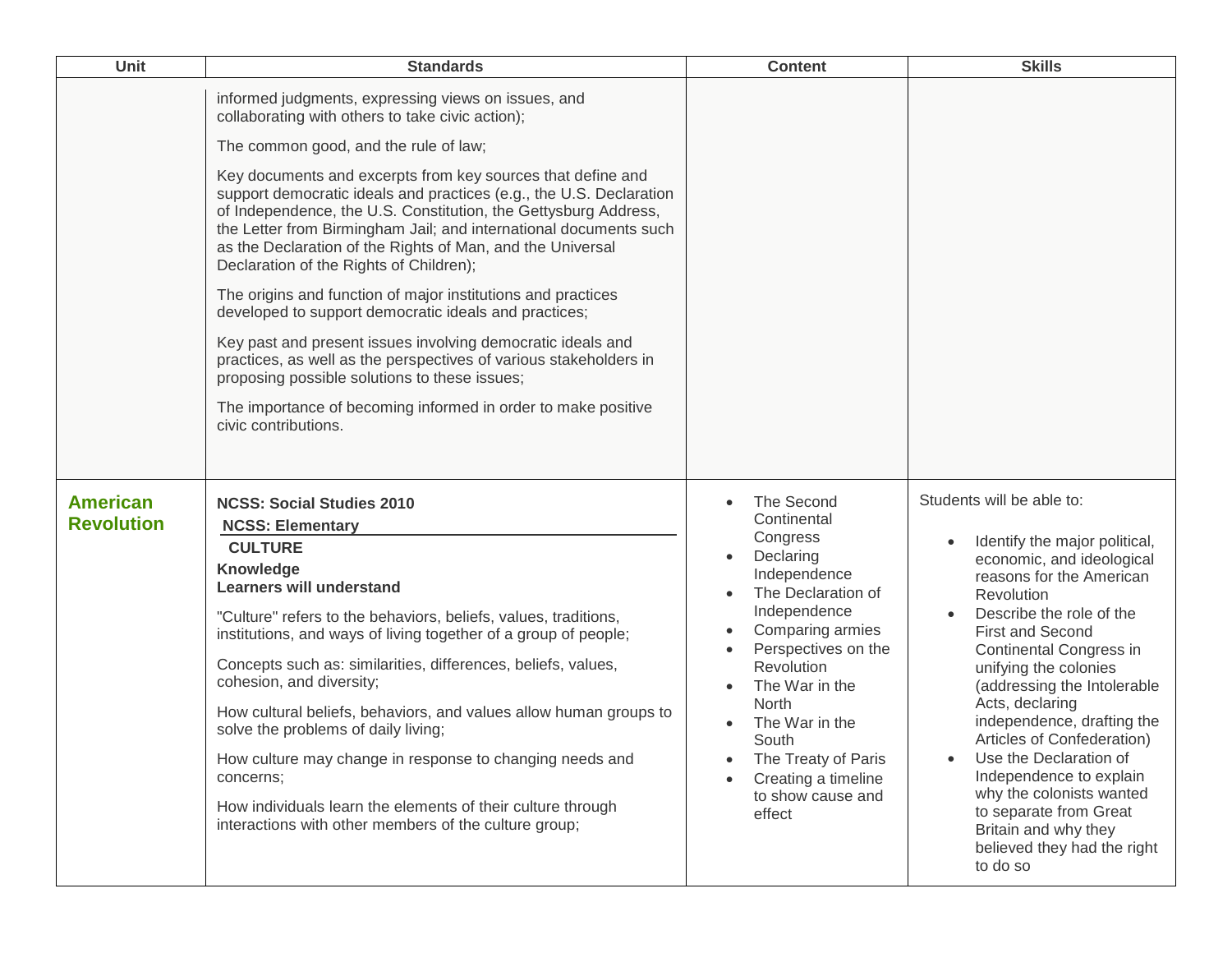| Unit                                 | <b>Standards</b>                                                                                                                                                                                                                                                                                                                                                                                                                                                                                                                                                                                                                                                                                                                                                                                                                                                                                                                               | <b>Content</b>                                                                                                                                                                                                                                                                                                                              | <b>Skills</b>                                                                                                                                                                                                                                                                                                                                                                                                                                                                                                                            |
|--------------------------------------|------------------------------------------------------------------------------------------------------------------------------------------------------------------------------------------------------------------------------------------------------------------------------------------------------------------------------------------------------------------------------------------------------------------------------------------------------------------------------------------------------------------------------------------------------------------------------------------------------------------------------------------------------------------------------------------------------------------------------------------------------------------------------------------------------------------------------------------------------------------------------------------------------------------------------------------------|---------------------------------------------------------------------------------------------------------------------------------------------------------------------------------------------------------------------------------------------------------------------------------------------------------------------------------------------|------------------------------------------------------------------------------------------------------------------------------------------------------------------------------------------------------------------------------------------------------------------------------------------------------------------------------------------------------------------------------------------------------------------------------------------------------------------------------------------------------------------------------------------|
|                                      | informed judgments, expressing views on issues, and<br>collaborating with others to take civic action);<br>The common good, and the rule of law;<br>Key documents and excerpts from key sources that define and<br>support democratic ideals and practices (e.g., the U.S. Declaration<br>of Independence, the U.S. Constitution, the Gettysburg Address,<br>the Letter from Birmingham Jail; and international documents such<br>as the Declaration of the Rights of Man, and the Universal<br>Declaration of the Rights of Children);<br>The origins and function of major institutions and practices<br>developed to support democratic ideals and practices;<br>Key past and present issues involving democratic ideals and<br>practices, as well as the perspectives of various stakeholders in<br>proposing possible solutions to these issues;<br>The importance of becoming informed in order to make positive<br>civic contributions. |                                                                                                                                                                                                                                                                                                                                             |                                                                                                                                                                                                                                                                                                                                                                                                                                                                                                                                          |
| <b>American</b><br><b>Revolution</b> | <b>NCSS: Social Studies 2010</b><br><b>NCSS: Elementary</b><br><b>CULTURE</b><br>Knowledge<br><b>Learners will understand</b><br>"Culture" refers to the behaviors, beliefs, values, traditions,<br>institutions, and ways of living together of a group of people;<br>Concepts such as: similarities, differences, beliefs, values,<br>cohesion, and diversity;<br>How cultural beliefs, behaviors, and values allow human groups to<br>solve the problems of daily living;<br>How culture may change in response to changing needs and<br>concerns;<br>How individuals learn the elements of their culture through<br>interactions with other members of the culture group;                                                                                                                                                                                                                                                                  | The Second<br>Continental<br>Congress<br>Declaring<br>Independence<br>The Declaration of<br>Independence<br>Comparing armies<br>$\bullet$<br>Perspectives on the<br>$\bullet$<br>Revolution<br>The War in the<br>$\bullet$<br>North<br>The War in the<br>South<br>The Treaty of Paris<br>Creating a timeline<br>to show cause and<br>effect | Students will be able to:<br>Identify the major political,<br>economic, and ideological<br>reasons for the American<br>Revolution<br>Describe the role of the<br><b>First and Second</b><br>Continental Congress in<br>unifying the colonies<br>(addressing the Intolerable<br>Acts, declaring<br>independence, drafting the<br>Articles of Confederation)<br>Use the Declaration of<br>Independence to explain<br>why the colonists wanted<br>to separate from Great<br>Britain and why they<br>believed they had the right<br>to do so |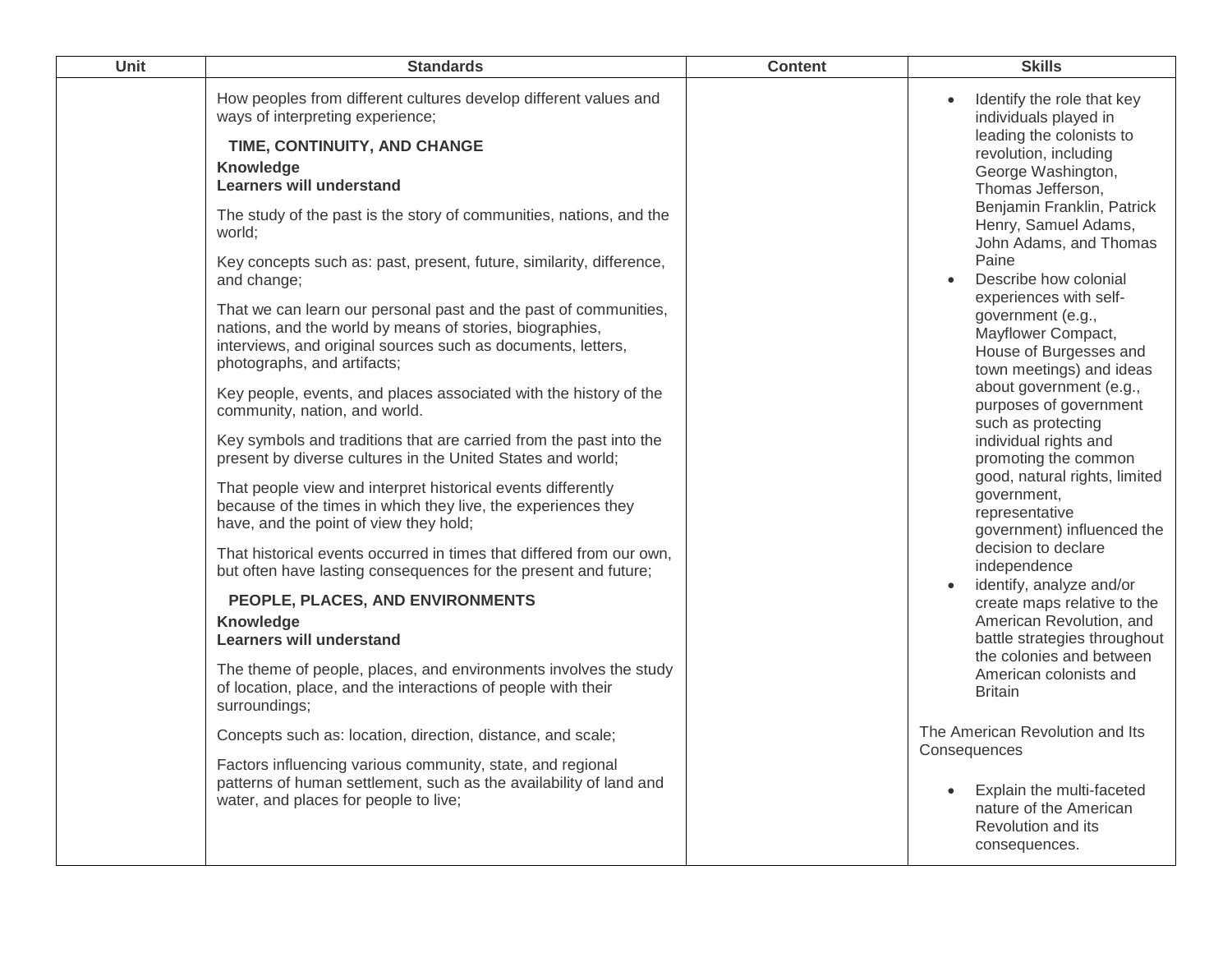| Unit | <b>Standards</b>                                                                                                                                                                                                                                                                                                                                                                                                                                                                                                                                                                                                                                                                                                                                                                                                                                                                                                                                                                                                  | <b>Content</b> | <b>Skills</b>                                                                                                                                                                                                                                                                                                                                                                                                                                                                                                                                                                                                                |
|------|-------------------------------------------------------------------------------------------------------------------------------------------------------------------------------------------------------------------------------------------------------------------------------------------------------------------------------------------------------------------------------------------------------------------------------------------------------------------------------------------------------------------------------------------------------------------------------------------------------------------------------------------------------------------------------------------------------------------------------------------------------------------------------------------------------------------------------------------------------------------------------------------------------------------------------------------------------------------------------------------------------------------|----------------|------------------------------------------------------------------------------------------------------------------------------------------------------------------------------------------------------------------------------------------------------------------------------------------------------------------------------------------------------------------------------------------------------------------------------------------------------------------------------------------------------------------------------------------------------------------------------------------------------------------------------|
|      | How peoples from different cultures develop different values and<br>ways of interpreting experience;<br>TIME, CONTINUITY, AND CHANGE<br>Knowledge<br><b>Learners will understand</b><br>The study of the past is the story of communities, nations, and the<br>world:<br>Key concepts such as: past, present, future, similarity, difference,<br>and change;<br>That we can learn our personal past and the past of communities,<br>nations, and the world by means of stories, biographies,<br>interviews, and original sources such as documents, letters,<br>photographs, and artifacts;<br>Key people, events, and places associated with the history of the<br>community, nation, and world.<br>Key symbols and traditions that are carried from the past into the<br>present by diverse cultures in the United States and world;<br>That people view and interpret historical events differently<br>because of the times in which they live, the experiences they<br>have, and the point of view they hold; |                | Identify the role that key<br>individuals played in<br>leading the colonists to<br>revolution, including<br>George Washington,<br>Thomas Jefferson,<br>Benjamin Franklin, Patrick<br>Henry, Samuel Adams,<br>John Adams, and Thomas<br>Paine<br>Describe how colonial<br>experiences with self-<br>government (e.g.,<br>Mayflower Compact,<br>House of Burgesses and<br>town meetings) and ideas<br>about government (e.g.,<br>purposes of government<br>such as protecting<br>individual rights and<br>promoting the common<br>good, natural rights, limited<br>government,<br>representative<br>government) influenced the |
|      | That historical events occurred in times that differed from our own,<br>but often have lasting consequences for the present and future;<br>PEOPLE, PLACES, AND ENVIRONMENTS<br>Knowledge<br><b>Learners will understand</b><br>The theme of people, places, and environments involves the study<br>of location, place, and the interactions of people with their<br>surroundings;<br>Concepts such as: location, direction, distance, and scale;<br>Factors influencing various community, state, and regional<br>patterns of human settlement, such as the availability of land and<br>water, and places for people to live;                                                                                                                                                                                                                                                                                                                                                                                     |                | decision to declare<br>independence<br>identify, analyze and/or<br>create maps relative to the<br>American Revolution, and<br>battle strategies throughout<br>the colonies and between<br>American colonists and<br><b>Britain</b><br>The American Revolution and Its<br>Consequences<br>Explain the multi-faceted<br>nature of the American<br>Revolution and its<br>consequences.                                                                                                                                                                                                                                          |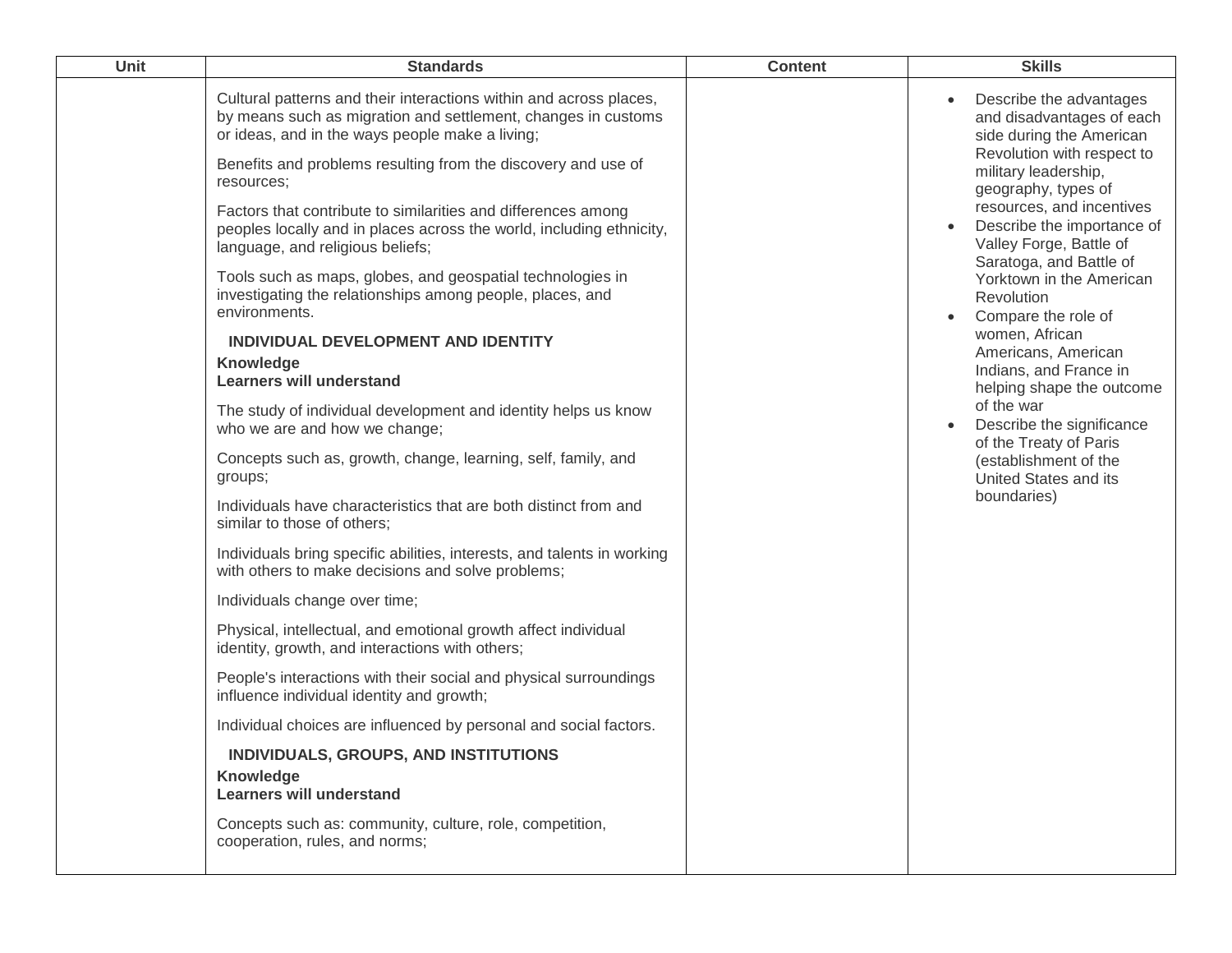| Unit | <b>Standards</b>                                                                                                                                                                       | <b>Content</b> | <b>Skills</b>                                                                                                 |
|------|----------------------------------------------------------------------------------------------------------------------------------------------------------------------------------------|----------------|---------------------------------------------------------------------------------------------------------------|
|      | Cultural patterns and their interactions within and across places,<br>by means such as migration and settlement, changes in customs<br>or ideas, and in the ways people make a living; |                | Describe the advantages<br>and disadvantages of each<br>side during the American                              |
|      | Benefits and problems resulting from the discovery and use of<br>resources;                                                                                                            |                | Revolution with respect to<br>military leadership,<br>geography, types of                                     |
|      | Factors that contribute to similarities and differences among<br>peoples locally and in places across the world, including ethnicity,<br>language, and religious beliefs;              |                | resources, and incentives<br>Describe the importance of<br>Valley Forge, Battle of<br>Saratoga, and Battle of |
|      | Tools such as maps, globes, and geospatial technologies in<br>investigating the relationships among people, places, and<br>environments.                                               |                | Yorktown in the American<br>Revolution<br>Compare the role of                                                 |
|      | INDIVIDUAL DEVELOPMENT AND IDENTITY<br>Knowledge<br><b>Learners will understand</b>                                                                                                    |                | women, African<br>Americans, American<br>Indians, and France in<br>helping shape the outcome                  |
|      | The study of individual development and identity helps us know<br>who we are and how we change;                                                                                        |                | of the war<br>Describe the significance<br>of the Treaty of Paris                                             |
|      | Concepts such as, growth, change, learning, self, family, and<br>groups;                                                                                                               |                | (establishment of the<br>United States and its                                                                |
|      | Individuals have characteristics that are both distinct from and<br>similar to those of others;                                                                                        |                | boundaries)                                                                                                   |
|      | Individuals bring specific abilities, interests, and talents in working<br>with others to make decisions and solve problems;                                                           |                |                                                                                                               |
|      | Individuals change over time;                                                                                                                                                          |                |                                                                                                               |
|      | Physical, intellectual, and emotional growth affect individual<br>identity, growth, and interactions with others;                                                                      |                |                                                                                                               |
|      | People's interactions with their social and physical surroundings<br>influence individual identity and growth;                                                                         |                |                                                                                                               |
|      | Individual choices are influenced by personal and social factors.                                                                                                                      |                |                                                                                                               |
|      | INDIVIDUALS, GROUPS, AND INSTITUTIONS<br><b>Knowledge</b><br><b>Learners will understand</b>                                                                                           |                |                                                                                                               |
|      | Concepts such as: community, culture, role, competition,<br>cooperation, rules, and norms;                                                                                             |                |                                                                                                               |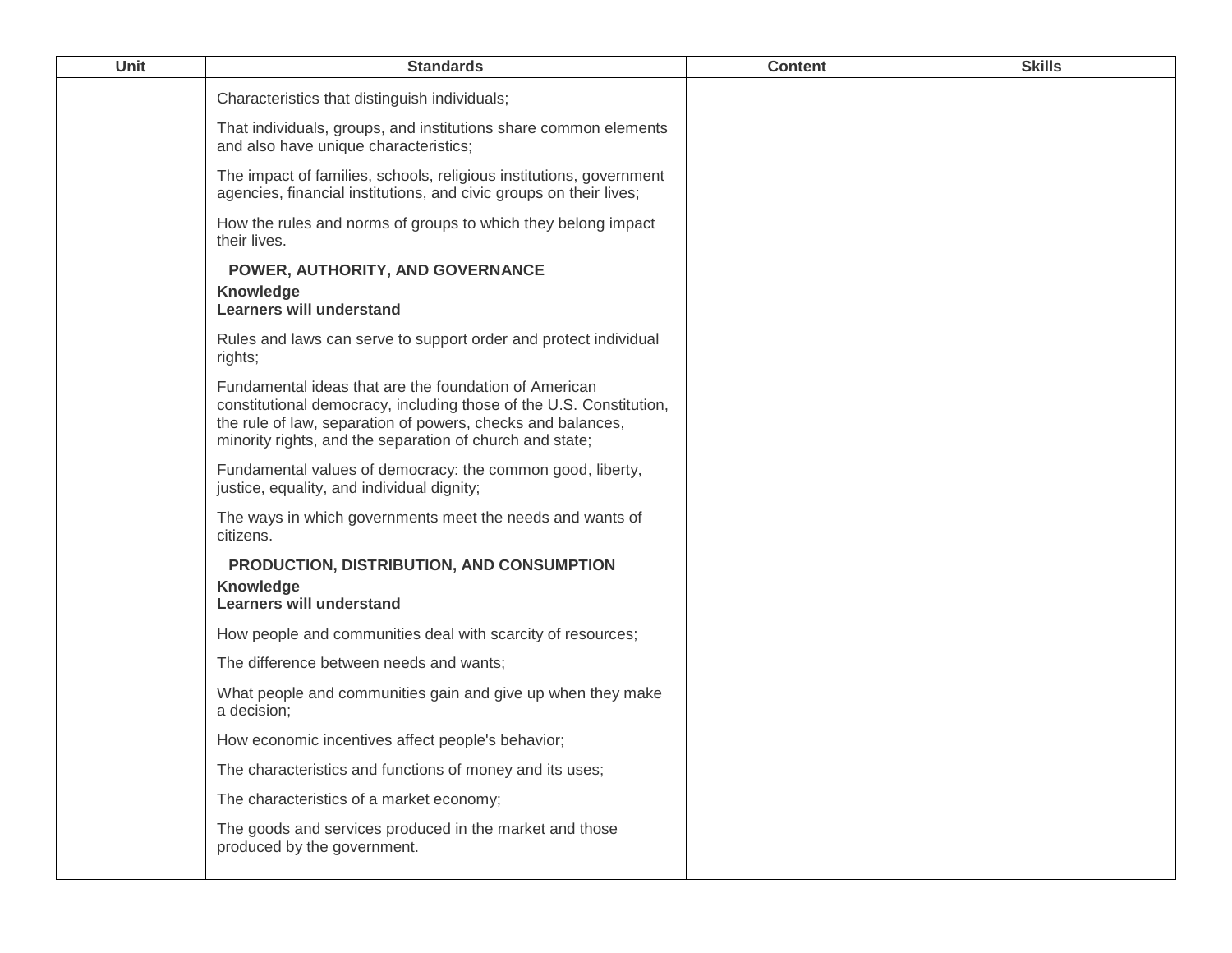| <b>Unit</b> | <b>Standards</b>                                                                                                                                                                                                                                        | <b>Content</b> | <b>Skills</b> |
|-------------|---------------------------------------------------------------------------------------------------------------------------------------------------------------------------------------------------------------------------------------------------------|----------------|---------------|
|             | Characteristics that distinguish individuals;                                                                                                                                                                                                           |                |               |
|             | That individuals, groups, and institutions share common elements<br>and also have unique characteristics;                                                                                                                                               |                |               |
|             | The impact of families, schools, religious institutions, government<br>agencies, financial institutions, and civic groups on their lives;                                                                                                               |                |               |
|             | How the rules and norms of groups to which they belong impact<br>their lives.                                                                                                                                                                           |                |               |
|             | POWER, AUTHORITY, AND GOVERNANCE<br><b>Knowledge</b><br><b>Learners will understand</b>                                                                                                                                                                 |                |               |
|             | Rules and laws can serve to support order and protect individual<br>rights;                                                                                                                                                                             |                |               |
|             | Fundamental ideas that are the foundation of American<br>constitutional democracy, including those of the U.S. Constitution,<br>the rule of law, separation of powers, checks and balances,<br>minority rights, and the separation of church and state; |                |               |
|             | Fundamental values of democracy: the common good, liberty,<br>justice, equality, and individual dignity;                                                                                                                                                |                |               |
|             | The ways in which governments meet the needs and wants of<br>citizens.                                                                                                                                                                                  |                |               |
|             | PRODUCTION, DISTRIBUTION, AND CONSUMPTION                                                                                                                                                                                                               |                |               |
|             | Knowledge<br><b>Learners will understand</b>                                                                                                                                                                                                            |                |               |
|             | How people and communities deal with scarcity of resources;                                                                                                                                                                                             |                |               |
|             | The difference between needs and wants;                                                                                                                                                                                                                 |                |               |
|             | What people and communities gain and give up when they make<br>a decision;                                                                                                                                                                              |                |               |
|             | How economic incentives affect people's behavior;                                                                                                                                                                                                       |                |               |
|             | The characteristics and functions of money and its uses;                                                                                                                                                                                                |                |               |
|             | The characteristics of a market economy;                                                                                                                                                                                                                |                |               |
|             | The goods and services produced in the market and those<br>produced by the government.                                                                                                                                                                  |                |               |
|             |                                                                                                                                                                                                                                                         |                |               |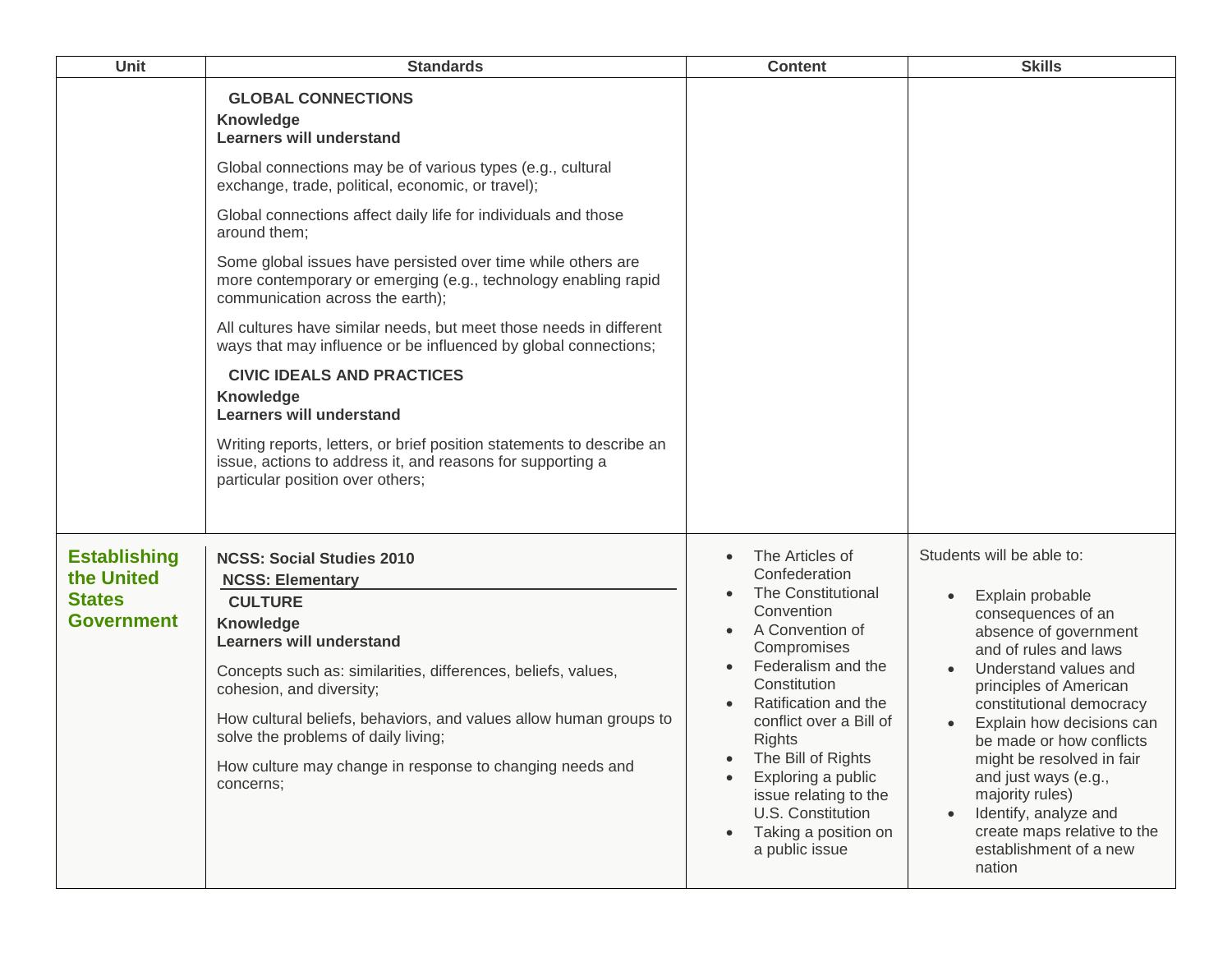| <b>Unit</b>                                                             | <b>Standards</b>                                                                                                                                                                                                                                                                                                                                                                                                                                            | <b>Content</b>                                                                                                                                                                                                                                                                                                                                                    | <b>Skills</b>                                                                                                                                                                                                                                                                                                                                                                                                                     |
|-------------------------------------------------------------------------|-------------------------------------------------------------------------------------------------------------------------------------------------------------------------------------------------------------------------------------------------------------------------------------------------------------------------------------------------------------------------------------------------------------------------------------------------------------|-------------------------------------------------------------------------------------------------------------------------------------------------------------------------------------------------------------------------------------------------------------------------------------------------------------------------------------------------------------------|-----------------------------------------------------------------------------------------------------------------------------------------------------------------------------------------------------------------------------------------------------------------------------------------------------------------------------------------------------------------------------------------------------------------------------------|
|                                                                         | <b>GLOBAL CONNECTIONS</b><br><b>Knowledge</b><br><b>Learners will understand</b><br>Global connections may be of various types (e.g., cultural<br>exchange, trade, political, economic, or travel);<br>Global connections affect daily life for individuals and those<br>around them;<br>Some global issues have persisted over time while others are<br>more contemporary or emerging (e.g., technology enabling rapid<br>communication across the earth); |                                                                                                                                                                                                                                                                                                                                                                   |                                                                                                                                                                                                                                                                                                                                                                                                                                   |
|                                                                         | All cultures have similar needs, but meet those needs in different<br>ways that may influence or be influenced by global connections;<br><b>CIVIC IDEALS AND PRACTICES</b><br>Knowledge<br><b>Learners will understand</b><br>Writing reports, letters, or brief position statements to describe an<br>issue, actions to address it, and reasons for supporting a<br>particular position over others;                                                       |                                                                                                                                                                                                                                                                                                                                                                   |                                                                                                                                                                                                                                                                                                                                                                                                                                   |
| <b>Establishing</b><br>the United<br><b>States</b><br><b>Government</b> | <b>NCSS: Social Studies 2010</b><br><b>NCSS: Elementary</b><br><b>CULTURE</b><br><b>Knowledge</b><br><b>Learners will understand</b><br>Concepts such as: similarities, differences, beliefs, values,<br>cohesion, and diversity;<br>How cultural beliefs, behaviors, and values allow human groups to<br>solve the problems of daily living;<br>How culture may change in response to changing needs and<br>concerns;                                      | The Articles of<br>$\bullet$<br>Confederation<br>The Constitutional<br>Convention<br>A Convention of<br>Compromises<br>Federalism and the<br>Constitution<br>Ratification and the<br>conflict over a Bill of<br><b>Rights</b><br>The Bill of Rights<br>Exploring a public<br>issue relating to the<br>U.S. Constitution<br>Taking a position on<br>a public issue | Students will be able to:<br>Explain probable<br>consequences of an<br>absence of government<br>and of rules and laws<br>Understand values and<br>principles of American<br>constitutional democracy<br>Explain how decisions can<br>be made or how conflicts<br>might be resolved in fair<br>and just ways (e.g.,<br>majority rules)<br>Identify, analyze and<br>create maps relative to the<br>establishment of a new<br>nation |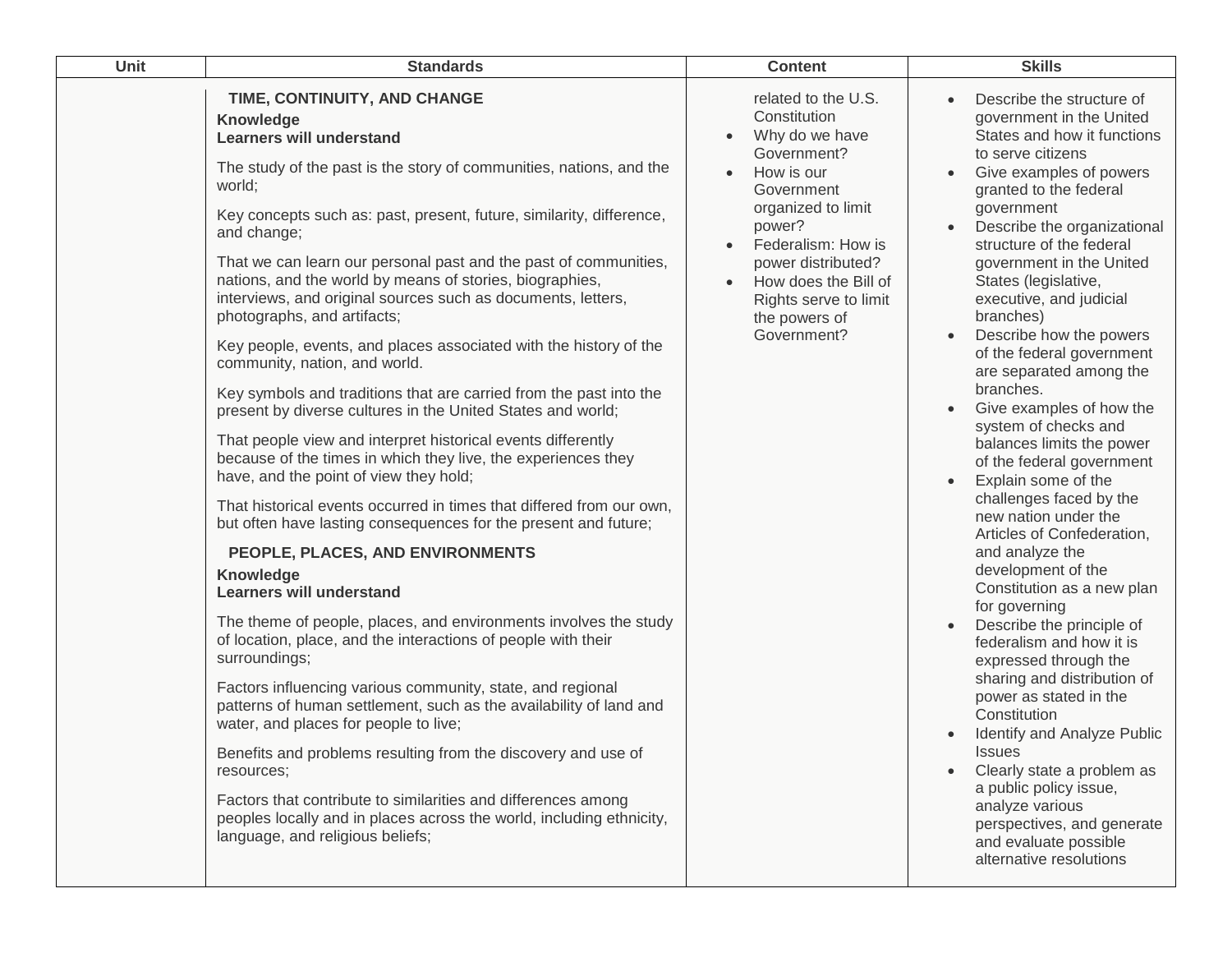| Unit | <b>Standards</b>                                                                                                                                                                                                                                                                                                                                                                                                                                                                                                                                                                                                                                                                                                                                                                                                                                                                                                                                                                                                                                                                                                                                                                                                                                                                                                                                                                                                                                                                                                                                                                                                                                                                                                                        | <b>Content</b>                                                                                                                                                                                                                                                             | <b>Skills</b>                                                                                                                                                                                                                                                                                                                                                                                                                                                                                                                                                                                                                                                                                                                                                                                                                                                                                                                                                                                                                                                                                                             |
|------|-----------------------------------------------------------------------------------------------------------------------------------------------------------------------------------------------------------------------------------------------------------------------------------------------------------------------------------------------------------------------------------------------------------------------------------------------------------------------------------------------------------------------------------------------------------------------------------------------------------------------------------------------------------------------------------------------------------------------------------------------------------------------------------------------------------------------------------------------------------------------------------------------------------------------------------------------------------------------------------------------------------------------------------------------------------------------------------------------------------------------------------------------------------------------------------------------------------------------------------------------------------------------------------------------------------------------------------------------------------------------------------------------------------------------------------------------------------------------------------------------------------------------------------------------------------------------------------------------------------------------------------------------------------------------------------------------------------------------------------------|----------------------------------------------------------------------------------------------------------------------------------------------------------------------------------------------------------------------------------------------------------------------------|---------------------------------------------------------------------------------------------------------------------------------------------------------------------------------------------------------------------------------------------------------------------------------------------------------------------------------------------------------------------------------------------------------------------------------------------------------------------------------------------------------------------------------------------------------------------------------------------------------------------------------------------------------------------------------------------------------------------------------------------------------------------------------------------------------------------------------------------------------------------------------------------------------------------------------------------------------------------------------------------------------------------------------------------------------------------------------------------------------------------------|
|      | TIME, CONTINUITY, AND CHANGE<br>Knowledge<br><b>Learners will understand</b><br>The study of the past is the story of communities, nations, and the<br>world;<br>Key concepts such as: past, present, future, similarity, difference,<br>and change;<br>That we can learn our personal past and the past of communities,<br>nations, and the world by means of stories, biographies,<br>interviews, and original sources such as documents, letters,<br>photographs, and artifacts;<br>Key people, events, and places associated with the history of the<br>community, nation, and world.<br>Key symbols and traditions that are carried from the past into the<br>present by diverse cultures in the United States and world;<br>That people view and interpret historical events differently<br>because of the times in which they live, the experiences they<br>have, and the point of view they hold;<br>That historical events occurred in times that differed from our own,<br>but often have lasting consequences for the present and future;<br>PEOPLE, PLACES, AND ENVIRONMENTS<br>Knowledge<br><b>Learners will understand</b><br>The theme of people, places, and environments involves the study<br>of location, place, and the interactions of people with their<br>surroundings;<br>Factors influencing various community, state, and regional<br>patterns of human settlement, such as the availability of land and<br>water, and places for people to live;<br>Benefits and problems resulting from the discovery and use of<br>resources;<br>Factors that contribute to similarities and differences among<br>peoples locally and in places across the world, including ethnicity,<br>language, and religious beliefs; | related to the U.S.<br>Constitution<br>Why do we have<br>Government?<br>How is our<br>Government<br>organized to limit<br>power?<br>Federalism: How is<br>power distributed?<br>How does the Bill of<br>$\bullet$<br>Rights serve to limit<br>the powers of<br>Government? | Describe the structure of<br>government in the United<br>States and how it functions<br>to serve citizens<br>Give examples of powers<br>granted to the federal<br>government<br>Describe the organizational<br>structure of the federal<br>government in the United<br>States (legislative,<br>executive, and judicial<br>branches)<br>Describe how the powers<br>of the federal government<br>are separated among the<br>branches.<br>Give examples of how the<br>system of checks and<br>balances limits the power<br>of the federal government<br>Explain some of the<br>challenges faced by the<br>new nation under the<br>Articles of Confederation,<br>and analyze the<br>development of the<br>Constitution as a new plan<br>for governing<br>Describe the principle of<br>federalism and how it is<br>expressed through the<br>sharing and distribution of<br>power as stated in the<br>Constitution<br>Identify and Analyze Public<br><b>ISSUES</b><br>Clearly state a problem as<br>a public policy issue,<br>analyze various<br>perspectives, and generate<br>and evaluate possible<br>alternative resolutions |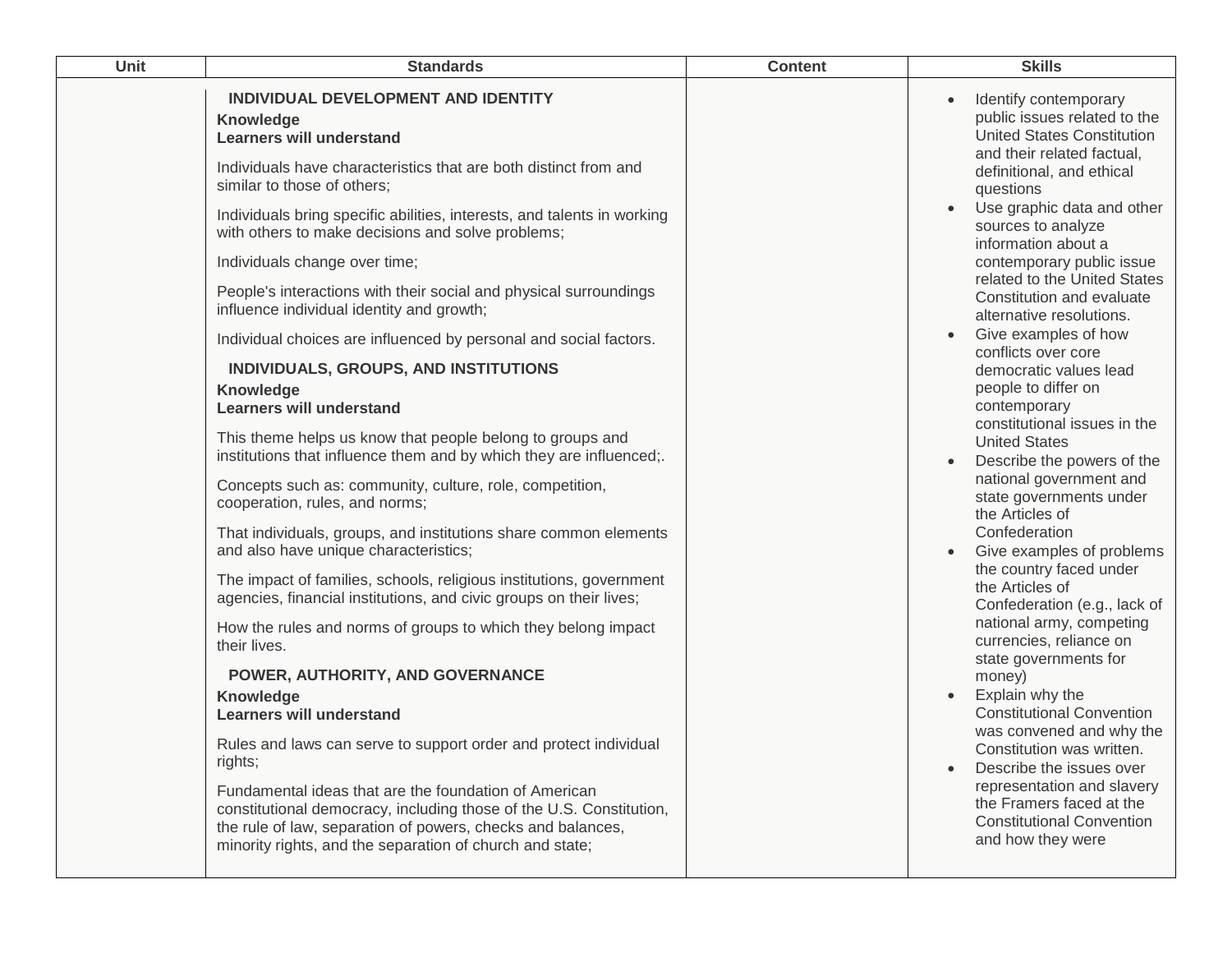| Unit | <b>Standards</b>                                                                                                                                                                                                                                                                                                                                                                                                                                                                                                                                                                                                                                                                                                                                                                                                                                                                                                                                                                                                                                                                                                                                                                                                                                                                                                                                                                                                                                                                                                                                                                                                                                   | <b>Content</b> | <b>Skills</b>                                                                                                                                                                                                                                                                                                                                                                                                                                                                                                                                                                                                                                                                                                                                                                                                                                                                                                                                                                                                                                                                                                                                        |
|------|----------------------------------------------------------------------------------------------------------------------------------------------------------------------------------------------------------------------------------------------------------------------------------------------------------------------------------------------------------------------------------------------------------------------------------------------------------------------------------------------------------------------------------------------------------------------------------------------------------------------------------------------------------------------------------------------------------------------------------------------------------------------------------------------------------------------------------------------------------------------------------------------------------------------------------------------------------------------------------------------------------------------------------------------------------------------------------------------------------------------------------------------------------------------------------------------------------------------------------------------------------------------------------------------------------------------------------------------------------------------------------------------------------------------------------------------------------------------------------------------------------------------------------------------------------------------------------------------------------------------------------------------------|----------------|------------------------------------------------------------------------------------------------------------------------------------------------------------------------------------------------------------------------------------------------------------------------------------------------------------------------------------------------------------------------------------------------------------------------------------------------------------------------------------------------------------------------------------------------------------------------------------------------------------------------------------------------------------------------------------------------------------------------------------------------------------------------------------------------------------------------------------------------------------------------------------------------------------------------------------------------------------------------------------------------------------------------------------------------------------------------------------------------------------------------------------------------------|
|      | INDIVIDUAL DEVELOPMENT AND IDENTITY<br>Knowledge<br><b>Learners will understand</b><br>Individuals have characteristics that are both distinct from and<br>similar to those of others;<br>Individuals bring specific abilities, interests, and talents in working<br>with others to make decisions and solve problems;<br>Individuals change over time;<br>People's interactions with their social and physical surroundings<br>influence individual identity and growth;<br>Individual choices are influenced by personal and social factors.<br>INDIVIDUALS, GROUPS, AND INSTITUTIONS<br>Knowledge<br><b>Learners will understand</b><br>This theme helps us know that people belong to groups and<br>institutions that influence them and by which they are influenced;.<br>Concepts such as: community, culture, role, competition,<br>cooperation, rules, and norms;<br>That individuals, groups, and institutions share common elements<br>and also have unique characteristics;<br>The impact of families, schools, religious institutions, government<br>agencies, financial institutions, and civic groups on their lives;<br>How the rules and norms of groups to which they belong impact<br>their lives.<br>POWER, AUTHORITY, AND GOVERNANCE<br>Knowledge<br><b>Learners will understand</b><br>Rules and laws can serve to support order and protect individual<br>rights;<br>Fundamental ideas that are the foundation of American<br>constitutional democracy, including those of the U.S. Constitution,<br>the rule of law, separation of powers, checks and balances,<br>minority rights, and the separation of church and state; |                | Identify contemporary<br>$\bullet$<br>public issues related to the<br><b>United States Constitution</b><br>and their related factual,<br>definitional, and ethical<br>questions<br>Use graphic data and other<br>sources to analyze<br>information about a<br>contemporary public issue<br>related to the United States<br>Constitution and evaluate<br>alternative resolutions.<br>Give examples of how<br>conflicts over core<br>democratic values lead<br>people to differ on<br>contemporary<br>constitutional issues in the<br><b>United States</b><br>Describe the powers of the<br>national government and<br>state governments under<br>the Articles of<br>Confederation<br>Give examples of problems<br>the country faced under<br>the Articles of<br>Confederation (e.g., lack of<br>national army, competing<br>currencies, reliance on<br>state governments for<br>money)<br>Explain why the<br><b>Constitutional Convention</b><br>was convened and why the<br>Constitution was written.<br>Describe the issues over<br>representation and slavery<br>the Framers faced at the<br><b>Constitutional Convention</b><br>and how they were |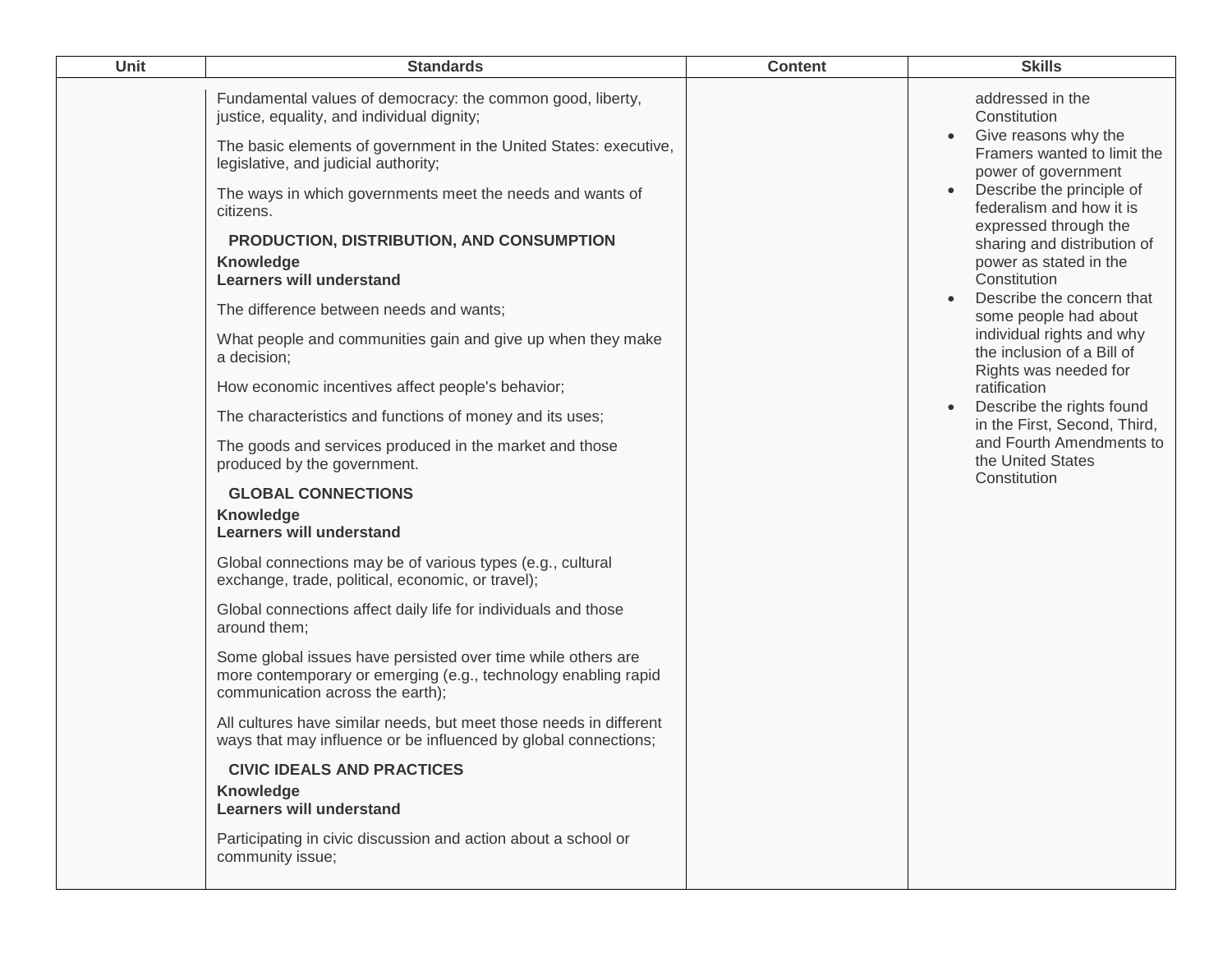| <b>Unit</b> | <b>Standards</b>                                                                                                                                                                                                                                                                                | <b>Content</b> | <b>Skills</b>                                                                                                                                                                                    |
|-------------|-------------------------------------------------------------------------------------------------------------------------------------------------------------------------------------------------------------------------------------------------------------------------------------------------|----------------|--------------------------------------------------------------------------------------------------------------------------------------------------------------------------------------------------|
|             | Fundamental values of democracy: the common good, liberty,<br>justice, equality, and individual dignity;<br>The basic elements of government in the United States: executive,<br>legislative, and judicial authority;<br>The ways in which governments meet the needs and wants of<br>citizens. |                | addressed in the<br>Constitution<br>Give reasons why the<br>Framers wanted to limit the<br>power of government<br>Describe the principle of<br>federalism and how it is<br>expressed through the |
|             | PRODUCTION, DISTRIBUTION, AND CONSUMPTION<br>Knowledge<br><b>Learners will understand</b>                                                                                                                                                                                                       |                | sharing and distribution of<br>power as stated in the<br>Constitution<br>Describe the concern that<br>$\bullet$                                                                                  |
|             | The difference between needs and wants;                                                                                                                                                                                                                                                         |                | some people had about                                                                                                                                                                            |
|             | What people and communities gain and give up when they make<br>a decision;                                                                                                                                                                                                                      |                | individual rights and why<br>the inclusion of a Bill of<br>Rights was needed for                                                                                                                 |
|             | How economic incentives affect people's behavior;                                                                                                                                                                                                                                               |                | ratification                                                                                                                                                                                     |
|             | The characteristics and functions of money and its uses;                                                                                                                                                                                                                                        |                | Describe the rights found<br>$\bullet$<br>in the First, Second, Third,                                                                                                                           |
|             | The goods and services produced in the market and those<br>produced by the government.                                                                                                                                                                                                          |                | and Fourth Amendments to<br>the United States<br>Constitution                                                                                                                                    |
|             | <b>GLOBAL CONNECTIONS</b>                                                                                                                                                                                                                                                                       |                |                                                                                                                                                                                                  |
|             | Knowledge<br><b>Learners will understand</b>                                                                                                                                                                                                                                                    |                |                                                                                                                                                                                                  |
|             | Global connections may be of various types (e.g., cultural<br>exchange, trade, political, economic, or travel);                                                                                                                                                                                 |                |                                                                                                                                                                                                  |
|             | Global connections affect daily life for individuals and those<br>around them;                                                                                                                                                                                                                  |                |                                                                                                                                                                                                  |
|             | Some global issues have persisted over time while others are<br>more contemporary or emerging (e.g., technology enabling rapid<br>communication across the earth);                                                                                                                              |                |                                                                                                                                                                                                  |
|             | All cultures have similar needs, but meet those needs in different<br>ways that may influence or be influenced by global connections;                                                                                                                                                           |                |                                                                                                                                                                                                  |
|             | <b>CIVIC IDEALS AND PRACTICES</b>                                                                                                                                                                                                                                                               |                |                                                                                                                                                                                                  |
|             | <b>Knowledge</b><br><b>Learners will understand</b>                                                                                                                                                                                                                                             |                |                                                                                                                                                                                                  |
|             | Participating in civic discussion and action about a school or<br>community issue;                                                                                                                                                                                                              |                |                                                                                                                                                                                                  |